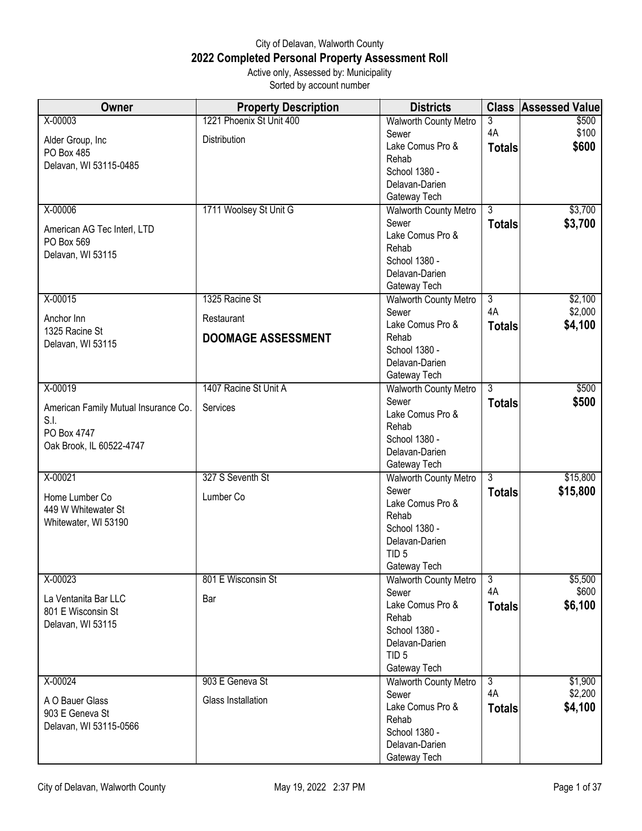## City of Delavan, Walworth County **2022 Completed Personal Property Assessment Roll** Active only, Assessed by: Municipality

Sorted by account number

| Owner                                | <b>Property Description</b> | <b>Districts</b>                      |                      | <b>Class Assessed Value</b> |
|--------------------------------------|-----------------------------|---------------------------------------|----------------------|-----------------------------|
| X-00003                              | 1221 Phoenix St Unit 400    | Walworth County Metro                 | 3                    | \$500                       |
| Alder Group, Inc                     | Distribution                | Sewer                                 | 4A                   | \$100                       |
| PO Box 485                           |                             | Lake Comus Pro &                      | <b>Totals</b>        | \$600                       |
| Delavan, WI 53115-0485               |                             | Rehab                                 |                      |                             |
|                                      |                             | School 1380 -                         |                      |                             |
|                                      |                             | Delavan-Darien                        |                      |                             |
|                                      |                             | Gateway Tech                          |                      |                             |
| X-00006                              | 1711 Woolsey St Unit G      | <b>Walworth County Metro</b>          | 3                    | \$3,700                     |
| American AG Tec Interl, LTD          |                             | Sewer                                 | <b>Totals</b>        | \$3,700                     |
| PO Box 569                           |                             | Lake Comus Pro &                      |                      |                             |
| Delavan, WI 53115                    |                             | Rehab                                 |                      |                             |
|                                      |                             | School 1380 -                         |                      |                             |
|                                      |                             | Delavan-Darien                        |                      |                             |
| X-00015                              | 1325 Racine St              | Gateway Tech                          | $\overline{3}$       | \$2,100                     |
|                                      |                             | <b>Walworth County Metro</b><br>Sewer | 4A                   | \$2,000                     |
| Anchor Inn                           | Restaurant                  | Lake Comus Pro &                      |                      | \$4,100                     |
| 1325 Racine St                       | <b>DOOMAGE ASSESSMENT</b>   | Rehab                                 | <b>Totals</b>        |                             |
| Delavan, WI 53115                    |                             | School 1380 -                         |                      |                             |
|                                      |                             | Delavan-Darien                        |                      |                             |
|                                      |                             | Gateway Tech                          |                      |                             |
| X-00019                              | 1407 Racine St Unit A       | <b>Walworth County Metro</b>          | $\overline{3}$       | \$500                       |
|                                      |                             | Sewer                                 | <b>Totals</b>        | \$500                       |
| American Family Mutual Insurance Co. | Services                    | Lake Comus Pro &                      |                      |                             |
| S.I.                                 |                             | Rehab                                 |                      |                             |
| PO Box 4747                          |                             | School 1380 -                         |                      |                             |
| Oak Brook, IL 60522-4747             |                             | Delavan-Darien                        |                      |                             |
|                                      |                             | Gateway Tech                          |                      |                             |
| X-00021                              | 327 S Seventh St            | Walworth County Metro                 | $\overline{3}$       | \$15,800                    |
|                                      |                             | Sewer                                 | <b>Totals</b>        | \$15,800                    |
| Home Lumber Co                       | Lumber Co                   | Lake Comus Pro &                      |                      |                             |
| 449 W Whitewater St                  |                             | Rehab                                 |                      |                             |
| Whitewater, WI 53190                 |                             | School 1380 -                         |                      |                             |
|                                      |                             | Delavan-Darien                        |                      |                             |
|                                      |                             | TID <sub>5</sub>                      |                      |                             |
|                                      |                             | Gateway Tech                          |                      |                             |
| X-00023                              | 801 E Wisconsin St          | <b>Walworth County Metro</b>          | د                    | \$5,500                     |
| La Ventanita Bar LLC                 | Bar                         | Sewer                                 | 4A                   | \$600                       |
| 801 E Wisconsin St                   |                             | Lake Comus Pro &                      | <b>Totals</b>        | \$6,100                     |
| Delavan, WI 53115                    |                             | Rehab                                 |                      |                             |
|                                      |                             | School 1380 -                         |                      |                             |
|                                      |                             | Delavan-Darien                        |                      |                             |
|                                      |                             | TID <sub>5</sub>                      |                      |                             |
|                                      |                             | Gateway Tech                          |                      |                             |
| X-00024                              | 903 E Geneva St             | <b>Walworth County Metro</b>          | $\overline{3}$<br>4A | \$1,900                     |
| A O Bauer Glass                      | Glass Installation          | Sewer<br>Lake Comus Pro &             |                      | \$2,200                     |
| 903 E Geneva St                      |                             | Rehab                                 | <b>Totals</b>        | \$4,100                     |
| Delavan, WI 53115-0566               |                             | School 1380 -                         |                      |                             |
|                                      |                             | Delavan-Darien                        |                      |                             |
|                                      |                             | Gateway Tech                          |                      |                             |
|                                      |                             |                                       |                      |                             |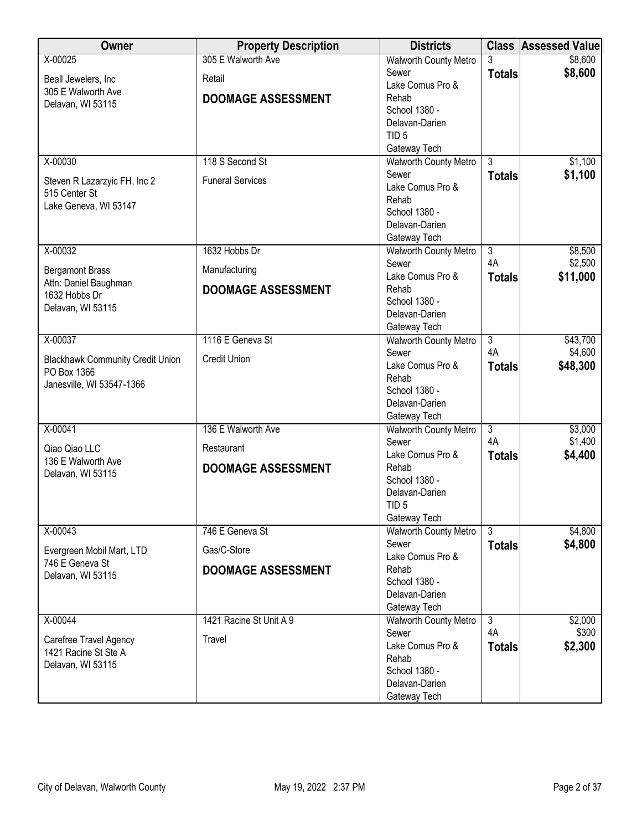| Owner                                   | <b>Property Description</b> | <b>Districts</b>                |                | <b>Class Assessed Value</b> |
|-----------------------------------------|-----------------------------|---------------------------------|----------------|-----------------------------|
| X-00025                                 | 305 E Walworth Ave          | <b>Walworth County Metro</b>    | 3              | \$8,600                     |
| Beall Jewelers, Inc                     | Retail                      | Sewer                           | <b>Totals</b>  | \$8,600                     |
| 305 E Walworth Ave                      |                             | Lake Comus Pro &                |                |                             |
| Delavan, WI 53115                       | <b>DOOMAGE ASSESSMENT</b>   | Rehab                           |                |                             |
|                                         |                             | School 1380 -<br>Delavan-Darien |                |                             |
|                                         |                             | TID <sub>5</sub>                |                |                             |
|                                         |                             | Gateway Tech                    |                |                             |
| X-00030                                 | 118 S Second St             | <b>Walworth County Metro</b>    | $\overline{3}$ | \$1,100                     |
|                                         |                             | Sewer                           | <b>Totals</b>  | \$1,100                     |
| Steven R Lazarzyic FH, Inc 2            | <b>Funeral Services</b>     | Lake Comus Pro &                |                |                             |
| 515 Center St                           |                             | Rehab                           |                |                             |
| Lake Geneva, WI 53147                   |                             | School 1380 -                   |                |                             |
|                                         |                             | Delavan-Darien                  |                |                             |
|                                         |                             | Gateway Tech                    |                |                             |
| $X - 00032$                             | 1632 Hobbs Dr               | <b>Walworth County Metro</b>    | $\overline{3}$ | \$8,500                     |
| <b>Bergamont Brass</b>                  | Manufacturing               | Sewer                           | 4A             | \$2,500                     |
| Attn: Daniel Baughman                   |                             | Lake Comus Pro &                | <b>Totals</b>  | \$11,000                    |
| 1632 Hobbs Dr                           | <b>DOOMAGE ASSESSMENT</b>   | Rehab                           |                |                             |
| Delavan, WI 53115                       |                             | School 1380 -<br>Delavan-Darien |                |                             |
|                                         |                             | Gateway Tech                    |                |                             |
| X-00037                                 | 1116 E Geneva St            | <b>Walworth County Metro</b>    | $\overline{3}$ | \$43,700                    |
|                                         |                             | Sewer                           | 4A             | \$4,600                     |
| <b>Blackhawk Community Credit Union</b> | <b>Credit Union</b>         | Lake Comus Pro &                | <b>Totals</b>  | \$48,300                    |
| PO Box 1366                             |                             | Rehab                           |                |                             |
| Janesville, WI 53547-1366               |                             | School 1380 -                   |                |                             |
|                                         |                             | Delavan-Darien                  |                |                             |
|                                         |                             | Gateway Tech                    |                |                             |
| X-00041                                 | 136 E Walworth Ave          | Walworth County Metro           | $\overline{3}$ | \$3,000                     |
| Qiao Qiao LLC                           | Restaurant                  | Sewer                           | 4A             | \$1,400                     |
| 136 E Walworth Ave                      |                             | Lake Comus Pro &                | <b>Totals</b>  | \$4,400                     |
| Delavan, WI 53115                       | <b>DOOMAGE ASSESSMENT</b>   | Rehab                           |                |                             |
|                                         |                             | School 1380 -<br>Delavan-Darien |                |                             |
|                                         |                             | TID <sub>5</sub>                |                |                             |
|                                         |                             | Gateway Tech                    |                |                             |
| X-00043                                 | 746 E Geneva St             | <b>Walworth County Metro</b>    | 3              | \$4,800                     |
|                                         |                             | Sewer                           | <b>Totals</b>  | \$4,800                     |
| Evergreen Mobil Mart, LTD               | Gas/C-Store                 | Lake Comus Pro &                |                |                             |
| 746 E Geneva St<br>Delavan, WI 53115    | <b>DOOMAGE ASSESSMENT</b>   | Rehab                           |                |                             |
|                                         |                             | School 1380 -                   |                |                             |
|                                         |                             | Delavan-Darien                  |                |                             |
|                                         |                             | Gateway Tech                    |                |                             |
| X-00044                                 | 1421 Racine St Unit A 9     | <b>Walworth County Metro</b>    | $\overline{3}$ | \$2,000                     |
| Carefree Travel Agency                  | Travel                      | Sewer                           | 4A             | \$300                       |
| 1421 Racine St Ste A                    |                             | Lake Comus Pro &                | <b>Totals</b>  | \$2,300                     |
| Delavan, WI 53115                       |                             | Rehab<br>School 1380 -          |                |                             |
|                                         |                             | Delavan-Darien                  |                |                             |
|                                         |                             | Gateway Tech                    |                |                             |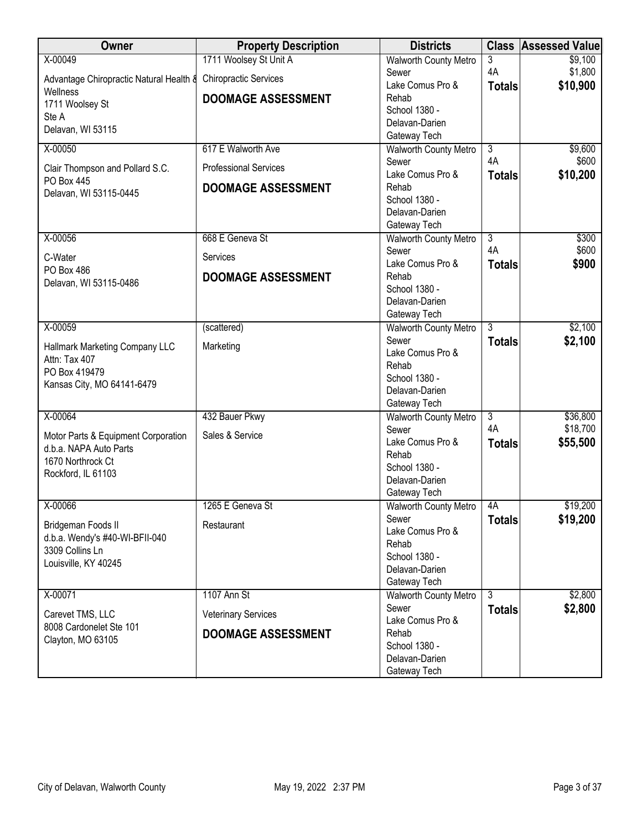| Owner                                           | <b>Property Description</b>  | <b>Districts</b>                             |                | <b>Class Assessed Value</b> |
|-------------------------------------------------|------------------------------|----------------------------------------------|----------------|-----------------------------|
| X-00049                                         | 1711 Woolsey St Unit A       | <b>Walworth County Metro</b>                 | 3              | \$9,100                     |
| Advantage Chiropractic Natural Health &         | <b>Chiropractic Services</b> | Sewer                                        | 4A             | \$1,800                     |
| Wellness                                        |                              | Lake Comus Pro &                             | <b>Totals</b>  | \$10,900                    |
| 1711 Woolsey St                                 | <b>DOOMAGE ASSESSMENT</b>    | Rehab<br>School 1380 -                       |                |                             |
| Ste A                                           |                              | Delavan-Darien                               |                |                             |
| Delavan, WI 53115                               |                              | Gateway Tech                                 |                |                             |
| X-00050                                         | 617 E Walworth Ave           | Walworth County Metro                        | $\overline{3}$ | \$9,600                     |
| Clair Thompson and Pollard S.C.                 | <b>Professional Services</b> | Sewer                                        | 4A             | \$600                       |
| PO Box 445                                      |                              | Lake Comus Pro &                             | <b>Totals</b>  | \$10,200                    |
| Delavan, WI 53115-0445                          | <b>DOOMAGE ASSESSMENT</b>    | Rehab                                        |                |                             |
|                                                 |                              | School 1380 -<br>Delavan-Darien              |                |                             |
|                                                 |                              | Gateway Tech                                 |                |                             |
| X-00056                                         | 668 E Geneva St              | Walworth County Metro                        | $\overline{3}$ | \$300                       |
| C-Water                                         | Services                     | Sewer                                        | 4A             | \$600                       |
| PO Box 486                                      |                              | Lake Comus Pro &                             | <b>Totals</b>  | \$900                       |
| Delavan, WI 53115-0486                          | <b>DOOMAGE ASSESSMENT</b>    | Rehab                                        |                |                             |
|                                                 |                              | School 1380 -<br>Delavan-Darien              |                |                             |
|                                                 |                              | Gateway Tech                                 |                |                             |
| X-00059                                         | (scattered)                  | Walworth County Metro                        | $\overline{3}$ | \$2,100                     |
|                                                 |                              | Sewer                                        | <b>Totals</b>  | \$2,100                     |
| Hallmark Marketing Company LLC<br>Attn: Tax 407 | Marketing                    | Lake Comus Pro &                             |                |                             |
| PO Box 419479                                   |                              | Rehab                                        |                |                             |
| Kansas City, MO 64141-6479                      |                              | School 1380 -                                |                |                             |
|                                                 |                              | Delavan-Darien                               |                |                             |
| X-00064                                         | 432 Bauer Pkwy               | Gateway Tech<br><b>Walworth County Metro</b> | $\overline{3}$ | \$36,800                    |
|                                                 |                              | Sewer                                        | 4A             | \$18,700                    |
| Motor Parts & Equipment Corporation             | Sales & Service              | Lake Comus Pro &                             | <b>Totals</b>  | \$55,500                    |
| d.b.a. NAPA Auto Parts                          |                              | Rehab                                        |                |                             |
| 1670 Northrock Ct<br>Rockford, IL 61103         |                              | School 1380 -                                |                |                             |
|                                                 |                              | Delavan-Darien                               |                |                             |
|                                                 |                              | Gateway Tech                                 |                |                             |
| X-00066                                         | 1265 E Geneva St             | <b>Walworth County Metro</b><br>Sewer        | $\sqrt{4A}$    | \$19,200<br>\$19,200        |
| Bridgeman Foods II                              | Restaurant                   | Lake Comus Pro &                             | <b>Totals</b>  |                             |
| d.b.a. Wendy's #40-WI-BFII-040                  |                              | Rehab                                        |                |                             |
| 3309 Collins Ln                                 |                              | School 1380 -                                |                |                             |
| Louisville, KY 40245                            |                              | Delavan-Darien                               |                |                             |
|                                                 |                              | Gateway Tech                                 |                |                             |
| X-00071                                         | 1107 Ann St                  | <b>Walworth County Metro</b>                 | 3              | \$2,800                     |
| Carevet TMS, LLC                                | <b>Veterinary Services</b>   | Sewer                                        | <b>Totals</b>  | \$2,800                     |
| 8008 Cardonelet Ste 101                         | <b>DOOMAGE ASSESSMENT</b>    | Lake Comus Pro &<br>Rehab                    |                |                             |
| Clayton, MO 63105                               |                              | School 1380 -                                |                |                             |
|                                                 |                              | Delavan-Darien                               |                |                             |
|                                                 |                              | Gateway Tech                                 |                |                             |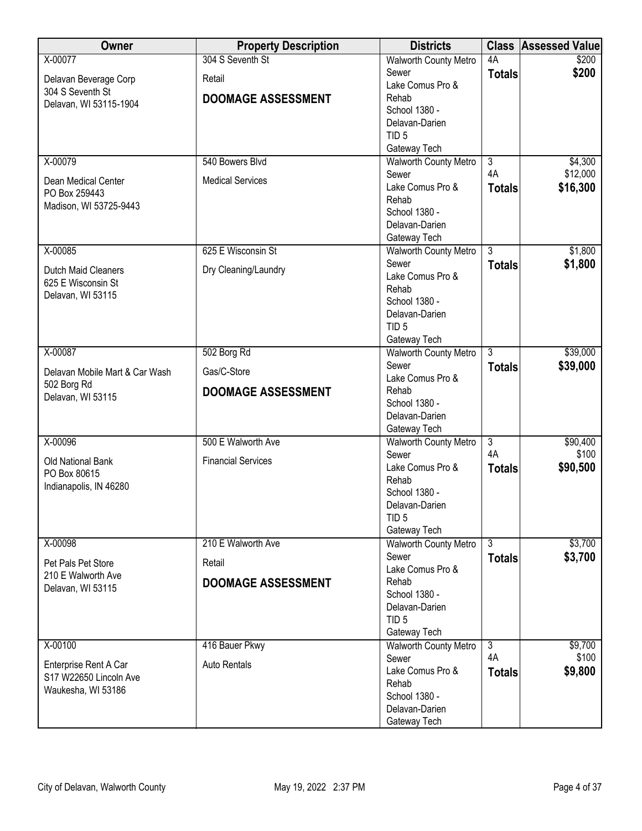| Owner                                     | <b>Property Description</b> | <b>Districts</b>                      |                      | <b>Class Assessed Value</b> |
|-------------------------------------------|-----------------------------|---------------------------------------|----------------------|-----------------------------|
| X-00077                                   | 304 S Seventh St            | <b>Walworth County Metro</b>          | 4A                   | \$200                       |
| Delavan Beverage Corp                     | Retail                      | Sewer                                 | <b>Totals</b>        | \$200                       |
| 304 S Seventh St                          |                             | Lake Comus Pro &                      |                      |                             |
| Delavan, WI 53115-1904                    | <b>DOOMAGE ASSESSMENT</b>   | Rehab                                 |                      |                             |
|                                           |                             | School 1380 -                         |                      |                             |
|                                           |                             | Delavan-Darien                        |                      |                             |
|                                           |                             | TID <sub>5</sub>                      |                      |                             |
|                                           |                             | Gateway Tech                          |                      |                             |
| X-00079                                   | 540 Bowers Blvd             | <b>Walworth County Metro</b>          | $\overline{3}$<br>4A | \$4,300                     |
| Dean Medical Center                       | <b>Medical Services</b>     | Sewer<br>Lake Comus Pro &             |                      | \$12,000<br>\$16,300        |
| PO Box 259443                             |                             | Rehab                                 | <b>Totals</b>        |                             |
| Madison, WI 53725-9443                    |                             | School 1380 -                         |                      |                             |
|                                           |                             | Delavan-Darien                        |                      |                             |
|                                           |                             | Gateway Tech                          |                      |                             |
| X-00085                                   | 625 E Wisconsin St          | <b>Walworth County Metro</b>          | $\overline{3}$       | \$1,800                     |
|                                           |                             | Sewer                                 | <b>Totals</b>        | \$1,800                     |
| Dutch Maid Cleaners<br>625 E Wisconsin St | Dry Cleaning/Laundry        | Lake Comus Pro &                      |                      |                             |
| Delavan, WI 53115                         |                             | Rehab                                 |                      |                             |
|                                           |                             | School 1380 -                         |                      |                             |
|                                           |                             | Delavan-Darien                        |                      |                             |
|                                           |                             | TID <sub>5</sub>                      |                      |                             |
|                                           |                             | Gateway Tech                          |                      |                             |
| X-00087                                   | 502 Borg Rd                 | <b>Walworth County Metro</b>          | $\overline{3}$       | \$39,000                    |
| Delavan Mobile Mart & Car Wash            | Gas/C-Store                 | Sewer<br>Lake Comus Pro &             | <b>Totals</b>        | \$39,000                    |
| 502 Borg Rd                               |                             | Rehab                                 |                      |                             |
| Delavan, WI 53115                         | <b>DOOMAGE ASSESSMENT</b>   | School 1380 -                         |                      |                             |
|                                           |                             | Delavan-Darien                        |                      |                             |
|                                           |                             | Gateway Tech                          |                      |                             |
| X-00096                                   | 500 E Walworth Ave          | <b>Walworth County Metro</b>          | $\overline{3}$       | \$90,400                    |
|                                           | <b>Financial Services</b>   | Sewer                                 | 4A                   | \$100                       |
| Old National Bank<br>PO Box 80615         |                             | Lake Comus Pro &                      | <b>Totals</b>        | \$90,500                    |
| Indianapolis, IN 46280                    |                             | Rehab                                 |                      |                             |
|                                           |                             | School 1380 -                         |                      |                             |
|                                           |                             | Delavan-Darien                        |                      |                             |
|                                           |                             | TID <sub>5</sub>                      |                      |                             |
|                                           |                             | Gateway Tech                          |                      |                             |
| X-00098                                   | 210 E Walworth Ave          | <b>Walworth County Metro</b><br>Sewer | $\overline{3}$       | \$3,700                     |
| Pet Pals Pet Store                        | Retail                      | Lake Comus Pro &                      | <b>Totals</b>        | \$3,700                     |
| 210 E Walworth Ave                        | <b>DOOMAGE ASSESSMENT</b>   | Rehab                                 |                      |                             |
| Delavan, WI 53115                         |                             | School 1380 -                         |                      |                             |
|                                           |                             | Delavan-Darien                        |                      |                             |
|                                           |                             | TID <sub>5</sub>                      |                      |                             |
|                                           |                             | Gateway Tech                          |                      |                             |
| X-00100                                   | 416 Bauer Pkwy              | <b>Walworth County Metro</b>          | $\overline{3}$       | \$9,700                     |
| Enterprise Rent A Car                     | <b>Auto Rentals</b>         | Sewer                                 | 4A                   | \$100                       |
| S17 W22650 Lincoln Ave                    |                             | Lake Comus Pro &                      | <b>Totals</b>        | \$9,800                     |
| Waukesha, WI 53186                        |                             | Rehab                                 |                      |                             |
|                                           |                             | School 1380 -                         |                      |                             |
|                                           |                             | Delavan-Darien                        |                      |                             |
|                                           |                             | Gateway Tech                          |                      |                             |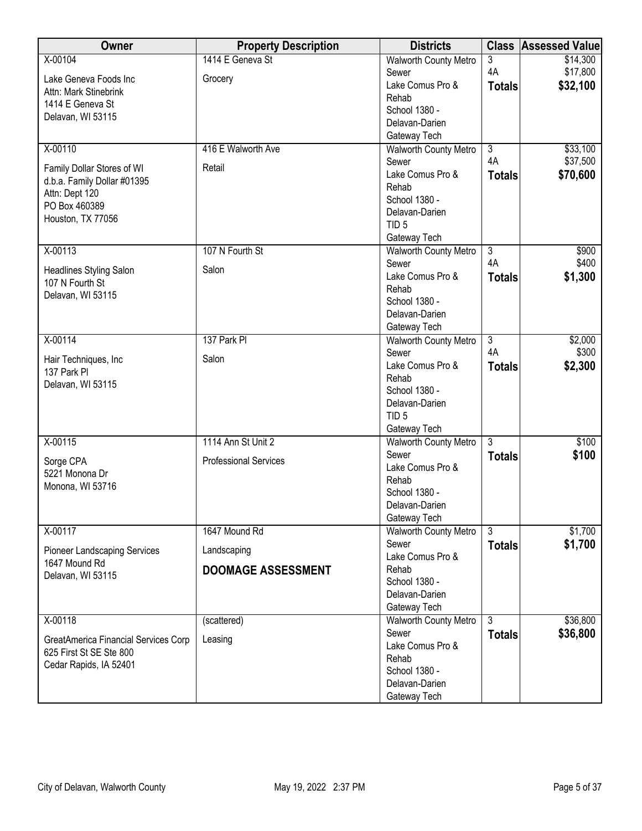| Owner                                             | <b>Property Description</b>  | <b>Districts</b>                      |                | <b>Class Assessed Value</b> |
|---------------------------------------------------|------------------------------|---------------------------------------|----------------|-----------------------------|
| X-00104                                           | 1414 E Geneva St             | Walworth County Metro                 | 3              | \$14,300                    |
| Lake Geneva Foods Inc                             | Grocery                      | Sewer                                 | 4A             | \$17,800                    |
| Attn: Mark Stinebrink                             |                              | Lake Comus Pro &                      | <b>Totals</b>  | \$32,100                    |
| 1414 E Geneva St                                  |                              | Rehab                                 |                |                             |
| Delavan, WI 53115                                 |                              | School 1380 -                         |                |                             |
|                                                   |                              | Delavan-Darien                        |                |                             |
|                                                   |                              | Gateway Tech                          |                |                             |
| X-00110                                           | 416 E Walworth Ave           | <b>Walworth County Metro</b>          | $\overline{3}$ | \$33,100                    |
| Family Dollar Stores of WI                        | Retail                       | Sewer                                 | 4A             | \$37,500                    |
| d.b.a. Family Dollar #01395                       |                              | Lake Comus Pro &<br>Rehab             | <b>Totals</b>  | \$70,600                    |
| Attn: Dept 120                                    |                              | School 1380 -                         |                |                             |
| PO Box 460389                                     |                              | Delavan-Darien                        |                |                             |
| Houston, TX 77056                                 |                              | TID <sub>5</sub>                      |                |                             |
|                                                   |                              | Gateway Tech                          |                |                             |
| X-00113                                           | 107 N Fourth St              | <b>Walworth County Metro</b>          | $\overline{3}$ | \$900                       |
|                                                   |                              | Sewer                                 | 4A             | \$400                       |
| <b>Headlines Styling Salon</b><br>107 N Fourth St | Salon                        | Lake Comus Pro &                      | <b>Totals</b>  | \$1,300                     |
| Delavan, WI 53115                                 |                              | Rehab                                 |                |                             |
|                                                   |                              | School 1380 -                         |                |                             |
|                                                   |                              | Delavan-Darien                        |                |                             |
|                                                   |                              | Gateway Tech                          |                |                             |
| X-00114                                           | 137 Park PI                  | <b>Walworth County Metro</b>          | $\overline{3}$ | \$2,000                     |
| Hair Techniques, Inc                              | Salon                        | Sewer<br>Lake Comus Pro &             | 4A             | \$300                       |
| 137 Park PI                                       |                              | Rehab                                 | <b>Totals</b>  | \$2,300                     |
| Delavan, WI 53115                                 |                              | School 1380 -                         |                |                             |
|                                                   |                              | Delavan-Darien                        |                |                             |
|                                                   |                              | TID <sub>5</sub>                      |                |                             |
|                                                   |                              | Gateway Tech                          |                |                             |
| X-00115                                           | 1114 Ann St Unit 2           | Walworth County Metro                 | $\overline{3}$ | \$100                       |
| Sorge CPA                                         | <b>Professional Services</b> | Sewer                                 | <b>Totals</b>  | \$100                       |
| 5221 Monona Dr                                    |                              | Lake Comus Pro &                      |                |                             |
| Monona, WI 53716                                  |                              | Rehab                                 |                |                             |
|                                                   |                              | School 1380 -                         |                |                             |
|                                                   |                              | Delavan-Darien                        |                |                             |
|                                                   |                              | Gateway Tech                          |                |                             |
| X-00117                                           | 1647 Mound Rd                | <b>Walworth County Metro</b><br>Sewer | 3              | \$1,700<br>\$1,700          |
| <b>Pioneer Landscaping Services</b>               | Landscaping                  | Lake Comus Pro &                      | <b>Totals</b>  |                             |
| 1647 Mound Rd                                     | <b>DOOMAGE ASSESSMENT</b>    | Rehab                                 |                |                             |
| Delavan, WI 53115                                 |                              | School 1380 -                         |                |                             |
|                                                   |                              | Delavan-Darien                        |                |                             |
|                                                   |                              | Gateway Tech                          |                |                             |
| X-00118                                           | (scattered)                  | <b>Walworth County Metro</b>          | $\overline{3}$ | \$36,800                    |
| GreatAmerica Financial Services Corp              | Leasing                      | Sewer                                 | <b>Totals</b>  | \$36,800                    |
| 625 First St SE Ste 800                           |                              | Lake Comus Pro &                      |                |                             |
| Cedar Rapids, IA 52401                            |                              | Rehab                                 |                |                             |
|                                                   |                              | School 1380 -                         |                |                             |
|                                                   |                              | Delavan-Darien                        |                |                             |
|                                                   |                              | Gateway Tech                          |                |                             |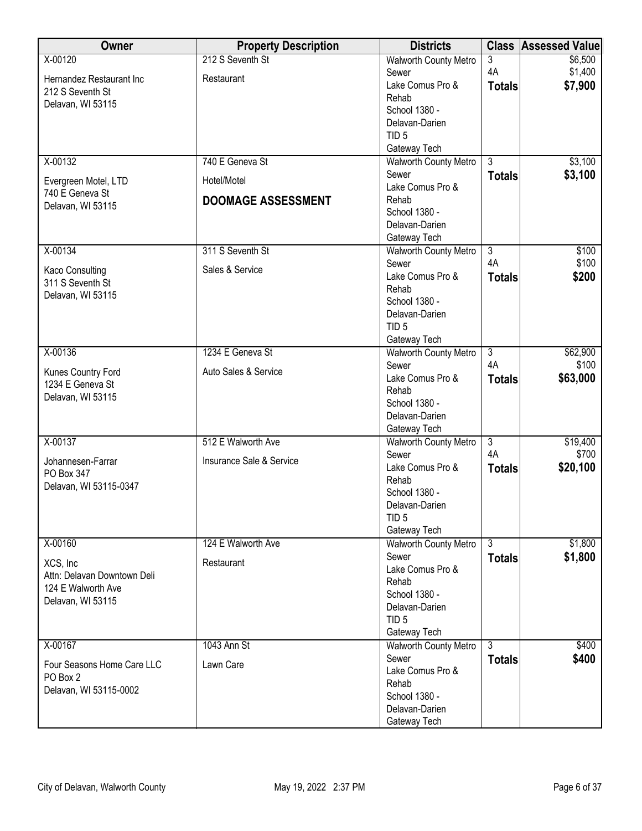| Owner                               | <b>Property Description</b> | <b>Districts</b>                             | <b>Class</b>         | <b>Assessed Value</b> |
|-------------------------------------|-----------------------------|----------------------------------------------|----------------------|-----------------------|
| X-00120                             | 212 S Seventh St            | <b>Walworth County Metro</b>                 | 3                    | \$6,500               |
| Hernandez Restaurant Inc            | Restaurant                  | Sewer                                        | 4A                   | \$1,400               |
| 212 S Seventh St                    |                             | Lake Comus Pro &                             | <b>Totals</b>        | \$7,900               |
| Delavan, WI 53115                   |                             | Rehab                                        |                      |                       |
|                                     |                             | School 1380 -                                |                      |                       |
|                                     |                             | Delavan-Darien                               |                      |                       |
|                                     |                             | TID <sub>5</sub>                             |                      |                       |
| X-00132                             | 740 E Geneva St             | Gateway Tech<br><b>Walworth County Metro</b> | $\overline{3}$       | \$3,100               |
|                                     |                             | Sewer                                        | <b>Totals</b>        | \$3,100               |
| Evergreen Motel, LTD                | Hotel/Motel                 | Lake Comus Pro &                             |                      |                       |
| 740 E Geneva St                     | <b>DOOMAGE ASSESSMENT</b>   | Rehab                                        |                      |                       |
| Delavan, WI 53115                   |                             | School 1380 -                                |                      |                       |
|                                     |                             | Delavan-Darien                               |                      |                       |
|                                     |                             | Gateway Tech                                 |                      |                       |
| X-00134                             | 311 S Seventh St            | <b>Walworth County Metro</b>                 | $\overline{3}$       | \$100                 |
|                                     | Sales & Service             | Sewer                                        | 4A                   | \$100                 |
| Kaco Consulting<br>311 S Seventh St |                             | Lake Comus Pro &                             | <b>Totals</b>        | \$200                 |
| Delavan, WI 53115                   |                             | Rehab                                        |                      |                       |
|                                     |                             | School 1380 -                                |                      |                       |
|                                     |                             | Delavan-Darien                               |                      |                       |
|                                     |                             | TID <sub>5</sub>                             |                      |                       |
|                                     | 1234 E Geneva St            | Gateway Tech                                 |                      |                       |
| X-00136                             |                             | <b>Walworth County Metro</b><br>Sewer        | $\overline{3}$<br>4A | \$62,900<br>\$100     |
| Kunes Country Ford                  | Auto Sales & Service        | Lake Comus Pro &                             | <b>Totals</b>        | \$63,000              |
| 1234 E Geneva St                    |                             | Rehab                                        |                      |                       |
| Delavan, WI 53115                   |                             | School 1380 -                                |                      |                       |
|                                     |                             | Delavan-Darien                               |                      |                       |
|                                     |                             | Gateway Tech                                 |                      |                       |
| X-00137                             | 512 E Walworth Ave          | <b>Walworth County Metro</b>                 | $\overline{3}$       | \$19,400              |
|                                     | Insurance Sale & Service    | Sewer                                        | 4A                   | \$700                 |
| Johannesen-Farrar<br>PO Box 347     |                             | Lake Comus Pro &                             | <b>Totals</b>        | \$20,100              |
| Delavan, WI 53115-0347              |                             | Rehab                                        |                      |                       |
|                                     |                             | School 1380 -                                |                      |                       |
|                                     |                             | Delavan-Darien                               |                      |                       |
|                                     |                             | TID <sub>5</sub>                             |                      |                       |
|                                     |                             | Gateway Tech                                 |                      |                       |
| X-00160                             | 124 E Walworth Ave          | <b>Walworth County Metro</b><br>Sewer        | $\overline{3}$       | \$1,800               |
| XCS, Inc                            | Restaurant                  | Lake Comus Pro &                             | <b>Totals</b>        | \$1,800               |
| Attn: Delavan Downtown Deli         |                             | Rehab                                        |                      |                       |
| 124 E Walworth Ave                  |                             | School 1380 -                                |                      |                       |
| Delavan, WI 53115                   |                             | Delavan-Darien                               |                      |                       |
|                                     |                             | TID <sub>5</sub>                             |                      |                       |
|                                     |                             | Gateway Tech                                 |                      |                       |
| X-00167                             | 1043 Ann St                 | <b>Walworth County Metro</b>                 | $\overline{3}$       | \$400                 |
| Four Seasons Home Care LLC          | Lawn Care                   | Sewer                                        | <b>Totals</b>        | \$400                 |
| PO Box 2                            |                             | Lake Comus Pro &                             |                      |                       |
| Delavan, WI 53115-0002              |                             | Rehab                                        |                      |                       |
|                                     |                             | School 1380 -                                |                      |                       |
|                                     |                             | Delavan-Darien                               |                      |                       |
|                                     |                             | Gateway Tech                                 |                      |                       |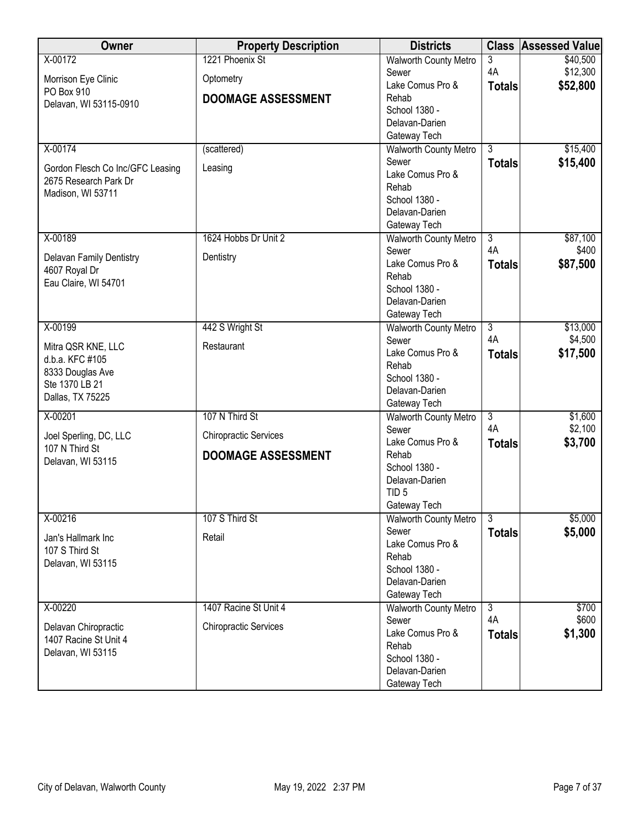| Owner                               | <b>Property Description</b>  | <b>Districts</b>                |                | <b>Class Assessed Value</b> |
|-------------------------------------|------------------------------|---------------------------------|----------------|-----------------------------|
| X-00172                             | 1221 Phoenix St              | <b>Walworth County Metro</b>    | 3              | \$40,500                    |
| Morrison Eye Clinic                 | Optometry                    | Sewer                           | 4A             | \$12,300                    |
| PO Box 910                          |                              | Lake Comus Pro &                | <b>Totals</b>  | \$52,800                    |
| Delavan, WI 53115-0910              | <b>DOOMAGE ASSESSMENT</b>    | Rehab                           |                |                             |
|                                     |                              | School 1380 -                   |                |                             |
|                                     |                              | Delavan-Darien                  |                |                             |
|                                     |                              | Gateway Tech                    |                |                             |
| X-00174                             | (scattered)                  | <b>Walworth County Metro</b>    | $\overline{3}$ | \$15,400                    |
| Gordon Flesch Co Inc/GFC Leasing    | Leasing                      | Sewer                           | <b>Totals</b>  | \$15,400                    |
| 2675 Research Park Dr               |                              | Lake Comus Pro &                |                |                             |
| Madison, WI 53711                   |                              | Rehab                           |                |                             |
|                                     |                              | School 1380 -<br>Delavan-Darien |                |                             |
|                                     |                              | Gateway Tech                    |                |                             |
| X-00189                             | 1624 Hobbs Dr Unit 2         | <b>Walworth County Metro</b>    | $\overline{3}$ | \$87,100                    |
|                                     |                              | Sewer                           | 4A             | \$400                       |
| Delavan Family Dentistry            | Dentistry                    | Lake Comus Pro &                | <b>Totals</b>  | \$87,500                    |
| 4607 Royal Dr                       |                              | Rehab                           |                |                             |
| Eau Claire, WI 54701                |                              | School 1380 -                   |                |                             |
|                                     |                              | Delavan-Darien                  |                |                             |
|                                     |                              | Gateway Tech                    |                |                             |
| X-00199                             | 442 S Wright St              | <b>Walworth County Metro</b>    | $\overline{3}$ | \$13,000                    |
|                                     |                              | Sewer                           | 4A             | \$4,500                     |
| Mitra QSR KNE, LLC                  | Restaurant                   | Lake Comus Pro &                | <b>Totals</b>  | \$17,500                    |
| d.b.a. KFC #105<br>8333 Douglas Ave |                              | Rehab                           |                |                             |
| Ste 1370 LB 21                      |                              | School 1380 -                   |                |                             |
| Dallas, TX 75225                    |                              | Delavan-Darien                  |                |                             |
|                                     |                              | Gateway Tech                    |                |                             |
| X-00201                             | 107 N Third St               | <b>Walworth County Metro</b>    | $\overline{3}$ | \$1,600                     |
| Joel Sperling, DC, LLC              | <b>Chiropractic Services</b> | Sewer                           | 4A             | \$2,100                     |
| 107 N Third St                      |                              | Lake Comus Pro &                | <b>Totals</b>  | \$3,700                     |
| Delavan, WI 53115                   | <b>DOOMAGE ASSESSMENT</b>    | Rehab<br>School 1380 -          |                |                             |
|                                     |                              | Delavan-Darien                  |                |                             |
|                                     |                              | TID <sub>5</sub>                |                |                             |
|                                     |                              | Gateway Tech                    |                |                             |
| X-00216                             | 107 S Third St               | <b>Walworth County Metro</b>    | $\overline{3}$ | \$5,000                     |
|                                     |                              | Sewer                           | <b>Totals</b>  | \$5,000                     |
| Jan's Hallmark Inc                  | Retail                       | Lake Comus Pro &                |                |                             |
| 107 S Third St                      |                              | Rehab                           |                |                             |
| Delavan, WI 53115                   |                              | School 1380 -                   |                |                             |
|                                     |                              | Delavan-Darien                  |                |                             |
|                                     |                              | Gateway Tech                    |                |                             |
| X-00220                             | 1407 Racine St Unit 4        | <b>Walworth County Metro</b>    | $\overline{3}$ | \$700                       |
| Delavan Chiropractic                | <b>Chiropractic Services</b> | Sewer                           | 4A             | \$600                       |
| 1407 Racine St Unit 4               |                              | Lake Comus Pro &                | <b>Totals</b>  | \$1,300                     |
| Delavan, WI 53115                   |                              | Rehab                           |                |                             |
|                                     |                              | School 1380 -                   |                |                             |
|                                     |                              | Delavan-Darien                  |                |                             |
|                                     |                              | Gateway Tech                    |                |                             |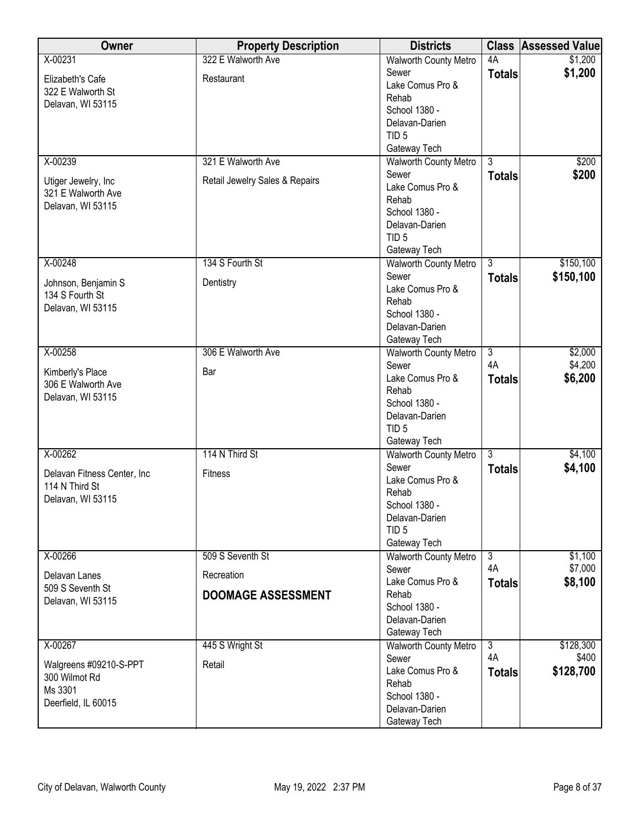| Owner                                   | <b>Property Description</b>    | <b>Districts</b>                             |                | <b>Class Assessed Value</b> |
|-----------------------------------------|--------------------------------|----------------------------------------------|----------------|-----------------------------|
| X-00231                                 | 322 E Walworth Ave             | <b>Walworth County Metro</b>                 | 4A             | \$1,200                     |
| Elizabeth's Cafe                        | Restaurant                     | Sewer                                        | <b>Totals</b>  | \$1,200                     |
| 322 E Walworth St                       |                                | Lake Comus Pro &                             |                |                             |
| Delavan, WI 53115                       |                                | Rehab                                        |                |                             |
|                                         |                                | School 1380 -<br>Delavan-Darien              |                |                             |
|                                         |                                | TID <sub>5</sub>                             |                |                             |
|                                         |                                | Gateway Tech                                 |                |                             |
| X-00239                                 | 321 E Walworth Ave             | <b>Walworth County Metro</b>                 | $\overline{3}$ | \$200                       |
|                                         |                                | Sewer                                        | <b>Totals</b>  | \$200                       |
| Utiger Jewelry, Inc                     | Retail Jewelry Sales & Repairs | Lake Comus Pro &                             |                |                             |
| 321 E Walworth Ave<br>Delavan, WI 53115 |                                | Rehab                                        |                |                             |
|                                         |                                | School 1380 -                                |                |                             |
|                                         |                                | Delavan-Darien                               |                |                             |
|                                         |                                | TID <sub>5</sub>                             |                |                             |
|                                         |                                | Gateway Tech                                 |                |                             |
| X-00248                                 | 134 S Fourth St                | Walworth County Metro                        | $\overline{3}$ | \$150,100                   |
| Johnson, Benjamin S                     | Dentistry                      | Sewer<br>Lake Comus Pro &                    | <b>Totals</b>  | \$150,100                   |
| 134 S Fourth St                         |                                | Rehab                                        |                |                             |
| Delavan, WI 53115                       |                                | School 1380 -                                |                |                             |
|                                         |                                | Delavan-Darien                               |                |                             |
|                                         |                                | Gateway Tech                                 |                |                             |
| X-00258                                 | 306 E Walworth Ave             | <b>Walworth County Metro</b>                 | $\overline{3}$ | \$2,000                     |
|                                         |                                | Sewer                                        | 4A             | \$4,200                     |
| Kimberly's Place<br>306 E Walworth Ave  | Bar                            | Lake Comus Pro &                             | <b>Totals</b>  | \$6,200                     |
| Delavan, WI 53115                       |                                | Rehab                                        |                |                             |
|                                         |                                | School 1380 -                                |                |                             |
|                                         |                                | Delavan-Darien                               |                |                             |
|                                         |                                | TID <sub>5</sub>                             |                |                             |
| X-00262                                 | 114 N Third St                 | Gateway Tech<br><b>Walworth County Metro</b> | $\overline{3}$ | \$4,100                     |
|                                         |                                | Sewer                                        |                | \$4,100                     |
| Delavan Fitness Center, Inc             | <b>Fitness</b>                 | Lake Comus Pro &                             | <b>Totals</b>  |                             |
| 114 N Third St                          |                                | Rehab                                        |                |                             |
| Delavan, WI 53115                       |                                | School 1380 -                                |                |                             |
|                                         |                                | Delavan-Darien                               |                |                             |
|                                         |                                | TID <sub>5</sub>                             |                |                             |
|                                         |                                | Gateway Tech                                 |                |                             |
| X-00266                                 | 509 S Seventh St               | <b>Walworth County Metro</b>                 | $\overline{3}$ | \$1,100                     |
| Delavan Lanes                           | Recreation                     | Sewer                                        | 4A             | \$7,000                     |
| 509 S Seventh St                        |                                | Lake Comus Pro &                             | <b>Totals</b>  | \$8,100                     |
| Delavan, WI 53115                       | <b>DOOMAGE ASSESSMENT</b>      | Rehab<br>School 1380 -                       |                |                             |
|                                         |                                | Delavan-Darien                               |                |                             |
|                                         |                                | Gateway Tech                                 |                |                             |
| X-00267                                 | 445 S Wright St                | <b>Walworth County Metro</b>                 | $\overline{3}$ | \$128,300                   |
|                                         |                                | Sewer                                        | 4A             | \$400                       |
| Walgreens #09210-S-PPT                  | Retail                         | Lake Comus Pro &                             | <b>Totals</b>  | \$128,700                   |
| 300 Wilmot Rd<br>Ms 3301                |                                | Rehab                                        |                |                             |
| Deerfield, IL 60015                     |                                | School 1380 -                                |                |                             |
|                                         |                                | Delavan-Darien                               |                |                             |
|                                         |                                | Gateway Tech                                 |                |                             |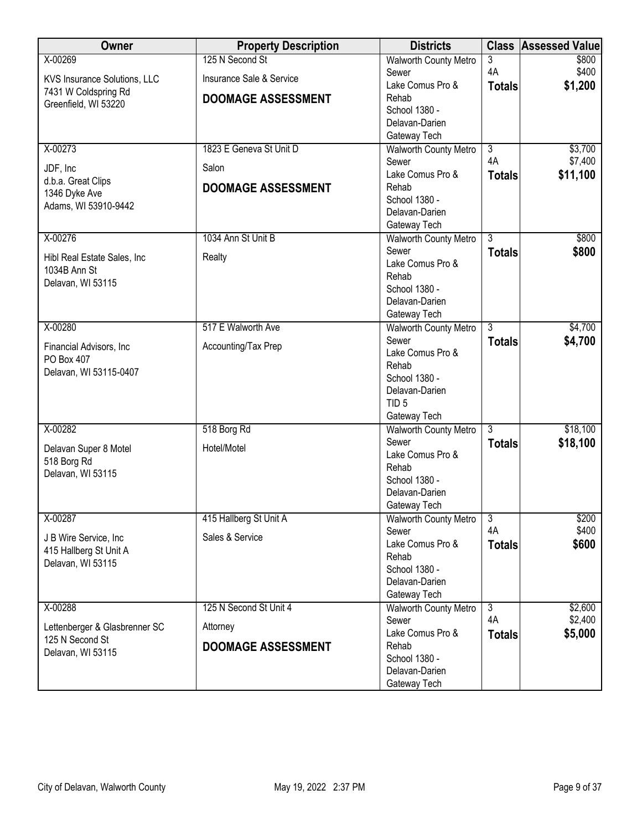| Owner                                            | <b>Property Description</b> | <b>Districts</b>                             | <b>Class</b>   | <b>Assessed Value</b> |
|--------------------------------------------------|-----------------------------|----------------------------------------------|----------------|-----------------------|
| X-00269                                          | 125 N Second St             | <b>Walworth County Metro</b>                 | 3              | \$800                 |
| KVS Insurance Solutions, LLC                     | Insurance Sale & Service    | Sewer                                        | 4A             | \$400                 |
| 7431 W Coldspring Rd                             |                             | Lake Comus Pro &                             | <b>Totals</b>  | \$1,200               |
| Greenfield, WI 53220                             | <b>DOOMAGE ASSESSMENT</b>   | Rehab                                        |                |                       |
|                                                  |                             | School 1380 -                                |                |                       |
|                                                  |                             | Delavan-Darien                               |                |                       |
|                                                  |                             | Gateway Tech                                 |                |                       |
| X-00273                                          | 1823 E Geneva St Unit D     | <b>Walworth County Metro</b>                 | $\overline{3}$ | \$3,700               |
| JDF, Inc                                         | Salon                       | Sewer                                        | 4A             | \$7,400               |
| d.b.a. Great Clips                               |                             | Lake Comus Pro &                             | <b>Totals</b>  | \$11,100              |
| 1346 Dyke Ave                                    | <b>DOOMAGE ASSESSMENT</b>   | Rehab                                        |                |                       |
| Adams, WI 53910-9442                             |                             | School 1380 -<br>Delavan-Darien              |                |                       |
|                                                  |                             | Gateway Tech                                 |                |                       |
| X-00276                                          | 1034 Ann St Unit B          | Walworth County Metro                        | $\overline{3}$ | \$800                 |
|                                                  |                             | Sewer                                        | <b>Totals</b>  | \$800                 |
| Hibl Real Estate Sales, Inc.                     | Realty                      | Lake Comus Pro &                             |                |                       |
| 1034B Ann St                                     |                             | Rehab                                        |                |                       |
| Delavan, WI 53115                                |                             | School 1380 -                                |                |                       |
|                                                  |                             | Delavan-Darien                               |                |                       |
|                                                  |                             | Gateway Tech                                 |                |                       |
| X-00280                                          | 517 E Walworth Ave          | <b>Walworth County Metro</b>                 | $\overline{3}$ | \$4,700               |
|                                                  |                             | Sewer                                        | <b>Totals</b>  | \$4,700               |
| Financial Advisors, Inc.                         | Accounting/Tax Prep         | Lake Comus Pro &                             |                |                       |
| PO Box 407                                       |                             | Rehab                                        |                |                       |
| Delavan, WI 53115-0407                           |                             | School 1380 -                                |                |                       |
|                                                  |                             | Delavan-Darien                               |                |                       |
|                                                  |                             | TID <sub>5</sub>                             |                |                       |
|                                                  |                             | Gateway Tech                                 |                |                       |
| X-00282                                          | 518 Borg Rd                 | <b>Walworth County Metro</b>                 | $\overline{3}$ | \$18,100              |
| Delavan Super 8 Motel                            | Hotel/Motel                 | Sewer                                        | <b>Totals</b>  | \$18,100              |
| 518 Borg Rd                                      |                             | Lake Comus Pro &                             |                |                       |
| Delavan, WI 53115                                |                             | Rehab                                        |                |                       |
|                                                  |                             | School 1380 -<br>Delavan-Darien              |                |                       |
|                                                  |                             |                                              |                |                       |
| X-00287                                          | 415 Hallberg St Unit A      | Gateway Tech<br><b>Walworth County Metro</b> | $\overline{3}$ | \$200                 |
|                                                  |                             | Sewer                                        | 4A             | \$400                 |
| J B Wire Service, Inc                            | Sales & Service             | Lake Comus Pro &                             | <b>Totals</b>  | \$600                 |
| 415 Hallberg St Unit A                           |                             | Rehab                                        |                |                       |
| Delavan, WI 53115                                |                             | School 1380 -                                |                |                       |
|                                                  |                             | Delavan-Darien                               |                |                       |
|                                                  |                             | Gateway Tech                                 |                |                       |
| X-00288                                          | 125 N Second St Unit 4      | <b>Walworth County Metro</b>                 | $\overline{3}$ | \$2,600               |
|                                                  |                             | Sewer                                        | 4A             | \$2,400               |
| Lettenberger & Glasbrenner SC<br>125 N Second St | Attorney                    | Lake Comus Pro &                             | <b>Totals</b>  | \$5,000               |
| Delavan, WI 53115                                | <b>DOOMAGE ASSESSMENT</b>   | Rehab                                        |                |                       |
|                                                  |                             | School 1380 -                                |                |                       |
|                                                  |                             | Delavan-Darien                               |                |                       |
|                                                  |                             | Gateway Tech                                 |                |                       |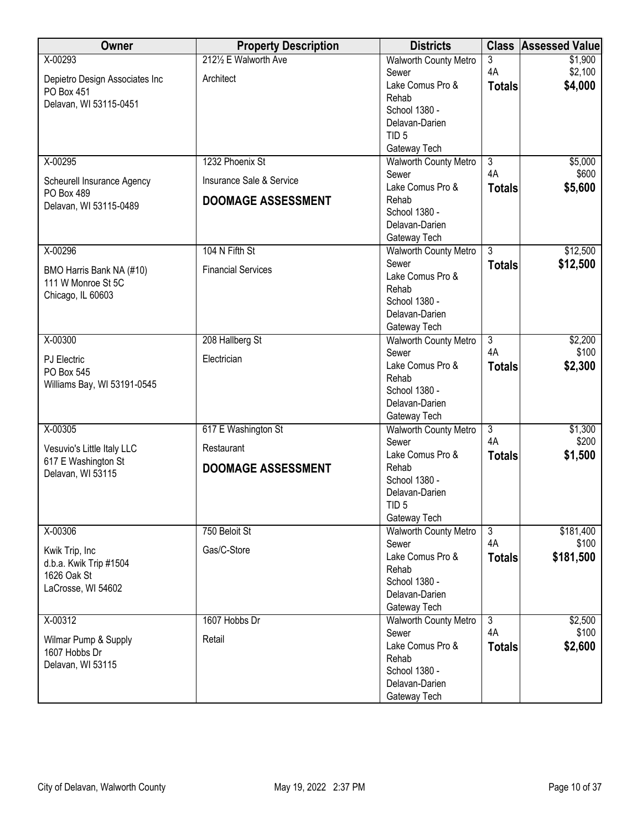| Owner                                 | <b>Property Description</b> | <b>Districts</b>                   |                | <b>Class Assessed Value</b> |
|---------------------------------------|-----------------------------|------------------------------------|----------------|-----------------------------|
| X-00293                               | 2121/2 E Walworth Ave       | <b>Walworth County Metro</b>       | 3              | \$1,900                     |
| Depietro Design Associates Inc        | Architect                   | Sewer                              | 4A             | \$2,100                     |
| PO Box 451                            |                             | Lake Comus Pro &                   | <b>Totals</b>  | \$4,000                     |
| Delavan, WI 53115-0451                |                             | Rehab                              |                |                             |
|                                       |                             | School 1380 -                      |                |                             |
|                                       |                             | Delavan-Darien<br>TID <sub>5</sub> |                |                             |
|                                       |                             | Gateway Tech                       |                |                             |
| X-00295                               | 1232 Phoenix St             | <b>Walworth County Metro</b>       | $\overline{3}$ | \$5,000                     |
|                                       |                             | Sewer                              | 4A             | \$600                       |
| Scheurell Insurance Agency            | Insurance Sale & Service    | Lake Comus Pro &                   | <b>Totals</b>  | \$5,600                     |
| PO Box 489                            | <b>DOOMAGE ASSESSMENT</b>   | Rehab                              |                |                             |
| Delavan, WI 53115-0489                |                             | School 1380 -                      |                |                             |
|                                       |                             | Delavan-Darien                     |                |                             |
|                                       |                             | Gateway Tech                       |                |                             |
| X-00296                               | 104 N Fifth St              | <b>Walworth County Metro</b>       | $\overline{3}$ | \$12,500                    |
| BMO Harris Bank NA (#10)              | <b>Financial Services</b>   | Sewer                              | <b>Totals</b>  | \$12,500                    |
| 111 W Monroe St 5C                    |                             | Lake Comus Pro &                   |                |                             |
| Chicago, IL 60603                     |                             | Rehab                              |                |                             |
|                                       |                             | School 1380 -                      |                |                             |
|                                       |                             | Delavan-Darien<br>Gateway Tech     |                |                             |
| X-00300                               | 208 Hallberg St             | <b>Walworth County Metro</b>       | $\overline{3}$ | \$2,200                     |
|                                       |                             | Sewer                              | 4A             | \$100                       |
| <b>PJ</b> Electric                    | Electrician                 | Lake Comus Pro &                   | <b>Totals</b>  | \$2,300                     |
| PO Box 545                            |                             | Rehab                              |                |                             |
| Williams Bay, WI 53191-0545           |                             | School 1380 -                      |                |                             |
|                                       |                             | Delavan-Darien                     |                |                             |
|                                       |                             | Gateway Tech                       |                |                             |
| X-00305                               | 617 E Washington St         | <b>Walworth County Metro</b>       | $\overline{3}$ | \$1,300                     |
| Vesuvio's Little Italy LLC            | Restaurant                  | Sewer                              | 4A             | \$200                       |
| 617 E Washington St                   |                             | Lake Comus Pro &                   | <b>Totals</b>  | \$1,500                     |
| Delavan, WI 53115                     | <b>DOOMAGE ASSESSMENT</b>   | Rehab<br>School 1380 -             |                |                             |
|                                       |                             | Delavan-Darien                     |                |                             |
|                                       |                             | TID <sub>5</sub>                   |                |                             |
|                                       |                             | Gateway Tech                       |                |                             |
| X-00306                               | 750 Beloit St               | <b>Walworth County Metro</b>       | $\overline{3}$ | \$181,400                   |
|                                       |                             | Sewer                              | 4A             | \$100                       |
| Kwik Trip, Inc                        | Gas/C-Store                 | Lake Comus Pro &                   | <b>Totals</b>  | \$181,500                   |
| d.b.a. Kwik Trip #1504<br>1626 Oak St |                             | Rehab                              |                |                             |
| LaCrosse, WI 54602                    |                             | School 1380 -                      |                |                             |
|                                       |                             | Delavan-Darien                     |                |                             |
|                                       |                             | Gateway Tech                       |                |                             |
| X-00312                               | 1607 Hobbs Dr               | <b>Walworth County Metro</b>       | $\overline{3}$ | \$2,500                     |
| Wilmar Pump & Supply                  | Retail                      | Sewer                              | 4A             | \$100                       |
| 1607 Hobbs Dr                         |                             | Lake Comus Pro &<br>Rehab          | <b>Totals</b>  | \$2,600                     |
| Delavan, WI 53115                     |                             | School 1380 -                      |                |                             |
|                                       |                             | Delavan-Darien                     |                |                             |
|                                       |                             | Gateway Tech                       |                |                             |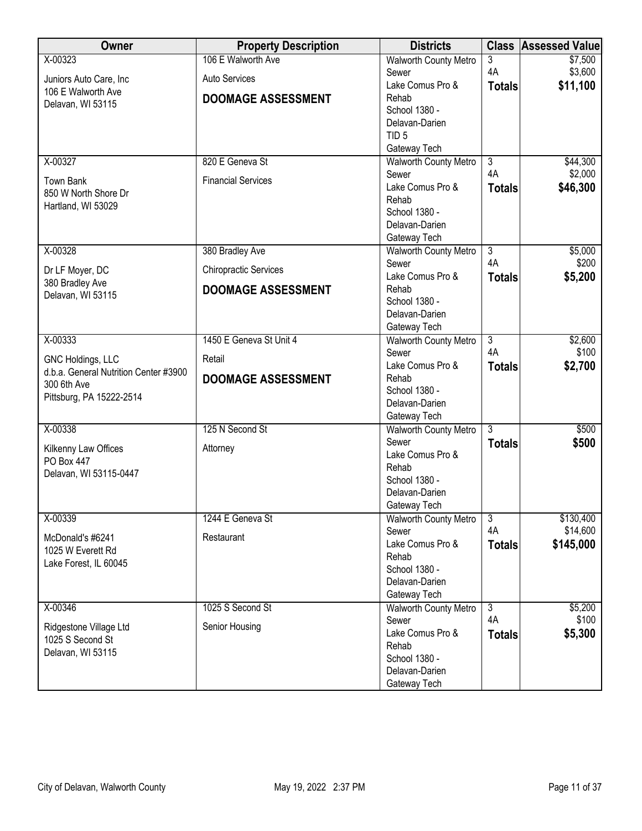| Owner                                 | <b>Property Description</b>  | <b>Districts</b>                             |                      | <b>Class Assessed Value</b> |
|---------------------------------------|------------------------------|----------------------------------------------|----------------------|-----------------------------|
| X-00323                               | 106 E Walworth Ave           | <b>Walworth County Metro</b>                 | 3                    | \$7,500                     |
| Juniors Auto Care, Inc                | <b>Auto Services</b>         | Sewer                                        | 4A                   | \$3,600                     |
| 106 E Walworth Ave                    |                              | Lake Comus Pro &                             | <b>Totals</b>        | \$11,100                    |
| Delavan, WI 53115                     | <b>DOOMAGE ASSESSMENT</b>    | Rehab                                        |                      |                             |
|                                       |                              | School 1380 -                                |                      |                             |
|                                       |                              | Delavan-Darien                               |                      |                             |
|                                       |                              | TID <sub>5</sub>                             |                      |                             |
| X-00327                               | 820 E Geneva St              | Gateway Tech<br><b>Walworth County Metro</b> | $\overline{3}$       | \$44,300                    |
|                                       |                              | Sewer                                        | 4A                   | \$2,000                     |
| <b>Town Bank</b>                      | <b>Financial Services</b>    | Lake Comus Pro &                             | <b>Totals</b>        | \$46,300                    |
| 850 W North Shore Dr                  |                              | Rehab                                        |                      |                             |
| Hartland, WI 53029                    |                              | School 1380 -                                |                      |                             |
|                                       |                              | Delavan-Darien                               |                      |                             |
|                                       |                              | Gateway Tech                                 |                      |                             |
| X-00328                               | 380 Bradley Ave              | <b>Walworth County Metro</b>                 | $\overline{3}$       | \$5,000                     |
| Dr LF Moyer, DC                       | <b>Chiropractic Services</b> | Sewer                                        | 4A                   | \$200                       |
| 380 Bradley Ave                       |                              | Lake Comus Pro &                             | <b>Totals</b>        | \$5,200                     |
| Delavan, WI 53115                     | <b>DOOMAGE ASSESSMENT</b>    | Rehab                                        |                      |                             |
|                                       |                              | School 1380 -                                |                      |                             |
|                                       |                              | Delavan-Darien                               |                      |                             |
|                                       |                              | Gateway Tech                                 |                      |                             |
| X-00333                               | 1450 E Geneva St Unit 4      | <b>Walworth County Metro</b><br>Sewer        | $\overline{3}$<br>4A | \$2,600<br>\$100            |
| GNC Holdings, LLC                     | Retail                       | Lake Comus Pro &                             | <b>Totals</b>        | \$2,700                     |
| d.b.a. General Nutrition Center #3900 | <b>DOOMAGE ASSESSMENT</b>    | Rehab                                        |                      |                             |
| 300 6th Ave                           |                              | School 1380 -                                |                      |                             |
| Pittsburg, PA 15222-2514              |                              | Delavan-Darien                               |                      |                             |
|                                       |                              | Gateway Tech                                 |                      |                             |
| X-00338                               | 125 N Second St              | <b>Walworth County Metro</b>                 | $\overline{3}$       | \$500                       |
| Kilkenny Law Offices                  | Attorney                     | Sewer                                        | <b>Totals</b>        | \$500                       |
| PO Box 447                            |                              | Lake Comus Pro &                             |                      |                             |
| Delavan, WI 53115-0447                |                              | Rehab                                        |                      |                             |
|                                       |                              | School 1380 -                                |                      |                             |
|                                       |                              | Delavan-Darien                               |                      |                             |
| X-00339                               | 1244 E Geneva St             | Gateway Tech<br><b>Walworth County Metro</b> | $\overline{3}$       | \$130,400                   |
|                                       |                              | Sewer                                        | 4A                   | \$14,600                    |
| McDonald's #6241                      | Restaurant                   | Lake Comus Pro &                             | <b>Totals</b>        | \$145,000                   |
| 1025 W Everett Rd                     |                              | Rehab                                        |                      |                             |
| Lake Forest, IL 60045                 |                              | School 1380 -                                |                      |                             |
|                                       |                              | Delavan-Darien                               |                      |                             |
|                                       |                              | Gateway Tech                                 |                      |                             |
| X-00346                               | 1025 S Second St             | <b>Walworth County Metro</b>                 | $\overline{3}$       | \$5,200                     |
| Ridgestone Village Ltd                | Senior Housing               | Sewer                                        | 4A                   | \$100                       |
| 1025 S Second St                      |                              | Lake Comus Pro &                             | <b>Totals</b>        | \$5,300                     |
| Delavan, WI 53115                     |                              | Rehab                                        |                      |                             |
|                                       |                              | School 1380 -                                |                      |                             |
|                                       |                              | Delavan-Darien                               |                      |                             |
|                                       |                              | Gateway Tech                                 |                      |                             |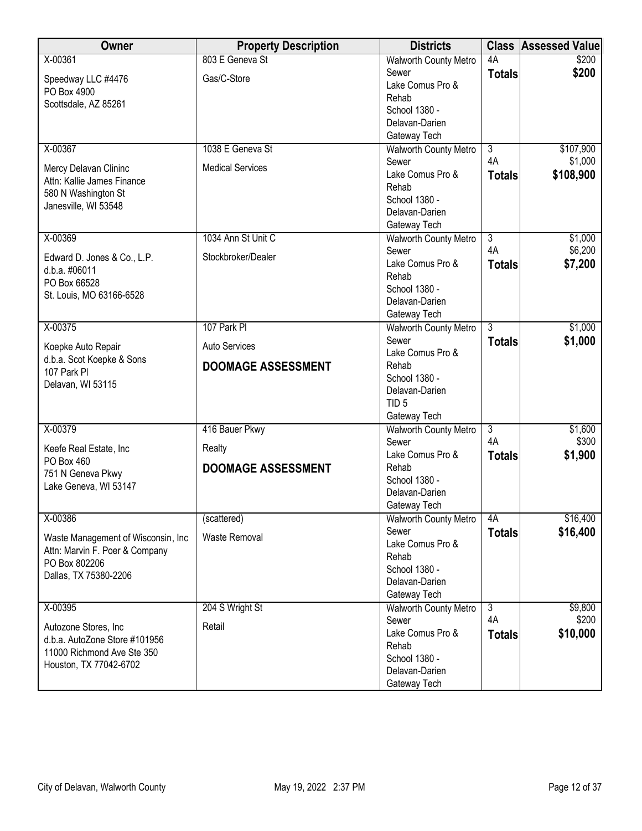| Owner                                        | <b>Property Description</b> | <b>Districts</b>                             | <b>Class</b>         | <b>Assessed Value</b> |
|----------------------------------------------|-----------------------------|----------------------------------------------|----------------------|-----------------------|
| X-00361                                      | 803 E Geneva St             | <b>Walworth County Metro</b>                 | 4A                   | \$200                 |
| Speedway LLC #4476                           | Gas/C-Store                 | Sewer                                        | <b>Totals</b>        | \$200                 |
| PO Box 4900                                  |                             | Lake Comus Pro &                             |                      |                       |
| Scottsdale, AZ 85261                         |                             | Rehab<br>School 1380 -                       |                      |                       |
|                                              |                             | Delavan-Darien                               |                      |                       |
|                                              |                             | Gateway Tech                                 |                      |                       |
| X-00367                                      | 1038 E Geneva St            | <b>Walworth County Metro</b>                 | $\overline{3}$       | \$107,900             |
| Mercy Delavan Clininc                        | <b>Medical Services</b>     | Sewer                                        | 4A                   | \$1,000               |
| Attn: Kallie James Finance                   |                             | Lake Comus Pro &                             | <b>Totals</b>        | \$108,900             |
| 580 N Washington St                          |                             | Rehab                                        |                      |                       |
| Janesville, WI 53548                         |                             | School 1380 -<br>Delavan-Darien              |                      |                       |
|                                              |                             | Gateway Tech                                 |                      |                       |
| X-00369                                      | 1034 Ann St Unit C          | Walworth County Metro                        | $\overline{3}$       | \$1,000               |
|                                              | Stockbroker/Dealer          | Sewer                                        | 4A                   | \$6,200               |
| Edward D. Jones & Co., L.P.<br>d.b.a. #06011 |                             | Lake Comus Pro &                             | <b>Totals</b>        | \$7,200               |
| PO Box 66528                                 |                             | Rehab                                        |                      |                       |
| St. Louis, MO 63166-6528                     |                             | School 1380 -                                |                      |                       |
|                                              |                             | Delavan-Darien                               |                      |                       |
| X-00375                                      | 107 Park PI                 | Gateway Tech<br><b>Walworth County Metro</b> | $\overline{3}$       | \$1,000               |
|                                              |                             | Sewer                                        | <b>Totals</b>        | \$1,000               |
| Koepke Auto Repair                           | <b>Auto Services</b>        | Lake Comus Pro &                             |                      |                       |
| d.b.a. Scot Koepke & Sons<br>107 Park PI     | <b>DOOMAGE ASSESSMENT</b>   | Rehab                                        |                      |                       |
| Delavan, WI 53115                            |                             | School 1380 -                                |                      |                       |
|                                              |                             | Delavan-Darien                               |                      |                       |
|                                              |                             | TID <sub>5</sub><br>Gateway Tech             |                      |                       |
| X-00379                                      | 416 Bauer Pkwy              | Walworth County Metro                        | $\overline{3}$       | \$1,600               |
|                                              |                             | Sewer                                        | 4A                   | \$300                 |
| Keefe Real Estate, Inc                       | Realty                      | Lake Comus Pro &                             | <b>Totals</b>        | \$1,900               |
| PO Box 460<br>751 N Geneva Pkwy              | <b>DOOMAGE ASSESSMENT</b>   | Rehab                                        |                      |                       |
| Lake Geneva, WI 53147                        |                             | School 1380 -                                |                      |                       |
|                                              |                             | Delavan-Darien                               |                      |                       |
| X-00386                                      |                             | Gateway Tech                                 | 4A                   | \$16,400              |
|                                              | (scattered)                 | <b>Walworth County Metro</b><br>Sewer        | <b>Totals</b>        | \$16,400              |
| Waste Management of Wisconsin, Inc.          | <b>Waste Removal</b>        | Lake Comus Pro &                             |                      |                       |
| Attn: Marvin F. Poer & Company               |                             | Rehab                                        |                      |                       |
| PO Box 802206<br>Dallas, TX 75380-2206       |                             | School 1380 -                                |                      |                       |
|                                              |                             | Delavan-Darien                               |                      |                       |
|                                              |                             | Gateway Tech                                 |                      |                       |
| X-00395                                      | 204 S Wright St             | <b>Walworth County Metro</b><br>Sewer        | $\overline{3}$<br>4A | \$9,800<br>\$200      |
| Autozone Stores, Inc                         | Retail                      | Lake Comus Pro &                             | <b>Totals</b>        | \$10,000              |
| d.b.a. AutoZone Store #101956                |                             | Rehab                                        |                      |                       |
| 11000 Richmond Ave Ste 350                   |                             | School 1380 -                                |                      |                       |
| Houston, TX 77042-6702                       |                             | Delavan-Darien                               |                      |                       |
|                                              |                             | Gateway Tech                                 |                      |                       |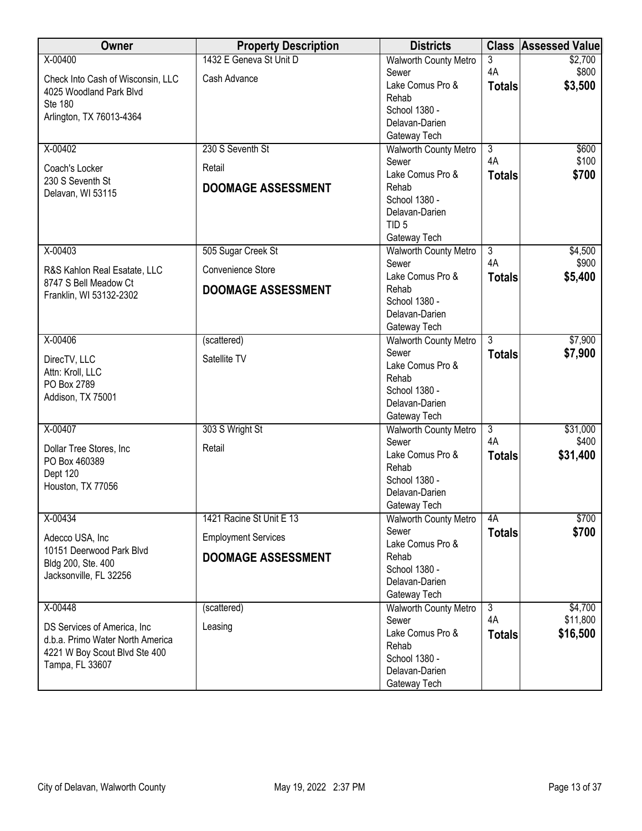| Owner                                        | <b>Property Description</b> | <b>Districts</b>                             | <b>Class</b>   | <b>Assessed Value</b> |
|----------------------------------------------|-----------------------------|----------------------------------------------|----------------|-----------------------|
| X-00400                                      | 1432 E Geneva St Unit D     | <b>Walworth County Metro</b>                 | 3              | \$2,700               |
| Check Into Cash of Wisconsin, LLC            | Cash Advance                | Sewer                                        | 4A             | \$800                 |
| 4025 Woodland Park Blvd                      |                             | Lake Comus Pro &                             | <b>Totals</b>  | \$3,500               |
| <b>Ste 180</b>                               |                             | Rehab                                        |                |                       |
| Arlington, TX 76013-4364                     |                             | School 1380 -                                |                |                       |
|                                              |                             | Delavan-Darien                               |                |                       |
| X-00402                                      | 230 S Seventh St            | Gateway Tech<br><b>Walworth County Metro</b> | $\overline{3}$ | \$600                 |
|                                              |                             | Sewer                                        | 4A             | \$100                 |
| Coach's Locker                               | Retail                      | Lake Comus Pro &                             | <b>Totals</b>  | \$700                 |
| 230 S Seventh St                             | <b>DOOMAGE ASSESSMENT</b>   | Rehab                                        |                |                       |
| Delavan, WI 53115                            |                             | School 1380 -                                |                |                       |
|                                              |                             | Delavan-Darien                               |                |                       |
|                                              |                             | TID <sub>5</sub>                             |                |                       |
|                                              |                             | Gateway Tech                                 |                |                       |
| X-00403                                      | 505 Sugar Creek St          | <b>Walworth County Metro</b>                 | $\overline{3}$ | \$4,500               |
| R&S Kahlon Real Esatate, LLC                 | Convenience Store           | Sewer                                        | 4A             | \$900                 |
| 8747 S Bell Meadow Ct                        |                             | Lake Comus Pro &                             | <b>Totals</b>  | \$5,400               |
| Franklin, WI 53132-2302                      | <b>DOOMAGE ASSESSMENT</b>   | Rehab                                        |                |                       |
|                                              |                             | School 1380 -                                |                |                       |
|                                              |                             | Delavan-Darien                               |                |                       |
| X-00406                                      | (scattered)                 | Gateway Tech<br><b>Walworth County Metro</b> | $\overline{3}$ | \$7,900               |
|                                              |                             | Sewer                                        | <b>Totals</b>  | \$7,900               |
| DirecTV, LLC                                 | Satellite TV                | Lake Comus Pro &                             |                |                       |
| Attn: Kroll, LLC                             |                             | Rehab                                        |                |                       |
| PO Box 2789                                  |                             | School 1380 -                                |                |                       |
| Addison, TX 75001                            |                             | Delavan-Darien                               |                |                       |
|                                              |                             | Gateway Tech                                 |                |                       |
| X-00407                                      | 303 S Wright St             | <b>Walworth County Metro</b>                 | $\overline{3}$ | \$31,000              |
| Dollar Tree Stores, Inc                      | Retail                      | Sewer                                        | 4A             | \$400                 |
| PO Box 460389                                |                             | Lake Comus Pro &                             | <b>Totals</b>  | \$31,400              |
| Dept 120                                     |                             | Rehab                                        |                |                       |
| Houston, TX 77056                            |                             | School 1380 -<br>Delavan-Darien              |                |                       |
|                                              |                             | Gateway Tech                                 |                |                       |
| X-00434                                      | 1421 Racine St Unit E 13    | <b>Walworth County Metro</b>                 | 4A             | \$700                 |
|                                              |                             | Sewer                                        | <b>Totals</b>  | \$700                 |
| Adecco USA, Inc                              | <b>Employment Services</b>  | Lake Comus Pro &                             |                |                       |
| 10151 Deerwood Park Blvd                     | <b>DOOMAGE ASSESSMENT</b>   | Rehab                                        |                |                       |
| Bldg 200, Ste. 400<br>Jacksonville, FL 32256 |                             | School 1380 -                                |                |                       |
|                                              |                             | Delavan-Darien                               |                |                       |
|                                              |                             | Gateway Tech                                 |                |                       |
| X-00448                                      | (scattered)                 | <b>Walworth County Metro</b>                 | $\overline{3}$ | \$4,700               |
| DS Services of America, Inc.                 | Leasing                     | Sewer                                        | 4A             | \$11,800              |
| d.b.a. Primo Water North America             |                             | Lake Comus Pro &                             | <b>Totals</b>  | \$16,500              |
| 4221 W Boy Scout Blvd Ste 400                |                             | Rehab<br>School 1380 -                       |                |                       |
| Tampa, FL 33607                              |                             | Delavan-Darien                               |                |                       |
|                                              |                             | Gateway Tech                                 |                |                       |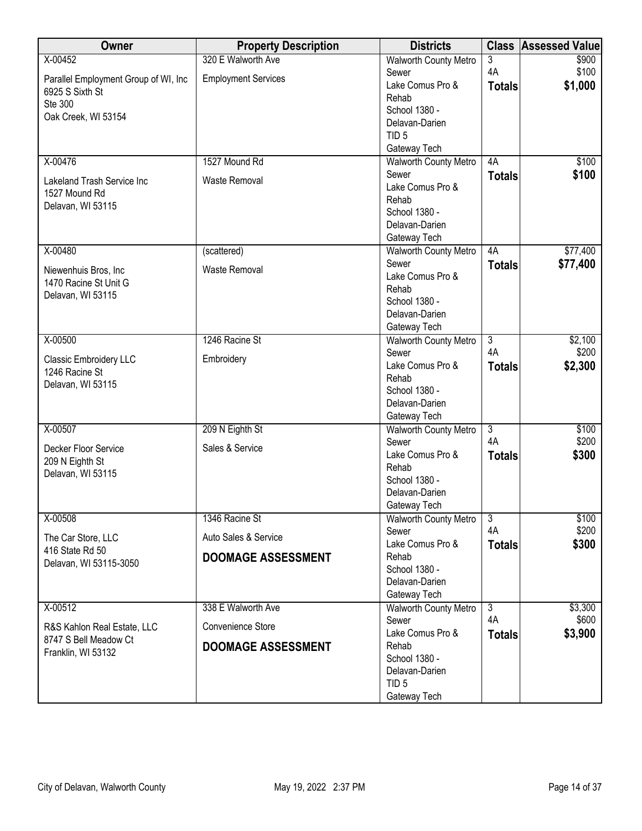| Owner                                | <b>Property Description</b> | <b>Districts</b>                | <b>Class</b>   | <b>Assessed Value</b> |
|--------------------------------------|-----------------------------|---------------------------------|----------------|-----------------------|
| X-00452                              | 320 E Walworth Ave          | <b>Walworth County Metro</b>    | 3              | \$900                 |
| Parallel Employment Group of WI, Inc | <b>Employment Services</b>  | Sewer                           | 4A             | \$100                 |
| 6925 S Sixth St                      |                             | Lake Comus Pro &                | <b>Totals</b>  | \$1,000               |
| Ste 300                              |                             | Rehab                           |                |                       |
| Oak Creek, WI 53154                  |                             | School 1380 -                   |                |                       |
|                                      |                             | Delavan-Darien                  |                |                       |
|                                      |                             | TID <sub>5</sub>                |                |                       |
|                                      |                             | Gateway Tech                    |                |                       |
| X-00476                              | 1527 Mound Rd               | <b>Walworth County Metro</b>    | 4A             | \$100                 |
| Lakeland Trash Service Inc           | <b>Waste Removal</b>        | Sewer                           | <b>Totals</b>  | \$100                 |
| 1527 Mound Rd                        |                             | Lake Comus Pro &                |                |                       |
| Delavan, WI 53115                    |                             | Rehab                           |                |                       |
|                                      |                             | School 1380 -<br>Delavan-Darien |                |                       |
|                                      |                             |                                 |                |                       |
| X-00480                              |                             | Gateway Tech                    | 4A             | \$77,400              |
|                                      | (scattered)                 | Walworth County Metro<br>Sewer  |                |                       |
| Niewenhuis Bros, Inc                 | Waste Removal               | Lake Comus Pro &                | <b>Totals</b>  | \$77,400              |
| 1470 Racine St Unit G                |                             | Rehab                           |                |                       |
| Delavan, WI 53115                    |                             | School 1380 -                   |                |                       |
|                                      |                             | Delavan-Darien                  |                |                       |
|                                      |                             | Gateway Tech                    |                |                       |
| X-00500                              | 1246 Racine St              | <b>Walworth County Metro</b>    | $\overline{3}$ | \$2,100               |
|                                      |                             | Sewer                           | 4A             | \$200                 |
| Classic Embroidery LLC               | Embroidery                  | Lake Comus Pro &                | <b>Totals</b>  | \$2,300               |
| 1246 Racine St                       |                             | Rehab                           |                |                       |
| Delavan, WI 53115                    |                             | School 1380 -                   |                |                       |
|                                      |                             | Delavan-Darien                  |                |                       |
|                                      |                             | Gateway Tech                    |                |                       |
| X-00507                              | 209 N Eighth St             | <b>Walworth County Metro</b>    | $\overline{3}$ | \$100                 |
|                                      |                             | Sewer                           | 4A             | \$200                 |
| Decker Floor Service                 | Sales & Service             | Lake Comus Pro &                | <b>Totals</b>  | \$300                 |
| 209 N Eighth St                      |                             | Rehab                           |                |                       |
| Delavan, WI 53115                    |                             | School 1380 -                   |                |                       |
|                                      |                             | Delavan-Darien                  |                |                       |
|                                      |                             | Gateway Tech                    |                |                       |
| X-00508                              | 1346 Racine St              | <b>Walworth County Metro</b>    | $\overline{3}$ | \$100                 |
| The Car Store, LLC                   | Auto Sales & Service        | Sewer                           | 4A             | \$200                 |
| 416 State Rd 50                      |                             | Lake Comus Pro &                | <b>Totals</b>  | \$300                 |
| Delavan, WI 53115-3050               | <b>DOOMAGE ASSESSMENT</b>   | Rehab                           |                |                       |
|                                      |                             | School 1380 -                   |                |                       |
|                                      |                             | Delavan-Darien                  |                |                       |
|                                      |                             | Gateway Tech                    |                |                       |
| X-00512                              | 338 E Walworth Ave          | Walworth County Metro           | $\overline{3}$ | \$3,300               |
| R&S Kahlon Real Estate, LLC          | Convenience Store           | Sewer                           | 4A             | \$600                 |
| 8747 S Bell Meadow Ct                |                             | Lake Comus Pro &                | <b>Totals</b>  | \$3,900               |
| Franklin, WI 53132                   | <b>DOOMAGE ASSESSMENT</b>   | Rehab                           |                |                       |
|                                      |                             | School 1380 -                   |                |                       |
|                                      |                             | Delavan-Darien                  |                |                       |
|                                      |                             | TID <sub>5</sub>                |                |                       |
|                                      |                             | Gateway Tech                    |                |                       |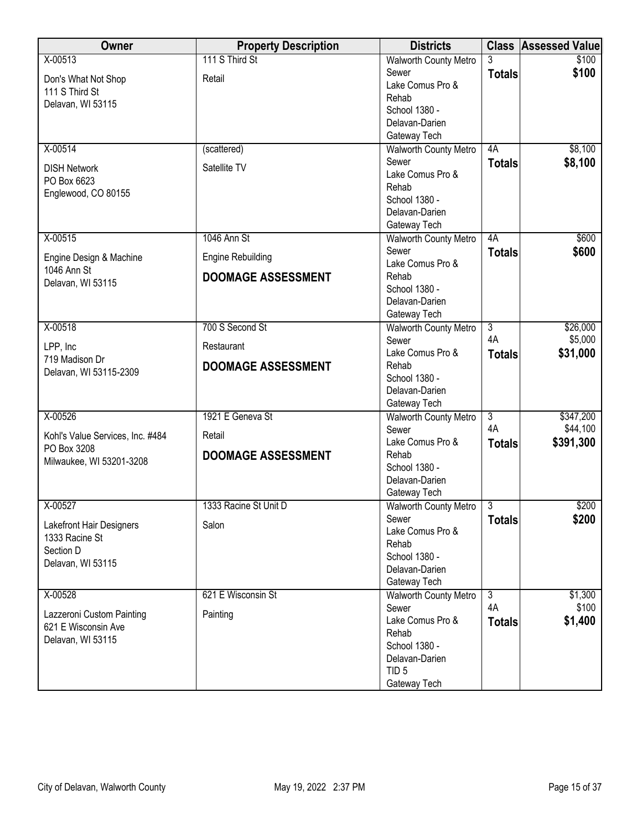| Owner                                      | <b>Property Description</b> | <b>Districts</b>                      |                      | <b>Class Assessed Value</b> |
|--------------------------------------------|-----------------------------|---------------------------------------|----------------------|-----------------------------|
| $X - 00513$                                | 111 S Third St              | <b>Walworth County Metro</b>          | 3                    | \$100                       |
| Don's What Not Shop                        | Retail                      | Sewer                                 | <b>Totals</b>        | \$100                       |
| 111 S Third St                             |                             | Lake Comus Pro &                      |                      |                             |
| Delavan, WI 53115                          |                             | Rehab<br>School 1380 -                |                      |                             |
|                                            |                             | Delavan-Darien                        |                      |                             |
|                                            |                             | Gateway Tech                          |                      |                             |
| $X-00514$                                  | (scattered)                 | Walworth County Metro                 | 4A                   | \$8,100                     |
|                                            | Satellite TV                | Sewer                                 | <b>Totals</b>        | \$8,100                     |
| <b>DISH Network</b><br>PO Box 6623         |                             | Lake Comus Pro &                      |                      |                             |
| Englewood, CO 80155                        |                             | Rehab                                 |                      |                             |
|                                            |                             | School 1380 -                         |                      |                             |
|                                            |                             | Delavan-Darien                        |                      |                             |
|                                            |                             | Gateway Tech                          |                      |                             |
| $X-00515$                                  | 1046 Ann St                 | Walworth County Metro<br>Sewer        | 4A                   | \$600<br>\$600              |
| Engine Design & Machine                    | <b>Engine Rebuilding</b>    | Lake Comus Pro &                      | <b>Totals</b>        |                             |
| 1046 Ann St                                | <b>DOOMAGE ASSESSMENT</b>   | Rehab                                 |                      |                             |
| Delavan, WI 53115                          |                             | School 1380 -                         |                      |                             |
|                                            |                             | Delavan-Darien                        |                      |                             |
|                                            |                             | Gateway Tech                          |                      |                             |
| X-00518                                    | 700 S Second St             | <b>Walworth County Metro</b>          | $\overline{3}$       | \$26,000                    |
| LPP, Inc                                   | Restaurant                  | Sewer<br>Lake Comus Pro &             | 4A                   | \$5,000                     |
| 719 Madison Dr                             | <b>DOOMAGE ASSESSMENT</b>   | Rehab                                 | <b>Totals</b>        | \$31,000                    |
| Delavan, WI 53115-2309                     |                             | School 1380 -                         |                      |                             |
|                                            |                             | Delavan-Darien                        |                      |                             |
|                                            |                             | Gateway Tech                          |                      |                             |
| X-00526                                    | 1921 E Geneva St            | <b>Walworth County Metro</b>          | $\overline{3}$       | \$347,200                   |
| Kohl's Value Services, Inc. #484           | Retail                      | Sewer                                 | 4A                   | \$44,100                    |
| PO Box 3208                                |                             | Lake Comus Pro &                      | <b>Totals</b>        | \$391,300                   |
| Milwaukee, WI 53201-3208                   | <b>DOOMAGE ASSESSMENT</b>   | Rehab                                 |                      |                             |
|                                            |                             | School 1380 -<br>Delavan-Darien       |                      |                             |
|                                            |                             | Gateway Tech                          |                      |                             |
| X-00527                                    | 1333 Racine St Unit D       | Walworth County Metro   3             |                      | \$200                       |
|                                            |                             | Sewer                                 | <b>Totals</b>        | \$200                       |
| Lakefront Hair Designers<br>1333 Racine St | Salon                       | Lake Comus Pro &                      |                      |                             |
| Section D                                  |                             | Rehab                                 |                      |                             |
| Delavan, WI 53115                          |                             | School 1380 -                         |                      |                             |
|                                            |                             | Delavan-Darien                        |                      |                             |
|                                            |                             | Gateway Tech                          |                      |                             |
| X-00528                                    | 621 E Wisconsin St          | <b>Walworth County Metro</b><br>Sewer | $\overline{3}$<br>4A | \$1,300<br>\$100            |
| Lazzeroni Custom Painting                  | Painting                    | Lake Comus Pro &                      | <b>Totals</b>        | \$1,400                     |
| 621 E Wisconsin Ave                        |                             | Rehab                                 |                      |                             |
| Delavan, WI 53115                          |                             | School 1380 -                         |                      |                             |
|                                            |                             | Delavan-Darien                        |                      |                             |
|                                            |                             | TID <sub>5</sub>                      |                      |                             |
|                                            |                             | Gateway Tech                          |                      |                             |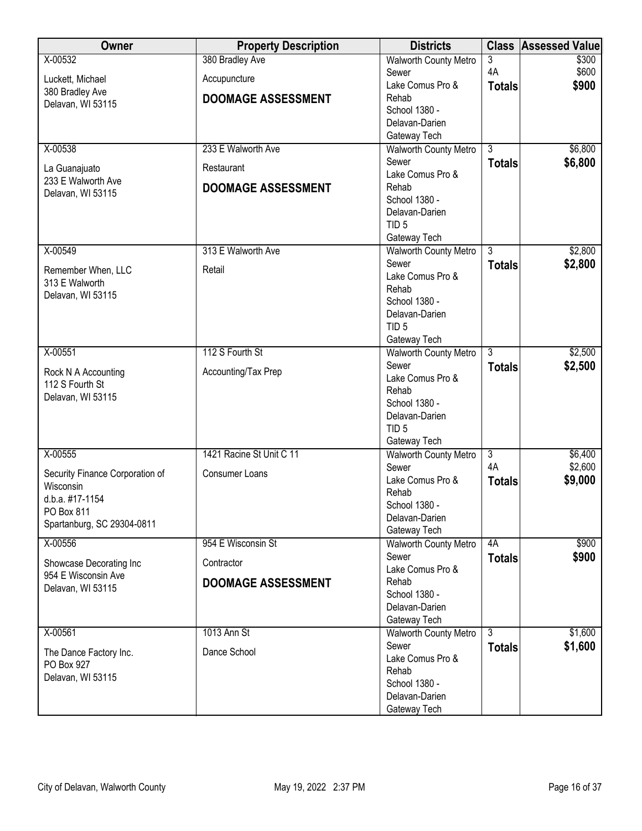| <b>Owner</b>                                   | <b>Property Description</b> | <b>Districts</b>                   | <b>Class</b>   | <b>Assessed Value</b> |
|------------------------------------------------|-----------------------------|------------------------------------|----------------|-----------------------|
| X-00532                                        | 380 Bradley Ave             | <b>Walworth County Metro</b>       | 3              | \$300                 |
| Luckett, Michael                               | Accupuncture                | Sewer                              | 4A             | \$600                 |
| 380 Bradley Ave                                |                             | Lake Comus Pro &                   | <b>Totals</b>  | \$900                 |
| Delavan, WI 53115                              | <b>DOOMAGE ASSESSMENT</b>   | Rehab                              |                |                       |
|                                                |                             | School 1380 -                      |                |                       |
|                                                |                             | Delavan-Darien<br>Gateway Tech     |                |                       |
| X-00538                                        | 233 E Walworth Ave          | <b>Walworth County Metro</b>       | 3              | \$6,800               |
|                                                |                             | Sewer                              | <b>Totals</b>  | \$6,800               |
| La Guanajuato                                  | Restaurant                  | Lake Comus Pro &                   |                |                       |
| 233 E Walworth Ave                             | <b>DOOMAGE ASSESSMENT</b>   | Rehab                              |                |                       |
| Delavan, WI 53115                              |                             | School 1380 -                      |                |                       |
|                                                |                             | Delavan-Darien                     |                |                       |
|                                                |                             | TID <sub>5</sub>                   |                |                       |
|                                                |                             | Gateway Tech                       |                |                       |
| X-00549                                        | 313 E Walworth Ave          | <b>Walworth County Metro</b>       | $\overline{3}$ | \$2,800               |
| Remember When, LLC                             | Retail                      | Sewer                              | <b>Totals</b>  | \$2,800               |
| 313 E Walworth                                 |                             | Lake Comus Pro &                   |                |                       |
| Delavan, WI 53115                              |                             | Rehab                              |                |                       |
|                                                |                             | School 1380 -                      |                |                       |
|                                                |                             | Delavan-Darien<br>TID <sub>5</sub> |                |                       |
|                                                |                             | Gateway Tech                       |                |                       |
| X-00551                                        | 112 S Fourth St             | <b>Walworth County Metro</b>       | $\overline{3}$ | \$2,500               |
|                                                |                             | Sewer                              | <b>Totals</b>  | \$2,500               |
| Rock N A Accounting                            | Accounting/Tax Prep         | Lake Comus Pro &                   |                |                       |
| 112 S Fourth St                                |                             | Rehab                              |                |                       |
| Delavan, WI 53115                              |                             | School 1380 -                      |                |                       |
|                                                |                             | Delavan-Darien                     |                |                       |
|                                                |                             | TID <sub>5</sub>                   |                |                       |
|                                                |                             | Gateway Tech                       |                |                       |
| X-00555                                        | 1421 Racine St Unit C 11    | Walworth County Metro              | $\overline{3}$ | \$6,400               |
| Security Finance Corporation of                | Consumer Loans              | Sewer                              | 4A             | \$2,600               |
| Wisconsin                                      |                             | Lake Comus Pro &<br>Rehab          | <b>Totals</b>  | \$9,000               |
| d.b.a. #17-1154                                |                             | School 1380 -                      |                |                       |
| PO Box 811                                     |                             | Delavan-Darien                     |                |                       |
| Spartanburg, SC 29304-0811                     |                             | Gateway Tech                       |                |                       |
| X-00556                                        | 954 E Wisconsin St          | <b>Walworth County Metro</b>       | 4A             | \$900                 |
|                                                |                             | Sewer                              | <b>Totals</b>  | \$900                 |
| Showcase Decorating Inc<br>954 E Wisconsin Ave | Contractor                  | Lake Comus Pro &                   |                |                       |
| Delavan, WI 53115                              | <b>DOOMAGE ASSESSMENT</b>   | Rehab                              |                |                       |
|                                                |                             | School 1380 -                      |                |                       |
|                                                |                             | Delavan-Darien                     |                |                       |
|                                                |                             | Gateway Tech                       |                |                       |
| X-00561                                        | 1013 Ann St                 | <b>Walworth County Metro</b>       | $\overline{3}$ | \$1,600               |
| The Dance Factory Inc.                         | Dance School                | Sewer<br>Lake Comus Pro &          | <b>Totals</b>  | \$1,600               |
| PO Box 927                                     |                             | Rehab                              |                |                       |
| Delavan, WI 53115                              |                             | School 1380 -                      |                |                       |
|                                                |                             | Delavan-Darien                     |                |                       |
|                                                |                             | Gateway Tech                       |                |                       |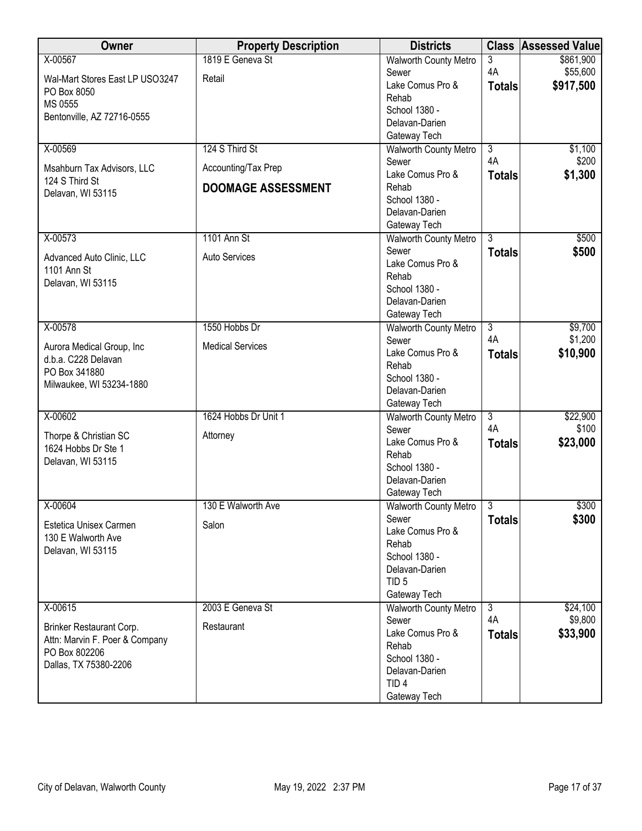| Owner                                        | <b>Property Description</b> | <b>Districts</b>                             | <b>Class</b>   | <b>Assessed Value</b> |
|----------------------------------------------|-----------------------------|----------------------------------------------|----------------|-----------------------|
| X-00567                                      | 1819 E Geneva St            | <b>Walworth County Metro</b>                 | 3              | \$861,900             |
| Wal-Mart Stores East LP USO3247              | Retail                      | Sewer                                        | 4A             | \$55,600              |
| PO Box 8050                                  |                             | Lake Comus Pro &                             | <b>Totals</b>  | \$917,500             |
| MS 0555                                      |                             | Rehab<br>School 1380 -                       |                |                       |
| Bentonville, AZ 72716-0555                   |                             | Delavan-Darien                               |                |                       |
|                                              |                             | Gateway Tech                                 |                |                       |
| X-00569                                      | 124 S Third St              | <b>Walworth County Metro</b>                 | $\overline{3}$ | \$1,100               |
|                                              |                             | Sewer                                        | 4A             | \$200                 |
| Msahburn Tax Advisors, LLC<br>124 S Third St | Accounting/Tax Prep         | Lake Comus Pro &                             | <b>Totals</b>  | \$1,300               |
| Delavan, WI 53115                            | <b>DOOMAGE ASSESSMENT</b>   | Rehab                                        |                |                       |
|                                              |                             | School 1380 -                                |                |                       |
|                                              |                             | Delavan-Darien                               |                |                       |
|                                              |                             | Gateway Tech                                 |                |                       |
| X-00573                                      | 1101 Ann St                 | <b>Walworth County Metro</b><br>Sewer        | $\overline{3}$ | \$500<br>\$500        |
| Advanced Auto Clinic, LLC                    | Auto Services               | Lake Comus Pro &                             | <b>Totals</b>  |                       |
| 1101 Ann St                                  |                             | Rehab                                        |                |                       |
| Delavan, WI 53115                            |                             | School 1380 -                                |                |                       |
|                                              |                             | Delavan-Darien                               |                |                       |
|                                              |                             | Gateway Tech                                 |                |                       |
| X-00578                                      | 1550 Hobbs Dr               | <b>Walworth County Metro</b>                 | $\overline{3}$ | \$9,700               |
| Aurora Medical Group, Inc                    | <b>Medical Services</b>     | Sewer                                        | 4A             | \$1,200               |
| d.b.a. C228 Delavan                          |                             | Lake Comus Pro &                             | <b>Totals</b>  | \$10,900              |
| PO Box 341880                                |                             | Rehab<br>School 1380 -                       |                |                       |
| Milwaukee, WI 53234-1880                     |                             | Delavan-Darien                               |                |                       |
|                                              |                             | Gateway Tech                                 |                |                       |
| X-00602                                      | 1624 Hobbs Dr Unit 1        | <b>Walworth County Metro</b>                 | $\overline{3}$ | \$22,900              |
| Thorpe & Christian SC                        | Attorney                    | Sewer                                        | 4A             | \$100                 |
| 1624 Hobbs Dr Ste 1                          |                             | Lake Comus Pro &                             | <b>Totals</b>  | \$23,000              |
| Delavan, WI 53115                            |                             | Rehab                                        |                |                       |
|                                              |                             | School 1380 -<br>Delavan-Darien              |                |                       |
|                                              |                             | Gateway Tech                                 |                |                       |
| X-00604                                      | 130 E Walworth Ave          | <b>Walworth County Metro</b>                 | $\mathbf{3}$   | \$300                 |
|                                              |                             | Sewer                                        | <b>Totals</b>  | \$300                 |
| Estetica Unisex Carmen                       | Salon                       | Lake Comus Pro &                             |                |                       |
| 130 E Walworth Ave<br>Delavan, WI 53115      |                             | Rehab                                        |                |                       |
|                                              |                             | School 1380 -                                |                |                       |
|                                              |                             | Delavan-Darien                               |                |                       |
|                                              |                             | TID <sub>5</sub>                             |                |                       |
| X-00615                                      | 2003 E Geneva St            | Gateway Tech<br><b>Walworth County Metro</b> | $\overline{3}$ | \$24,100              |
|                                              |                             | Sewer                                        | 4A             | \$9,800               |
| Brinker Restaurant Corp.                     | Restaurant                  | Lake Comus Pro &                             | <b>Totals</b>  | \$33,900              |
| Attn: Marvin F. Poer & Company               |                             | Rehab                                        |                |                       |
| PO Box 802206<br>Dallas, TX 75380-2206       |                             | School 1380 -                                |                |                       |
|                                              |                             | Delavan-Darien                               |                |                       |
|                                              |                             | TID <sub>4</sub>                             |                |                       |
|                                              |                             | Gateway Tech                                 |                |                       |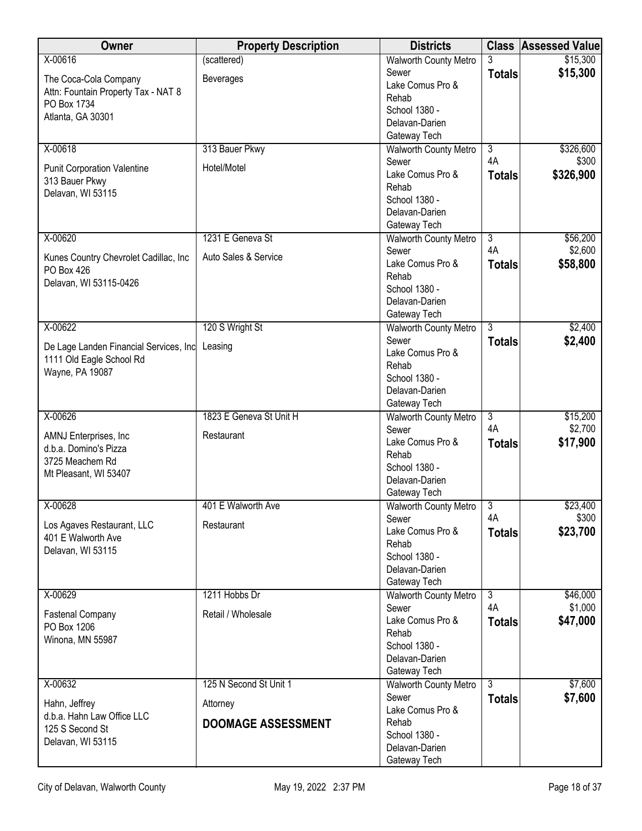| \$15,300<br>(scattered)<br><b>Walworth County Metro</b><br>3<br>\$15,300<br>Sewer<br><b>Totals</b><br>The Coca-Cola Company<br><b>Beverages</b><br>Lake Comus Pro &<br>Attn: Fountain Property Tax - NAT 8<br>Rehab<br>PO Box 1734<br>School 1380 -<br>Atlanta, GA 30301<br>Delavan-Darien<br>Gateway Tech<br>X-00618<br>313 Bauer Pkwy<br>$\overline{3}$<br>\$326,600<br><b>Walworth County Metro</b><br>4A<br>\$300<br>Sewer<br>Hotel/Motel<br><b>Punit Corporation Valentine</b><br>Lake Comus Pro &<br>\$326,900<br><b>Totals</b><br>313 Bauer Pkwy<br>Rehab<br>Delavan, WI 53115<br>School 1380 -<br>Delavan-Darien<br>Gateway Tech<br>1231 E Geneva St<br>$\overline{3}$<br>\$56,200<br>X-00620<br><b>Walworth County Metro</b><br>4A<br>\$2,600<br>Sewer<br>Auto Sales & Service<br>Kunes Country Chevrolet Cadillac, Inc<br>Lake Comus Pro &<br>\$58,800<br><b>Totals</b><br>PO Box 426<br>Rehab<br>Delavan, WI 53115-0426<br>School 1380 -<br>Delavan-Darien<br>Gateway Tech<br>X-00622<br>120 S Wright St<br>$\overline{3}$<br>\$2,400<br><b>Walworth County Metro</b><br>Sewer<br>\$2,400<br><b>Totals</b><br>De Lage Landen Financial Services, Inc Leasing<br>Lake Comus Pro &<br>1111 Old Eagle School Rd<br>Rehab<br>Wayne, PA 19087<br>School 1380 -<br>Delavan-Darien<br>Gateway Tech<br>X-00626<br>1823 E Geneva St Unit H<br>$\overline{3}$<br>\$15,200<br><b>Walworth County Metro</b><br>4A<br>\$2,700<br>Sewer<br>AMNJ Enterprises, Inc<br>Restaurant<br>\$17,900<br>Lake Comus Pro &<br><b>Totals</b><br>d.b.a. Domino's Pizza<br>Rehab<br>3725 Meachem Rd | Owner   | <b>Property Description</b> | <b>Districts</b> | <b>Class Assessed Value</b> |
|-----------------------------------------------------------------------------------------------------------------------------------------------------------------------------------------------------------------------------------------------------------------------------------------------------------------------------------------------------------------------------------------------------------------------------------------------------------------------------------------------------------------------------------------------------------------------------------------------------------------------------------------------------------------------------------------------------------------------------------------------------------------------------------------------------------------------------------------------------------------------------------------------------------------------------------------------------------------------------------------------------------------------------------------------------------------------------------------------------------------------------------------------------------------------------------------------------------------------------------------------------------------------------------------------------------------------------------------------------------------------------------------------------------------------------------------------------------------------------------------------------------------------------------------------------------------------------------|---------|-----------------------------|------------------|-----------------------------|
|                                                                                                                                                                                                                                                                                                                                                                                                                                                                                                                                                                                                                                                                                                                                                                                                                                                                                                                                                                                                                                                                                                                                                                                                                                                                                                                                                                                                                                                                                                                                                                                   | X-00616 |                             |                  |                             |
|                                                                                                                                                                                                                                                                                                                                                                                                                                                                                                                                                                                                                                                                                                                                                                                                                                                                                                                                                                                                                                                                                                                                                                                                                                                                                                                                                                                                                                                                                                                                                                                   |         |                             |                  |                             |
|                                                                                                                                                                                                                                                                                                                                                                                                                                                                                                                                                                                                                                                                                                                                                                                                                                                                                                                                                                                                                                                                                                                                                                                                                                                                                                                                                                                                                                                                                                                                                                                   |         |                             |                  |                             |
|                                                                                                                                                                                                                                                                                                                                                                                                                                                                                                                                                                                                                                                                                                                                                                                                                                                                                                                                                                                                                                                                                                                                                                                                                                                                                                                                                                                                                                                                                                                                                                                   |         |                             |                  |                             |
|                                                                                                                                                                                                                                                                                                                                                                                                                                                                                                                                                                                                                                                                                                                                                                                                                                                                                                                                                                                                                                                                                                                                                                                                                                                                                                                                                                                                                                                                                                                                                                                   |         |                             |                  |                             |
|                                                                                                                                                                                                                                                                                                                                                                                                                                                                                                                                                                                                                                                                                                                                                                                                                                                                                                                                                                                                                                                                                                                                                                                                                                                                                                                                                                                                                                                                                                                                                                                   |         |                             |                  |                             |
|                                                                                                                                                                                                                                                                                                                                                                                                                                                                                                                                                                                                                                                                                                                                                                                                                                                                                                                                                                                                                                                                                                                                                                                                                                                                                                                                                                                                                                                                                                                                                                                   |         |                             |                  |                             |
|                                                                                                                                                                                                                                                                                                                                                                                                                                                                                                                                                                                                                                                                                                                                                                                                                                                                                                                                                                                                                                                                                                                                                                                                                                                                                                                                                                                                                                                                                                                                                                                   |         |                             |                  |                             |
|                                                                                                                                                                                                                                                                                                                                                                                                                                                                                                                                                                                                                                                                                                                                                                                                                                                                                                                                                                                                                                                                                                                                                                                                                                                                                                                                                                                                                                                                                                                                                                                   |         |                             |                  |                             |
|                                                                                                                                                                                                                                                                                                                                                                                                                                                                                                                                                                                                                                                                                                                                                                                                                                                                                                                                                                                                                                                                                                                                                                                                                                                                                                                                                                                                                                                                                                                                                                                   |         |                             |                  |                             |
|                                                                                                                                                                                                                                                                                                                                                                                                                                                                                                                                                                                                                                                                                                                                                                                                                                                                                                                                                                                                                                                                                                                                                                                                                                                                                                                                                                                                                                                                                                                                                                                   |         |                             |                  |                             |
|                                                                                                                                                                                                                                                                                                                                                                                                                                                                                                                                                                                                                                                                                                                                                                                                                                                                                                                                                                                                                                                                                                                                                                                                                                                                                                                                                                                                                                                                                                                                                                                   |         |                             |                  |                             |
|                                                                                                                                                                                                                                                                                                                                                                                                                                                                                                                                                                                                                                                                                                                                                                                                                                                                                                                                                                                                                                                                                                                                                                                                                                                                                                                                                                                                                                                                                                                                                                                   |         |                             |                  |                             |
|                                                                                                                                                                                                                                                                                                                                                                                                                                                                                                                                                                                                                                                                                                                                                                                                                                                                                                                                                                                                                                                                                                                                                                                                                                                                                                                                                                                                                                                                                                                                                                                   |         |                             |                  |                             |
|                                                                                                                                                                                                                                                                                                                                                                                                                                                                                                                                                                                                                                                                                                                                                                                                                                                                                                                                                                                                                                                                                                                                                                                                                                                                                                                                                                                                                                                                                                                                                                                   |         |                             |                  |                             |
|                                                                                                                                                                                                                                                                                                                                                                                                                                                                                                                                                                                                                                                                                                                                                                                                                                                                                                                                                                                                                                                                                                                                                                                                                                                                                                                                                                                                                                                                                                                                                                                   |         |                             |                  |                             |
|                                                                                                                                                                                                                                                                                                                                                                                                                                                                                                                                                                                                                                                                                                                                                                                                                                                                                                                                                                                                                                                                                                                                                                                                                                                                                                                                                                                                                                                                                                                                                                                   |         |                             |                  |                             |
|                                                                                                                                                                                                                                                                                                                                                                                                                                                                                                                                                                                                                                                                                                                                                                                                                                                                                                                                                                                                                                                                                                                                                                                                                                                                                                                                                                                                                                                                                                                                                                                   |         |                             |                  |                             |
|                                                                                                                                                                                                                                                                                                                                                                                                                                                                                                                                                                                                                                                                                                                                                                                                                                                                                                                                                                                                                                                                                                                                                                                                                                                                                                                                                                                                                                                                                                                                                                                   |         |                             |                  |                             |
|                                                                                                                                                                                                                                                                                                                                                                                                                                                                                                                                                                                                                                                                                                                                                                                                                                                                                                                                                                                                                                                                                                                                                                                                                                                                                                                                                                                                                                                                                                                                                                                   |         |                             |                  |                             |
|                                                                                                                                                                                                                                                                                                                                                                                                                                                                                                                                                                                                                                                                                                                                                                                                                                                                                                                                                                                                                                                                                                                                                                                                                                                                                                                                                                                                                                                                                                                                                                                   |         |                             |                  |                             |
|                                                                                                                                                                                                                                                                                                                                                                                                                                                                                                                                                                                                                                                                                                                                                                                                                                                                                                                                                                                                                                                                                                                                                                                                                                                                                                                                                                                                                                                                                                                                                                                   |         |                             |                  |                             |
|                                                                                                                                                                                                                                                                                                                                                                                                                                                                                                                                                                                                                                                                                                                                                                                                                                                                                                                                                                                                                                                                                                                                                                                                                                                                                                                                                                                                                                                                                                                                                                                   |         |                             |                  |                             |
|                                                                                                                                                                                                                                                                                                                                                                                                                                                                                                                                                                                                                                                                                                                                                                                                                                                                                                                                                                                                                                                                                                                                                                                                                                                                                                                                                                                                                                                                                                                                                                                   |         |                             |                  |                             |
|                                                                                                                                                                                                                                                                                                                                                                                                                                                                                                                                                                                                                                                                                                                                                                                                                                                                                                                                                                                                                                                                                                                                                                                                                                                                                                                                                                                                                                                                                                                                                                                   |         |                             |                  |                             |
|                                                                                                                                                                                                                                                                                                                                                                                                                                                                                                                                                                                                                                                                                                                                                                                                                                                                                                                                                                                                                                                                                                                                                                                                                                                                                                                                                                                                                                                                                                                                                                                   |         |                             |                  |                             |
|                                                                                                                                                                                                                                                                                                                                                                                                                                                                                                                                                                                                                                                                                                                                                                                                                                                                                                                                                                                                                                                                                                                                                                                                                                                                                                                                                                                                                                                                                                                                                                                   |         |                             |                  |                             |
|                                                                                                                                                                                                                                                                                                                                                                                                                                                                                                                                                                                                                                                                                                                                                                                                                                                                                                                                                                                                                                                                                                                                                                                                                                                                                                                                                                                                                                                                                                                                                                                   |         |                             |                  |                             |
|                                                                                                                                                                                                                                                                                                                                                                                                                                                                                                                                                                                                                                                                                                                                                                                                                                                                                                                                                                                                                                                                                                                                                                                                                                                                                                                                                                                                                                                                                                                                                                                   |         |                             |                  |                             |
| Mt Pleasant, WI 53407                                                                                                                                                                                                                                                                                                                                                                                                                                                                                                                                                                                                                                                                                                                                                                                                                                                                                                                                                                                                                                                                                                                                                                                                                                                                                                                                                                                                                                                                                                                                                             |         |                             | School 1380 -    |                             |
| Delavan-Darien                                                                                                                                                                                                                                                                                                                                                                                                                                                                                                                                                                                                                                                                                                                                                                                                                                                                                                                                                                                                                                                                                                                                                                                                                                                                                                                                                                                                                                                                                                                                                                    |         |                             |                  |                             |
| Gateway Tech<br>X-00628<br>\$23,400<br>$\overline{3}$<br>401 E Walworth Ave<br><b>Walworth County Metro</b>                                                                                                                                                                                                                                                                                                                                                                                                                                                                                                                                                                                                                                                                                                                                                                                                                                                                                                                                                                                                                                                                                                                                                                                                                                                                                                                                                                                                                                                                       |         |                             |                  |                             |
| \$300<br>4A<br>Sewer                                                                                                                                                                                                                                                                                                                                                                                                                                                                                                                                                                                                                                                                                                                                                                                                                                                                                                                                                                                                                                                                                                                                                                                                                                                                                                                                                                                                                                                                                                                                                              |         |                             |                  |                             |
| Los Agaves Restaurant, LLC<br>Restaurant<br>\$23,700<br>Lake Comus Pro &<br><b>Totals</b>                                                                                                                                                                                                                                                                                                                                                                                                                                                                                                                                                                                                                                                                                                                                                                                                                                                                                                                                                                                                                                                                                                                                                                                                                                                                                                                                                                                                                                                                                         |         |                             |                  |                             |
| 401 E Walworth Ave<br>Rehab                                                                                                                                                                                                                                                                                                                                                                                                                                                                                                                                                                                                                                                                                                                                                                                                                                                                                                                                                                                                                                                                                                                                                                                                                                                                                                                                                                                                                                                                                                                                                       |         |                             |                  |                             |
| Delavan, WI 53115<br>School 1380 -                                                                                                                                                                                                                                                                                                                                                                                                                                                                                                                                                                                                                                                                                                                                                                                                                                                                                                                                                                                                                                                                                                                                                                                                                                                                                                                                                                                                                                                                                                                                                |         |                             |                  |                             |
| Delavan-Darien                                                                                                                                                                                                                                                                                                                                                                                                                                                                                                                                                                                                                                                                                                                                                                                                                                                                                                                                                                                                                                                                                                                                                                                                                                                                                                                                                                                                                                                                                                                                                                    |         |                             |                  |                             |
| Gateway Tech                                                                                                                                                                                                                                                                                                                                                                                                                                                                                                                                                                                                                                                                                                                                                                                                                                                                                                                                                                                                                                                                                                                                                                                                                                                                                                                                                                                                                                                                                                                                                                      |         |                             |                  |                             |
| X-00629<br>1211 Hobbs Dr<br>$\overline{3}$<br>\$46,000<br><b>Walworth County Metro</b>                                                                                                                                                                                                                                                                                                                                                                                                                                                                                                                                                                                                                                                                                                                                                                                                                                                                                                                                                                                                                                                                                                                                                                                                                                                                                                                                                                                                                                                                                            |         |                             |                  |                             |
| 4A<br>\$1,000<br>Sewer<br>Retail / Wholesale<br>Fastenal Company<br>Lake Comus Pro &                                                                                                                                                                                                                                                                                                                                                                                                                                                                                                                                                                                                                                                                                                                                                                                                                                                                                                                                                                                                                                                                                                                                                                                                                                                                                                                                                                                                                                                                                              |         |                             |                  |                             |
| \$47,000<br><b>Totals</b><br>PO Box 1206<br>Rehab                                                                                                                                                                                                                                                                                                                                                                                                                                                                                                                                                                                                                                                                                                                                                                                                                                                                                                                                                                                                                                                                                                                                                                                                                                                                                                                                                                                                                                                                                                                                 |         |                             |                  |                             |
| Winona, MN 55987<br>School 1380 -                                                                                                                                                                                                                                                                                                                                                                                                                                                                                                                                                                                                                                                                                                                                                                                                                                                                                                                                                                                                                                                                                                                                                                                                                                                                                                                                                                                                                                                                                                                                                 |         |                             |                  |                             |
| Delavan-Darien                                                                                                                                                                                                                                                                                                                                                                                                                                                                                                                                                                                                                                                                                                                                                                                                                                                                                                                                                                                                                                                                                                                                                                                                                                                                                                                                                                                                                                                                                                                                                                    |         |                             |                  |                             |
| Gateway Tech                                                                                                                                                                                                                                                                                                                                                                                                                                                                                                                                                                                                                                                                                                                                                                                                                                                                                                                                                                                                                                                                                                                                                                                                                                                                                                                                                                                                                                                                                                                                                                      |         |                             |                  |                             |
| X-00632<br>125 N Second St Unit 1<br>$\overline{3}$<br>\$7,600<br><b>Walworth County Metro</b>                                                                                                                                                                                                                                                                                                                                                                                                                                                                                                                                                                                                                                                                                                                                                                                                                                                                                                                                                                                                                                                                                                                                                                                                                                                                                                                                                                                                                                                                                    |         |                             |                  |                             |
| Sewer<br>\$7,600<br><b>Totals</b><br>Hahn, Jeffrey<br>Attorney                                                                                                                                                                                                                                                                                                                                                                                                                                                                                                                                                                                                                                                                                                                                                                                                                                                                                                                                                                                                                                                                                                                                                                                                                                                                                                                                                                                                                                                                                                                    |         |                             |                  |                             |
| Lake Comus Pro &<br>d.b.a. Hahn Law Office LLC                                                                                                                                                                                                                                                                                                                                                                                                                                                                                                                                                                                                                                                                                                                                                                                                                                                                                                                                                                                                                                                                                                                                                                                                                                                                                                                                                                                                                                                                                                                                    |         |                             |                  |                             |
| <b>DOOMAGE ASSESSMENT</b><br>Rehab<br>125 S Second St                                                                                                                                                                                                                                                                                                                                                                                                                                                                                                                                                                                                                                                                                                                                                                                                                                                                                                                                                                                                                                                                                                                                                                                                                                                                                                                                                                                                                                                                                                                             |         |                             |                  |                             |
| School 1380 -<br>Delavan, WI 53115<br>Delavan-Darien                                                                                                                                                                                                                                                                                                                                                                                                                                                                                                                                                                                                                                                                                                                                                                                                                                                                                                                                                                                                                                                                                                                                                                                                                                                                                                                                                                                                                                                                                                                              |         |                             |                  |                             |
| Gateway Tech                                                                                                                                                                                                                                                                                                                                                                                                                                                                                                                                                                                                                                                                                                                                                                                                                                                                                                                                                                                                                                                                                                                                                                                                                                                                                                                                                                                                                                                                                                                                                                      |         |                             |                  |                             |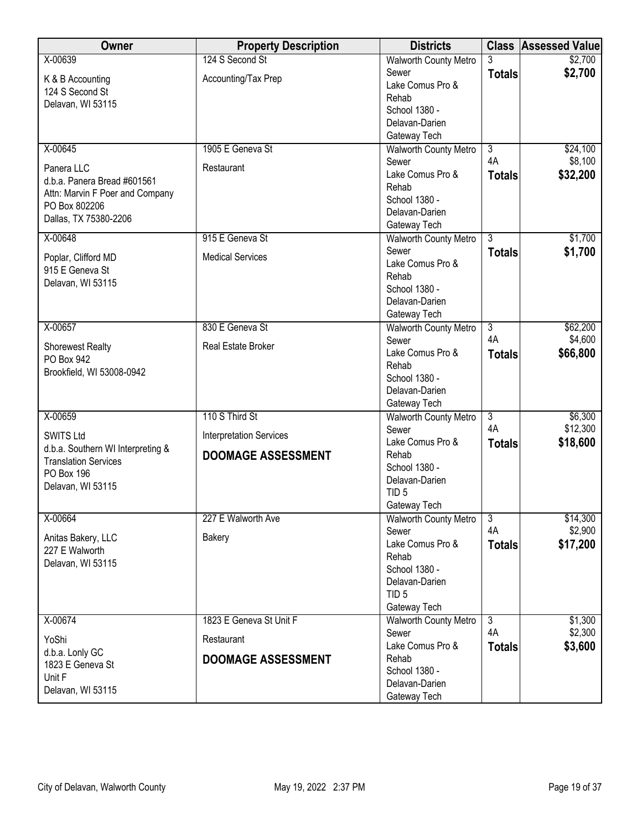| Owner                                  | <b>Property Description</b>    | <b>Districts</b>                |                      | <b>Class Assessed Value</b> |
|----------------------------------------|--------------------------------|---------------------------------|----------------------|-----------------------------|
| X-00639                                | 124 S Second St                | <b>Walworth County Metro</b>    | 3                    | \$2,700                     |
| K & B Accounting                       | Accounting/Tax Prep            | Sewer                           | <b>Totals</b>        | \$2,700                     |
| 124 S Second St                        |                                | Lake Comus Pro &                |                      |                             |
| Delavan, WI 53115                      |                                | Rehab                           |                      |                             |
|                                        |                                | School 1380 -<br>Delavan-Darien |                      |                             |
|                                        |                                | Gateway Tech                    |                      |                             |
| X-00645                                | 1905 E Geneva St               | <b>Walworth County Metro</b>    | $\overline{3}$       | \$24,100                    |
|                                        |                                | Sewer                           | 4A                   | \$8,100                     |
| Panera LLC                             | Restaurant                     | Lake Comus Pro &                | <b>Totals</b>        | \$32,200                    |
| d.b.a. Panera Bread #601561            |                                | Rehab                           |                      |                             |
| Attn: Marvin F Poer and Company        |                                | School 1380 -                   |                      |                             |
| PO Box 802206<br>Dallas, TX 75380-2206 |                                | Delavan-Darien                  |                      |                             |
|                                        |                                | Gateway Tech                    |                      |                             |
| $X - 00648$                            | 915 E Geneva St                | <b>Walworth County Metro</b>    | $\overline{3}$       | \$1,700                     |
| Poplar, Clifford MD                    | <b>Medical Services</b>        | Sewer                           | <b>Totals</b>        | \$1,700                     |
| 915 E Geneva St                        |                                | Lake Comus Pro &                |                      |                             |
| Delavan, WI 53115                      |                                | Rehab                           |                      |                             |
|                                        |                                | School 1380 -<br>Delavan-Darien |                      |                             |
|                                        |                                | Gateway Tech                    |                      |                             |
| X-00657                                | 830 E Geneva St                | <b>Walworth County Metro</b>    | $\overline{3}$       | \$62,200                    |
|                                        |                                | Sewer                           | 4A                   | \$4,600                     |
| <b>Shorewest Realty</b>                | Real Estate Broker             | Lake Comus Pro &                | <b>Totals</b>        | \$66,800                    |
| PO Box 942                             |                                | Rehab                           |                      |                             |
| Brookfield, WI 53008-0942              |                                | School 1380 -                   |                      |                             |
|                                        |                                | Delavan-Darien                  |                      |                             |
|                                        |                                | Gateway Tech                    |                      |                             |
| X-00659                                | 110 S Third St                 | <b>Walworth County Metro</b>    | $\overline{3}$       | \$6,300                     |
| <b>SWITS Ltd</b>                       | <b>Interpretation Services</b> | Sewer                           | 4A                   | \$12,300                    |
| d.b.a. Southern WI Interpreting &      |                                | Lake Comus Pro &                | <b>Totals</b>        | \$18,600                    |
| <b>Translation Services</b>            | <b>DOOMAGE ASSESSMENT</b>      | Rehab<br>School 1380 -          |                      |                             |
| PO Box 196                             |                                | Delavan-Darien                  |                      |                             |
| Delavan, WI 53115                      |                                | TID <sub>5</sub>                |                      |                             |
|                                        |                                | Gateway Tech                    |                      |                             |
| X-00664                                | 227 E Walworth Ave             | <b>Walworth County Metro</b>    | $\overline{3}$       | \$14,300                    |
|                                        |                                | Sewer                           | 4A                   | \$2,900                     |
| Anitas Bakery, LLC                     | Bakery                         | Lake Comus Pro &                | <b>Totals</b>        | \$17,200                    |
| 227 E Walworth<br>Delavan, WI 53115    |                                | Rehab                           |                      |                             |
|                                        |                                | School 1380 -                   |                      |                             |
|                                        |                                | Delavan-Darien                  |                      |                             |
|                                        |                                | TID <sub>5</sub>                |                      |                             |
|                                        |                                | Gateway Tech                    |                      |                             |
| X-00674                                | 1823 E Geneva St Unit F        | Walworth County Metro           | $\overline{3}$<br>4A | \$1,300<br>\$2,300          |
| YoShi                                  | Restaurant                     | Sewer<br>Lake Comus Pro &       |                      | \$3,600                     |
| d.b.a. Lonly GC                        | <b>DOOMAGE ASSESSMENT</b>      | Rehab                           | <b>Totals</b>        |                             |
| 1823 E Geneva St                       |                                | School 1380 -                   |                      |                             |
| Unit F                                 |                                | Delavan-Darien                  |                      |                             |
| Delavan, WI 53115                      |                                | Gateway Tech                    |                      |                             |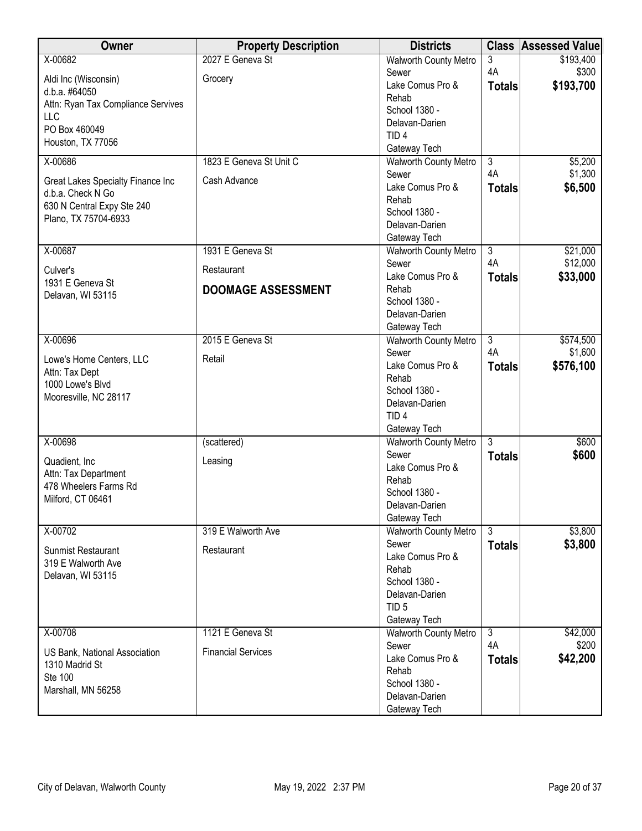| Owner                                         | <b>Property Description</b> | <b>Districts</b>                      |                      | <b>Class Assessed Value</b> |
|-----------------------------------------------|-----------------------------|---------------------------------------|----------------------|-----------------------------|
| X-00682                                       | 2027 E Geneva St            | <b>Walworth County Metro</b>          | 3                    | \$193,400                   |
| Aldi Inc (Wisconsin)                          | Grocery                     | Sewer                                 | 4A                   | \$300                       |
| d.b.a. #64050                                 |                             | Lake Comus Pro &                      | <b>Totals</b>        | \$193,700                   |
| Attn: Ryan Tax Compliance Servives            |                             | Rehab                                 |                      |                             |
| <b>LLC</b>                                    |                             | School 1380 -                         |                      |                             |
| PO Box 460049                                 |                             | Delavan-Darien                        |                      |                             |
| Houston, TX 77056                             |                             | TID <sub>4</sub>                      |                      |                             |
|                                               |                             | Gateway Tech                          |                      |                             |
| X-00686                                       | 1823 E Geneva St Unit C     | <b>Walworth County Metro</b>          | $\overline{3}$       | \$5,200                     |
| Great Lakes Specialty Finance Inc             | Cash Advance                | Sewer                                 | 4A                   | \$1,300                     |
| d.b.a. Check N Go                             |                             | Lake Comus Pro &                      | <b>Totals</b>        | \$6,500                     |
| 630 N Central Expy Ste 240                    |                             | Rehab                                 |                      |                             |
| Plano, TX 75704-6933                          |                             | School 1380 -                         |                      |                             |
|                                               |                             | Delavan-Darien                        |                      |                             |
|                                               | 1931 E Geneva St            | Gateway Tech                          |                      |                             |
| X-00687                                       |                             | <b>Walworth County Metro</b>          | $\overline{3}$<br>4A | \$21,000<br>\$12,000        |
| Culver's                                      | Restaurant                  | Sewer<br>Lake Comus Pro &             |                      |                             |
| 1931 E Geneva St                              | <b>DOOMAGE ASSESSMENT</b>   | Rehab                                 | <b>Totals</b>        | \$33,000                    |
| Delavan, WI 53115                             |                             | School 1380 -                         |                      |                             |
|                                               |                             | Delavan-Darien                        |                      |                             |
|                                               |                             | Gateway Tech                          |                      |                             |
| X-00696                                       | 2015 E Geneva St            | <b>Walworth County Metro</b>          | $\overline{3}$       | \$574,500                   |
|                                               |                             | Sewer                                 | 4A                   | \$1,600                     |
| Lowe's Home Centers, LLC                      | Retail                      | Lake Comus Pro &                      | <b>Totals</b>        | \$576,100                   |
| Attn: Tax Dept                                |                             | Rehab                                 |                      |                             |
| 1000 Lowe's Blvd                              |                             | School 1380 -                         |                      |                             |
| Mooresville, NC 28117                         |                             | Delavan-Darien                        |                      |                             |
|                                               |                             | TID <sub>4</sub>                      |                      |                             |
|                                               |                             | Gateway Tech                          |                      |                             |
| X-00698                                       | (scattered)                 | <b>Walworth County Metro</b>          | $\overline{3}$       | \$600                       |
|                                               |                             | Sewer                                 | <b>Totals</b>        | \$600                       |
| Quadient, Inc.                                | Leasing                     | Lake Comus Pro &                      |                      |                             |
| Attn: Tax Department<br>478 Wheelers Farms Rd |                             | Rehab                                 |                      |                             |
| Milford, CT 06461                             |                             | School 1380 -                         |                      |                             |
|                                               |                             | Delavan-Darien                        |                      |                             |
|                                               |                             | Gateway Tech                          |                      |                             |
| X-00702                                       | 319 E Walworth Ave          | <b>Walworth County Metro</b>          | 3                    | \$3,800                     |
| <b>Sunmist Restaurant</b>                     | Restaurant                  | Sewer                                 | <b>Totals</b>        | \$3,800                     |
| 319 E Walworth Ave                            |                             | Lake Comus Pro &                      |                      |                             |
| Delavan, WI 53115                             |                             | Rehab                                 |                      |                             |
|                                               |                             | School 1380 -                         |                      |                             |
|                                               |                             | Delavan-Darien                        |                      |                             |
|                                               |                             | TID <sub>5</sub>                      |                      |                             |
| X-00708                                       | 1121 E Geneva St            | Gateway Tech                          | $\overline{3}$       | \$42,000                    |
|                                               |                             | <b>Walworth County Metro</b><br>Sewer | 4A                   | \$200                       |
| US Bank, National Association                 | <b>Financial Services</b>   | Lake Comus Pro &                      | <b>Totals</b>        | \$42,200                    |
| 1310 Madrid St                                |                             | Rehab                                 |                      |                             |
| Ste 100                                       |                             | School 1380 -                         |                      |                             |
| Marshall, MN 56258                            |                             | Delavan-Darien                        |                      |                             |
|                                               |                             | Gateway Tech                          |                      |                             |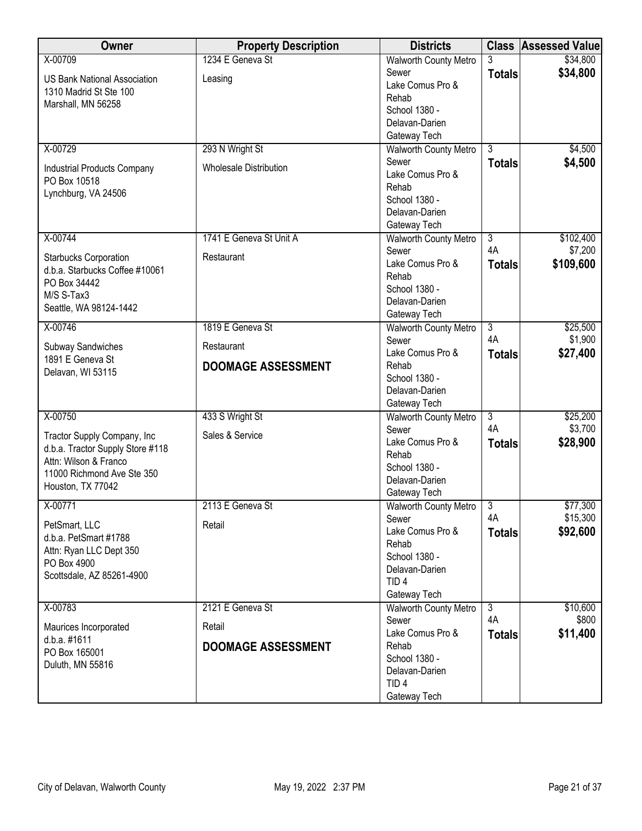| Owner                                                     | <b>Property Description</b>   | <b>Districts</b>               |                      | <b>Class Assessed Value</b> |
|-----------------------------------------------------------|-------------------------------|--------------------------------|----------------------|-----------------------------|
| X-00709                                                   | 1234 E Geneva St              | <b>Walworth County Metro</b>   |                      | \$34,800                    |
| <b>US Bank National Association</b>                       | Leasing                       | Sewer                          | <b>Totals</b>        | \$34,800                    |
| 1310 Madrid St Ste 100                                    |                               | Lake Comus Pro &               |                      |                             |
| Marshall, MN 56258                                        |                               | Rehab                          |                      |                             |
|                                                           |                               | School 1380 -                  |                      |                             |
|                                                           |                               | Delavan-Darien                 |                      |                             |
|                                                           |                               | Gateway Tech                   |                      |                             |
| X-00729                                                   | 293 N Wright St               | <b>Walworth County Metro</b>   | $\overline{3}$       | \$4,500                     |
| <b>Industrial Products Company</b>                        | <b>Wholesale Distribution</b> | Sewer                          | <b>Totals</b>        | \$4,500                     |
| PO Box 10518                                              |                               | Lake Comus Pro &               |                      |                             |
| Lynchburg, VA 24506                                       |                               | Rehab                          |                      |                             |
|                                                           |                               | School 1380 -                  |                      |                             |
|                                                           |                               | Delavan-Darien                 |                      |                             |
|                                                           |                               | Gateway Tech                   |                      |                             |
| X-00744                                                   | 1741 E Geneva St Unit A       | Walworth County Metro<br>Sewer | $\overline{3}$<br>4A | \$102,400<br>\$7,200        |
| <b>Starbucks Corporation</b>                              | Restaurant                    | Lake Comus Pro &               |                      |                             |
| d.b.a. Starbucks Coffee #10061                            |                               | Rehab                          | <b>Totals</b>        | \$109,600                   |
| PO Box 34442                                              |                               | School 1380 -                  |                      |                             |
| M/S S-Tax3                                                |                               | Delavan-Darien                 |                      |                             |
| Seattle, WA 98124-1442                                    |                               | Gateway Tech                   |                      |                             |
| X-00746                                                   | 1819 E Geneva St              | <b>Walworth County Metro</b>   | $\overline{3}$       | \$25,500                    |
|                                                           |                               | Sewer                          | 4A                   | \$1,900                     |
| Subway Sandwiches                                         | Restaurant                    | Lake Comus Pro &               | <b>Totals</b>        | \$27,400                    |
| 1891 E Geneva St                                          | <b>DOOMAGE ASSESSMENT</b>     | Rehab                          |                      |                             |
| Delavan, WI 53115                                         |                               | School 1380 -                  |                      |                             |
|                                                           |                               | Delavan-Darien                 |                      |                             |
|                                                           |                               | Gateway Tech                   |                      |                             |
| X-00750                                                   | 433 S Wright St               | <b>Walworth County Metro</b>   | $\overline{3}$       | \$25,200                    |
|                                                           |                               | Sewer                          | 4A                   | \$3,700                     |
| Tractor Supply Company, Inc                               | Sales & Service               | Lake Comus Pro &               | <b>Totals</b>        | \$28,900                    |
| d.b.a. Tractor Supply Store #118<br>Attn: Wilson & Franco |                               | Rehab                          |                      |                             |
| 11000 Richmond Ave Ste 350                                |                               | School 1380 -                  |                      |                             |
| Houston, TX 77042                                         |                               | Delavan-Darien                 |                      |                             |
|                                                           |                               | Gateway Tech                   |                      |                             |
| X-00771                                                   | 2113 E Geneva St              | <b>Walworth County Metro</b>   | $\overline{3}$       | \$77,300                    |
| PetSmart, LLC                                             | Retail                        | Sewer                          | 4A                   | \$15,300                    |
| d.b.a. PetSmart #1788                                     |                               | Lake Comus Pro &               | <b>Totals</b>        | \$92,600                    |
| Attn: Ryan LLC Dept 350                                   |                               | Rehab                          |                      |                             |
| PO Box 4900                                               |                               | School 1380 -                  |                      |                             |
| Scottsdale, AZ 85261-4900                                 |                               | Delavan-Darien                 |                      |                             |
|                                                           |                               | TID <sub>4</sub>               |                      |                             |
|                                                           | 2121 E Geneva St              | Gateway Tech                   |                      |                             |
| X-00783                                                   |                               | Walworth County Metro          | $\overline{3}$<br>4A | \$10,600<br>\$800           |
| Maurices Incorporated                                     | Retail                        | Sewer<br>Lake Comus Pro &      |                      |                             |
| d.b.a. #1611                                              | <b>DOOMAGE ASSESSMENT</b>     | Rehab                          | <b>Totals</b>        | \$11,400                    |
| PO Box 165001                                             |                               | School 1380 -                  |                      |                             |
| Duluth, MN 55816                                          |                               | Delavan-Darien                 |                      |                             |
|                                                           |                               | TID <sub>4</sub>               |                      |                             |
|                                                           |                               | Gateway Tech                   |                      |                             |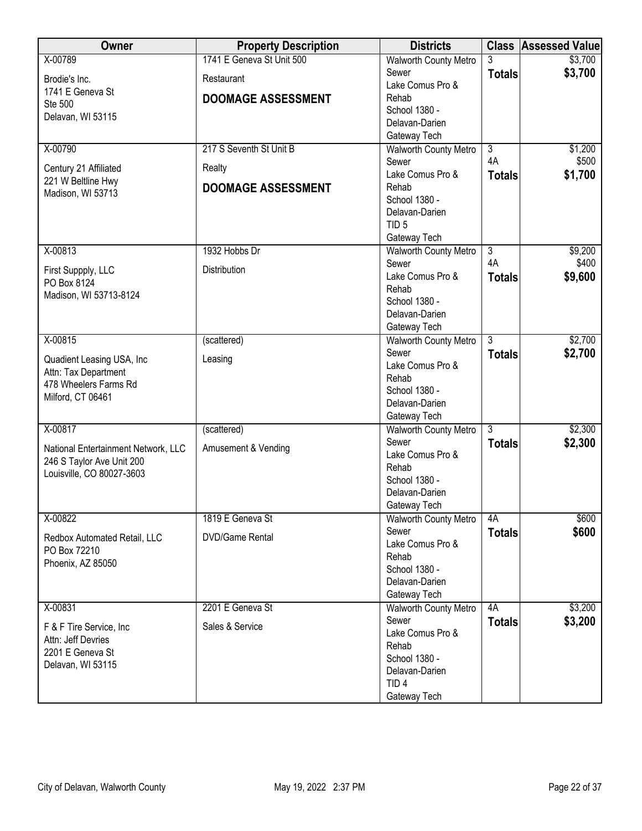| Owner                                 | <b>Property Description</b> | <b>Districts</b>                |                      | <b>Class Assessed Value</b> |
|---------------------------------------|-----------------------------|---------------------------------|----------------------|-----------------------------|
| X-00789                               | 1741 E Geneva St Unit 500   | <b>Walworth County Metro</b>    |                      | \$3,700                     |
| Brodie's Inc.                         | Restaurant                  | Sewer                           | <b>Totals</b>        | \$3,700                     |
| 1741 E Geneva St                      |                             | Lake Comus Pro &                |                      |                             |
| Ste 500                               | <b>DOOMAGE ASSESSMENT</b>   | Rehab                           |                      |                             |
| Delavan, WI 53115                     |                             | School 1380 -                   |                      |                             |
|                                       |                             | Delavan-Darien                  |                      |                             |
|                                       |                             | Gateway Tech                    |                      |                             |
| X-00790                               | 217 S Seventh St Unit B     | Walworth County Metro           | $\overline{3}$<br>4A | \$1,200<br>\$500            |
| Century 21 Affiliated                 | Realty                      | Sewer<br>Lake Comus Pro &       |                      |                             |
| 221 W Beltline Hwy                    | <b>DOOMAGE ASSESSMENT</b>   | Rehab                           | <b>Totals</b>        | \$1,700                     |
| Madison, WI 53713                     |                             | School 1380 -                   |                      |                             |
|                                       |                             | Delavan-Darien                  |                      |                             |
|                                       |                             | TID <sub>5</sub>                |                      |                             |
|                                       |                             | Gateway Tech                    |                      |                             |
| X-00813                               | 1932 Hobbs Dr               | <b>Walworth County Metro</b>    | $\overline{3}$       | \$9,200                     |
|                                       |                             | Sewer                           | 4A                   | \$400                       |
| First Suppply, LLC                    | Distribution                | Lake Comus Pro &                | <b>Totals</b>        | \$9,600                     |
| PO Box 8124<br>Madison, WI 53713-8124 |                             | Rehab                           |                      |                             |
|                                       |                             | School 1380 -                   |                      |                             |
|                                       |                             | Delavan-Darien                  |                      |                             |
|                                       |                             | Gateway Tech                    |                      |                             |
| X-00815                               | (scattered)                 | <b>Walworth County Metro</b>    | $\overline{3}$       | \$2,700                     |
| Quadient Leasing USA, Inc             | Leasing                     | Sewer                           | <b>Totals</b>        | \$2,700                     |
| Attn: Tax Department                  |                             | Lake Comus Pro &                |                      |                             |
| 478 Wheelers Farms Rd                 |                             | Rehab                           |                      |                             |
| Milford, CT 06461                     |                             | School 1380 -<br>Delavan-Darien |                      |                             |
|                                       |                             | Gateway Tech                    |                      |                             |
| X-00817                               | (scattered)                 | <b>Walworth County Metro</b>    | $\overline{3}$       | \$2,300                     |
|                                       |                             | Sewer                           | <b>Totals</b>        | \$2,300                     |
| National Entertainment Network, LLC   | Amusement & Vending         | Lake Comus Pro &                |                      |                             |
| 246 S Taylor Ave Unit 200             |                             | Rehab                           |                      |                             |
| Louisville, CO 80027-3603             |                             | School 1380 -                   |                      |                             |
|                                       |                             | Delavan-Darien                  |                      |                             |
|                                       |                             | Gateway Tech                    |                      |                             |
| X-00822                               | 1819 E Geneva St            | <b>Walworth County Metro</b>    | 4A                   | \$600                       |
| Redbox Automated Retail, LLC          | <b>DVD/Game Rental</b>      | Sewer                           | <b>Totals</b>        | \$600                       |
| PO Box 72210                          |                             | Lake Comus Pro &                |                      |                             |
| Phoenix, AZ 85050                     |                             | Rehab                           |                      |                             |
|                                       |                             | School 1380 -                   |                      |                             |
|                                       |                             | Delavan-Darien                  |                      |                             |
|                                       |                             | Gateway Tech                    |                      |                             |
| X-00831                               | 2201 E Geneva St            | <b>Walworth County Metro</b>    | 4A                   | \$3,200                     |
| F & F Tire Service, Inc.              | Sales & Service             | Sewer<br>Lake Comus Pro &       | <b>Totals</b>        | \$3,200                     |
| Attn: Jeff Devries                    |                             | Rehab                           |                      |                             |
| 2201 E Geneva St                      |                             | School 1380 -                   |                      |                             |
| Delavan, WI 53115                     |                             | Delavan-Darien                  |                      |                             |
|                                       |                             | TID <sub>4</sub>                |                      |                             |
|                                       |                             | Gateway Tech                    |                      |                             |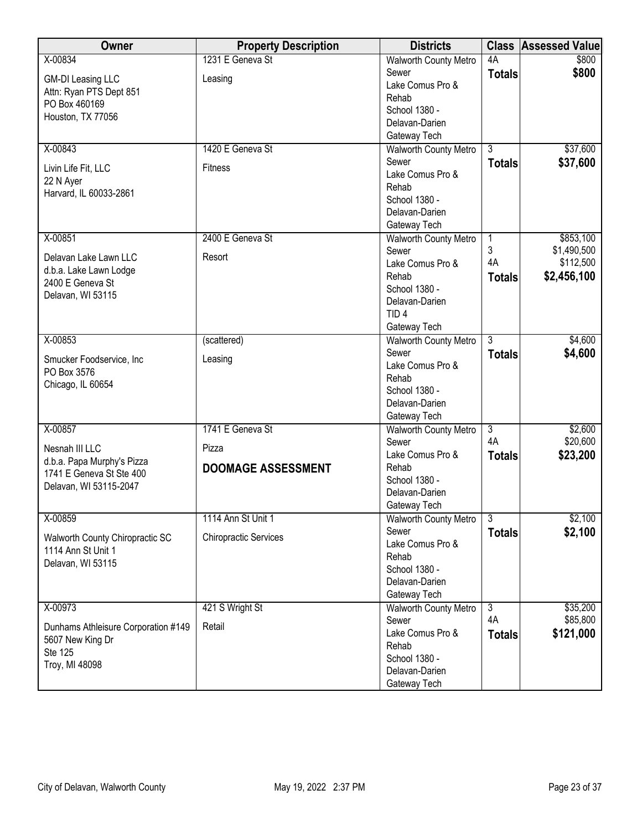| Owner                               | <b>Property Description</b>  | <b>Districts</b>                |                | <b>Class Assessed Value</b> |
|-------------------------------------|------------------------------|---------------------------------|----------------|-----------------------------|
| X-00834                             | 1231 E Geneva St             | <b>Walworth County Metro</b>    | 4A             | \$800                       |
| <b>GM-DI Leasing LLC</b>            | Leasing                      | Sewer                           | <b>Totals</b>  | \$800                       |
| Attn: Ryan PTS Dept 851             |                              | Lake Comus Pro &                |                |                             |
| PO Box 460169                       |                              | Rehab                           |                |                             |
| Houston, TX 77056                   |                              | School 1380 -<br>Delavan-Darien |                |                             |
|                                     |                              | Gateway Tech                    |                |                             |
| X-00843                             | 1420 E Geneva St             | <b>Walworth County Metro</b>    | $\overline{3}$ | \$37,600                    |
|                                     |                              | Sewer                           | <b>Totals</b>  | \$37,600                    |
| Livin Life Fit, LLC                 | <b>Fitness</b>               | Lake Comus Pro &                |                |                             |
| 22 N Ayer                           |                              | Rehab                           |                |                             |
| Harvard, IL 60033-2861              |                              | School 1380 -                   |                |                             |
|                                     |                              | Delavan-Darien                  |                |                             |
|                                     |                              | Gateway Tech                    |                |                             |
| X-00851                             | 2400 E Geneva St             | Walworth County Metro           | 1              | \$853,100                   |
| Delavan Lake Lawn LLC               | Resort                       | Sewer                           | 3              | \$1,490,500                 |
| d.b.a. Lake Lawn Lodge              |                              | Lake Comus Pro &                | 4A             | \$112,500                   |
| 2400 E Geneva St                    |                              | Rehab                           | <b>Totals</b>  | \$2,456,100                 |
| Delavan, WI 53115                   |                              | School 1380 -<br>Delavan-Darien |                |                             |
|                                     |                              | TID <sub>4</sub>                |                |                             |
|                                     |                              | Gateway Tech                    |                |                             |
| X-00853                             | (scattered)                  | <b>Walworth County Metro</b>    | $\overline{3}$ | \$4,600                     |
|                                     |                              | Sewer                           | <b>Totals</b>  | \$4,600                     |
| Smucker Foodservice, Inc            | Leasing                      | Lake Comus Pro &                |                |                             |
| PO Box 3576                         |                              | Rehab                           |                |                             |
| Chicago, IL 60654                   |                              | School 1380 -                   |                |                             |
|                                     |                              | Delavan-Darien                  |                |                             |
|                                     |                              | Gateway Tech                    |                |                             |
| X-00857                             | 1741 E Geneva St             | <b>Walworth County Metro</b>    | $\overline{3}$ | \$2,600                     |
| Nesnah III LLC                      | Pizza                        | Sewer                           | 4A             | \$20,600                    |
| d.b.a. Papa Murphy's Pizza          |                              | Lake Comus Pro &<br>Rehab       | <b>Totals</b>  | \$23,200                    |
| 1741 E Geneva St Ste 400            | <b>DOOMAGE ASSESSMENT</b>    | School 1380 -                   |                |                             |
| Delavan, WI 53115-2047              |                              | Delavan-Darien                  |                |                             |
|                                     |                              | Gateway Tech                    |                |                             |
| X-00859                             | 1114 Ann St Unit 1           | <b>Walworth County Metro</b>    | $\overline{3}$ | \$2,100                     |
| Walworth County Chiropractic SC     | <b>Chiropractic Services</b> | Sewer                           | <b>Totals</b>  | \$2,100                     |
| 1114 Ann St Unit 1                  |                              | Lake Comus Pro &                |                |                             |
| Delavan, WI 53115                   |                              | Rehab                           |                |                             |
|                                     |                              | School 1380 -                   |                |                             |
|                                     |                              | Delavan-Darien                  |                |                             |
|                                     |                              | Gateway Tech                    | $\overline{3}$ |                             |
| X-00973                             | 421 S Wright St              | Walworth County Metro<br>Sewer  | 4A             | \$35,200<br>\$85,800        |
| Dunhams Athleisure Corporation #149 | Retail                       | Lake Comus Pro &                | <b>Totals</b>  | \$121,000                   |
| 5607 New King Dr                    |                              | Rehab                           |                |                             |
| Ste 125                             |                              | School 1380 -                   |                |                             |
| Troy, MI 48098                      |                              | Delavan-Darien                  |                |                             |
|                                     |                              | Gateway Tech                    |                |                             |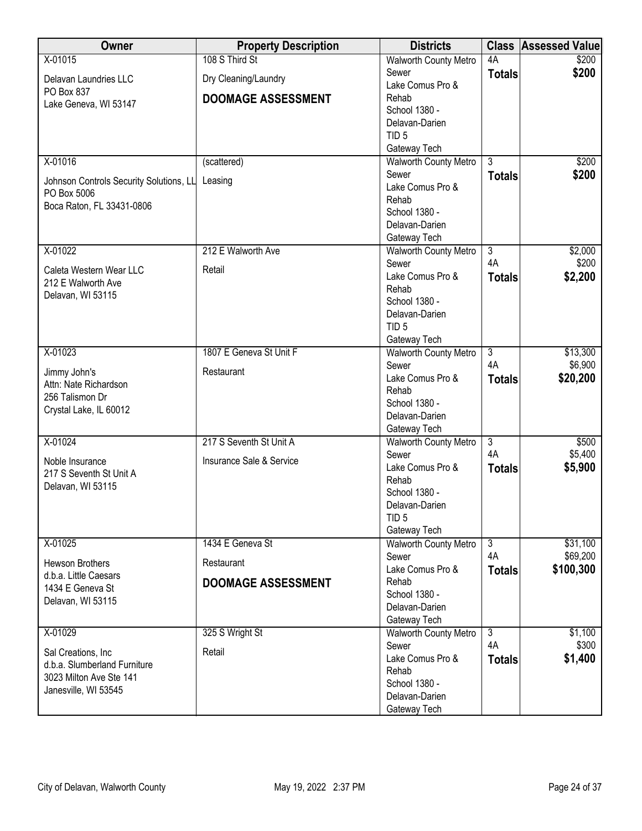| Owner                                   | <b>Property Description</b> | <b>Districts</b>             | <b>Class</b>         | <b>Assessed Value</b> |
|-----------------------------------------|-----------------------------|------------------------------|----------------------|-----------------------|
| X-01015                                 | 108 S Third St              | <b>Walworth County Metro</b> | 4A                   | \$200                 |
| Delavan Laundries LLC                   | Dry Cleaning/Laundry        | Sewer                        | <b>Totals</b>        | \$200                 |
| PO Box 837                              |                             | Lake Comus Pro &             |                      |                       |
| Lake Geneva, WI 53147                   | <b>DOOMAGE ASSESSMENT</b>   | Rehab                        |                      |                       |
|                                         |                             | School 1380 -                |                      |                       |
|                                         |                             | Delavan-Darien               |                      |                       |
|                                         |                             | TID <sub>5</sub>             |                      |                       |
|                                         |                             | Gateway Tech                 |                      |                       |
| X-01016                                 | (scattered)                 | <b>Walworth County Metro</b> | $\overline{3}$       | \$200                 |
| Johnson Controls Security Solutions, LL | Leasing                     | Sewer                        | <b>Totals</b>        | \$200                 |
| PO Box 5006                             |                             | Lake Comus Pro &             |                      |                       |
| Boca Raton, FL 33431-0806               |                             | Rehab                        |                      |                       |
|                                         |                             | School 1380 -                |                      |                       |
|                                         |                             | Delavan-Darien               |                      |                       |
|                                         |                             | Gateway Tech                 |                      |                       |
| X-01022                                 | 212 E Walworth Ave          | <b>Walworth County Metro</b> | $\overline{3}$<br>4A | \$2,000               |
| Caleta Western Wear LLC                 | Retail                      | Sewer<br>Lake Comus Pro &    |                      | \$200                 |
| 212 E Walworth Ave                      |                             | Rehab                        | <b>Totals</b>        | \$2,200               |
| Delavan, WI 53115                       |                             | School 1380 -                |                      |                       |
|                                         |                             | Delavan-Darien               |                      |                       |
|                                         |                             | TID <sub>5</sub>             |                      |                       |
|                                         |                             | Gateway Tech                 |                      |                       |
| X-01023                                 | 1807 E Geneva St Unit F     | <b>Walworth County Metro</b> | $\overline{3}$       | \$13,300              |
|                                         |                             | Sewer                        | 4A                   | \$6,900               |
| Jimmy John's                            | Restaurant                  | Lake Comus Pro &             | <b>Totals</b>        | \$20,200              |
| Attn: Nate Richardson                   |                             | Rehab                        |                      |                       |
| 256 Talismon Dr                         |                             | School 1380 -                |                      |                       |
| Crystal Lake, IL 60012                  |                             | Delavan-Darien               |                      |                       |
|                                         |                             | Gateway Tech                 |                      |                       |
| X-01024                                 | 217 S Seventh St Unit A     | Walworth County Metro        | $\overline{3}$       | \$500                 |
| Noble Insurance                         | Insurance Sale & Service    | Sewer                        | 4A                   | \$5,400               |
| 217 S Seventh St Unit A                 |                             | Lake Comus Pro &             | <b>Totals</b>        | \$5,900               |
| Delavan, WI 53115                       |                             | Rehab                        |                      |                       |
|                                         |                             | School 1380 -                |                      |                       |
|                                         |                             | Delavan-Darien               |                      |                       |
|                                         |                             | TID <sub>5</sub>             |                      |                       |
|                                         |                             | Gateway Tech                 |                      |                       |
| X-01025                                 | 1434 E Geneva St            | <b>Walworth County Metro</b> | $\overline{3}$       | \$31,100              |
| Hewson Brothers                         | Restaurant                  | Sewer                        | 4A                   | \$69,200              |
| d.b.a. Little Caesars                   |                             | Lake Comus Pro &             | <b>Totals</b>        | \$100,300             |
| 1434 E Geneva St                        | <b>DOOMAGE ASSESSMENT</b>   | Rehab<br>School 1380 -       |                      |                       |
| Delavan, WI 53115                       |                             | Delavan-Darien               |                      |                       |
|                                         |                             | Gateway Tech                 |                      |                       |
| X-01029                                 | 325 S Wright St             | <b>Walworth County Metro</b> | $\overline{3}$       | \$1,100               |
|                                         |                             | Sewer                        | 4A                   | \$300                 |
| Sal Creations, Inc                      | Retail                      | Lake Comus Pro &             | <b>Totals</b>        | \$1,400               |
| d.b.a. Slumberland Furniture            |                             | Rehab                        |                      |                       |
| 3023 Milton Ave Ste 141                 |                             | School 1380 -                |                      |                       |
| Janesville, WI 53545                    |                             | Delavan-Darien               |                      |                       |
|                                         |                             | Gateway Tech                 |                      |                       |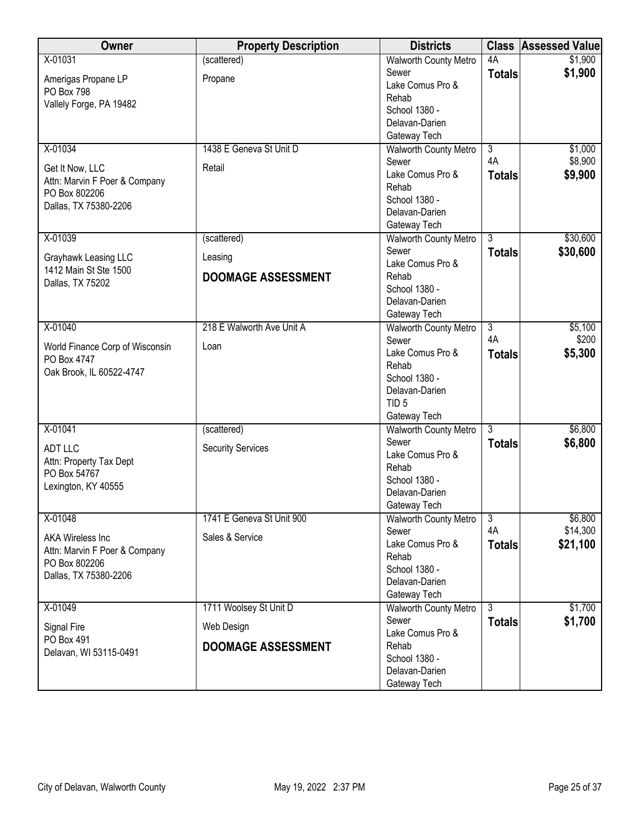| Owner                           | <b>Property Description</b> | <b>Districts</b>                |                      | <b>Class Assessed Value</b> |
|---------------------------------|-----------------------------|---------------------------------|----------------------|-----------------------------|
| X-01031                         | (scattered)                 | <b>Walworth County Metro</b>    | 4A                   | \$1,900                     |
| Amerigas Propane LP             | Propane                     | Sewer                           | <b>Totals</b>        | \$1,900                     |
| PO Box 798                      |                             | Lake Comus Pro &                |                      |                             |
| Vallely Forge, PA 19482         |                             | Rehab                           |                      |                             |
|                                 |                             | School 1380 -                   |                      |                             |
|                                 |                             | Delavan-Darien                  |                      |                             |
|                                 |                             | Gateway Tech                    |                      |                             |
| X-01034                         | 1438 E Geneva St Unit D     | <b>Walworth County Metro</b>    | $\overline{3}$<br>4A | \$1,000<br>\$8,900          |
| Get It Now, LLC                 | Retail                      | Sewer<br>Lake Comus Pro &       |                      |                             |
| Attn: Marvin F Poer & Company   |                             | Rehab                           | <b>Totals</b>        | \$9,900                     |
| PO Box 802206                   |                             | School 1380 -                   |                      |                             |
| Dallas, TX 75380-2206           |                             | Delavan-Darien                  |                      |                             |
|                                 |                             | Gateway Tech                    |                      |                             |
| X-01039                         | (scattered)                 | Walworth County Metro           | $\overline{3}$       | \$30,600                    |
|                                 |                             | Sewer                           | <b>Totals</b>        | \$30,600                    |
| Grayhawk Leasing LLC            | Leasing                     | Lake Comus Pro &                |                      |                             |
| 1412 Main St Ste 1500           | <b>DOOMAGE ASSESSMENT</b>   | Rehab                           |                      |                             |
| Dallas, TX 75202                |                             | School 1380 -                   |                      |                             |
|                                 |                             | Delavan-Darien                  |                      |                             |
|                                 |                             | Gateway Tech                    |                      |                             |
| X-01040                         | 218 E Walworth Ave Unit A   | <b>Walworth County Metro</b>    | $\overline{3}$       | \$5,100                     |
| World Finance Corp of Wisconsin | Loan                        | Sewer                           | 4A                   | \$200                       |
| PO Box 4747                     |                             | Lake Comus Pro &                | <b>Totals</b>        | \$5,300                     |
| Oak Brook, IL 60522-4747        |                             | Rehab                           |                      |                             |
|                                 |                             | School 1380 -<br>Delavan-Darien |                      |                             |
|                                 |                             | TID <sub>5</sub>                |                      |                             |
|                                 |                             | Gateway Tech                    |                      |                             |
| X-01041                         | (scattered)                 | <b>Walworth County Metro</b>    | $\overline{3}$       | \$6,800                     |
|                                 |                             | Sewer                           | <b>Totals</b>        | \$6,800                     |
| <b>ADT LLC</b>                  | <b>Security Services</b>    | Lake Comus Pro &                |                      |                             |
| Attn: Property Tax Dept         |                             | Rehab                           |                      |                             |
| PO Box 54767                    |                             | School 1380 -                   |                      |                             |
| Lexington, KY 40555             |                             | Delavan-Darien                  |                      |                             |
|                                 |                             | Gateway Tech                    |                      |                             |
| X-01048                         | 1741 E Geneva St Unit 900   | <b>Walworth County Metro</b>    | $\overline{3}$       | \$6,800                     |
| <b>AKA Wireless Inc</b>         | Sales & Service             | Sewer                           | 4A                   | \$14,300                    |
| Attn: Marvin F Poer & Company   |                             | Lake Comus Pro &                | <b>Totals</b>        | \$21,100                    |
| PO Box 802206                   |                             | Rehab                           |                      |                             |
| Dallas, TX 75380-2206           |                             | School 1380 -<br>Delavan-Darien |                      |                             |
|                                 |                             | Gateway Tech                    |                      |                             |
| X-01049                         | 1711 Woolsey St Unit D      | <b>Walworth County Metro</b>    | $\overline{3}$       | \$1,700                     |
|                                 |                             | Sewer                           | <b>Totals</b>        | \$1,700                     |
| Signal Fire                     | Web Design                  | Lake Comus Pro &                |                      |                             |
| PO Box 491                      | <b>DOOMAGE ASSESSMENT</b>   | Rehab                           |                      |                             |
| Delavan, WI 53115-0491          |                             | School 1380 -                   |                      |                             |
|                                 |                             | Delavan-Darien                  |                      |                             |
|                                 |                             | Gateway Tech                    |                      |                             |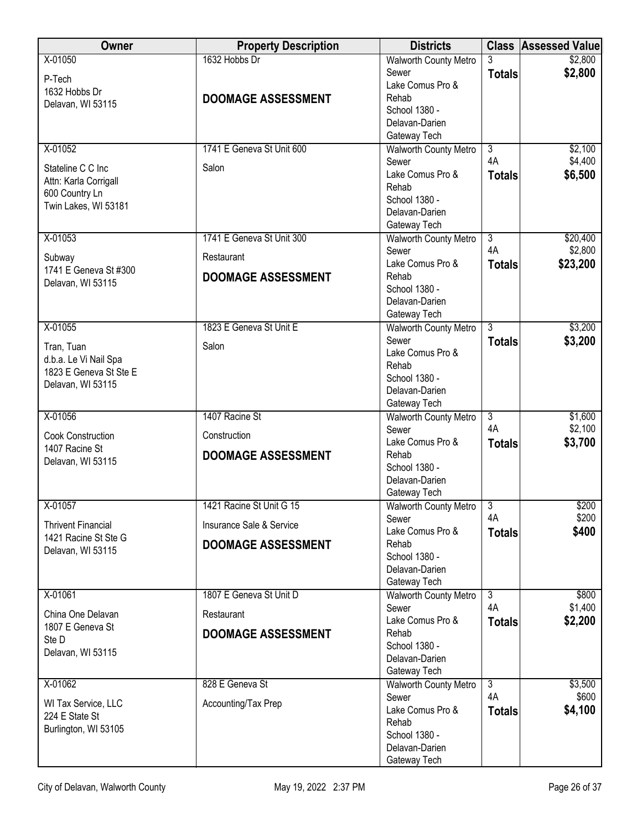| <b>Walworth County Metro</b><br>\$2,800<br>Sewer<br><b>Totals</b><br>P-Tech<br>Lake Comus Pro &<br>1632 Hobbs Dr<br>Rehab<br><b>DOOMAGE ASSESSMENT</b><br>Delavan, WI 53115<br>School 1380 -<br>Delavan-Darien<br>Gateway Tech<br>X-01052<br>1741 E Geneva St Unit 600<br>\$2,100<br>$\overline{3}$<br><b>Walworth County Metro</b><br>4A<br>\$4,400<br>Sewer<br>Salon<br>Stateline C C Inc<br>\$6,500<br>Lake Comus Pro &<br><b>Totals</b><br>Attn: Karla Corrigall<br>Rehab<br>600 Country Ln<br>School 1380 -<br>Twin Lakes, WI 53181<br>Delavan-Darien<br>Gateway Tech<br>X-01053<br>1741 E Geneva St Unit 300<br>$\overline{3}$<br>\$20,400<br><b>Walworth County Metro</b><br>4A<br>\$2,800<br>Sewer<br>Restaurant<br>Subway<br>Lake Comus Pro &<br>\$23,200<br><b>Totals</b><br>1741 E Geneva St #300<br>Rehab<br><b>DOOMAGE ASSESSMENT</b><br>Delavan, WI 53115<br>School 1380 -<br>Delavan-Darien<br>Gateway Tech<br>1823 E Geneva St Unit E<br>$\overline{\overline{3}}$<br>\$3,200<br>X-01055<br><b>Walworth County Metro</b><br>Sewer<br>\$3,200<br><b>Totals</b><br>Salon<br>Tran, Tuan<br>Lake Comus Pro & | Owner                 | <b>Property Description</b> | <b>Districts</b> | <b>Class Assessed Value</b> |
|--------------------------------------------------------------------------------------------------------------------------------------------------------------------------------------------------------------------------------------------------------------------------------------------------------------------------------------------------------------------------------------------------------------------------------------------------------------------------------------------------------------------------------------------------------------------------------------------------------------------------------------------------------------------------------------------------------------------------------------------------------------------------------------------------------------------------------------------------------------------------------------------------------------------------------------------------------------------------------------------------------------------------------------------------------------------------------------------------------------------------|-----------------------|-----------------------------|------------------|-----------------------------|
|                                                                                                                                                                                                                                                                                                                                                                                                                                                                                                                                                                                                                                                                                                                                                                                                                                                                                                                                                                                                                                                                                                                          | X-01050               | 1632 Hobbs Dr               |                  | \$2,800                     |
|                                                                                                                                                                                                                                                                                                                                                                                                                                                                                                                                                                                                                                                                                                                                                                                                                                                                                                                                                                                                                                                                                                                          |                       |                             |                  |                             |
|                                                                                                                                                                                                                                                                                                                                                                                                                                                                                                                                                                                                                                                                                                                                                                                                                                                                                                                                                                                                                                                                                                                          |                       |                             |                  |                             |
|                                                                                                                                                                                                                                                                                                                                                                                                                                                                                                                                                                                                                                                                                                                                                                                                                                                                                                                                                                                                                                                                                                                          |                       |                             |                  |                             |
|                                                                                                                                                                                                                                                                                                                                                                                                                                                                                                                                                                                                                                                                                                                                                                                                                                                                                                                                                                                                                                                                                                                          |                       |                             |                  |                             |
|                                                                                                                                                                                                                                                                                                                                                                                                                                                                                                                                                                                                                                                                                                                                                                                                                                                                                                                                                                                                                                                                                                                          |                       |                             |                  |                             |
|                                                                                                                                                                                                                                                                                                                                                                                                                                                                                                                                                                                                                                                                                                                                                                                                                                                                                                                                                                                                                                                                                                                          |                       |                             |                  |                             |
|                                                                                                                                                                                                                                                                                                                                                                                                                                                                                                                                                                                                                                                                                                                                                                                                                                                                                                                                                                                                                                                                                                                          |                       |                             |                  |                             |
|                                                                                                                                                                                                                                                                                                                                                                                                                                                                                                                                                                                                                                                                                                                                                                                                                                                                                                                                                                                                                                                                                                                          |                       |                             |                  |                             |
|                                                                                                                                                                                                                                                                                                                                                                                                                                                                                                                                                                                                                                                                                                                                                                                                                                                                                                                                                                                                                                                                                                                          |                       |                             |                  |                             |
|                                                                                                                                                                                                                                                                                                                                                                                                                                                                                                                                                                                                                                                                                                                                                                                                                                                                                                                                                                                                                                                                                                                          |                       |                             |                  |                             |
|                                                                                                                                                                                                                                                                                                                                                                                                                                                                                                                                                                                                                                                                                                                                                                                                                                                                                                                                                                                                                                                                                                                          |                       |                             |                  |                             |
|                                                                                                                                                                                                                                                                                                                                                                                                                                                                                                                                                                                                                                                                                                                                                                                                                                                                                                                                                                                                                                                                                                                          |                       |                             |                  |                             |
|                                                                                                                                                                                                                                                                                                                                                                                                                                                                                                                                                                                                                                                                                                                                                                                                                                                                                                                                                                                                                                                                                                                          |                       |                             |                  |                             |
|                                                                                                                                                                                                                                                                                                                                                                                                                                                                                                                                                                                                                                                                                                                                                                                                                                                                                                                                                                                                                                                                                                                          |                       |                             |                  |                             |
|                                                                                                                                                                                                                                                                                                                                                                                                                                                                                                                                                                                                                                                                                                                                                                                                                                                                                                                                                                                                                                                                                                                          |                       |                             |                  |                             |
|                                                                                                                                                                                                                                                                                                                                                                                                                                                                                                                                                                                                                                                                                                                                                                                                                                                                                                                                                                                                                                                                                                                          |                       |                             |                  |                             |
|                                                                                                                                                                                                                                                                                                                                                                                                                                                                                                                                                                                                                                                                                                                                                                                                                                                                                                                                                                                                                                                                                                                          |                       |                             |                  |                             |
|                                                                                                                                                                                                                                                                                                                                                                                                                                                                                                                                                                                                                                                                                                                                                                                                                                                                                                                                                                                                                                                                                                                          |                       |                             |                  |                             |
|                                                                                                                                                                                                                                                                                                                                                                                                                                                                                                                                                                                                                                                                                                                                                                                                                                                                                                                                                                                                                                                                                                                          |                       |                             |                  |                             |
|                                                                                                                                                                                                                                                                                                                                                                                                                                                                                                                                                                                                                                                                                                                                                                                                                                                                                                                                                                                                                                                                                                                          |                       |                             |                  |                             |
| Rehab                                                                                                                                                                                                                                                                                                                                                                                                                                                                                                                                                                                                                                                                                                                                                                                                                                                                                                                                                                                                                                                                                                                    | d.b.a. Le Vi Nail Spa |                             |                  |                             |
| 1823 E Geneva St Ste E<br>School 1380 -<br>Delavan, WI 53115                                                                                                                                                                                                                                                                                                                                                                                                                                                                                                                                                                                                                                                                                                                                                                                                                                                                                                                                                                                                                                                             |                       |                             |                  |                             |
| Delavan-Darien                                                                                                                                                                                                                                                                                                                                                                                                                                                                                                                                                                                                                                                                                                                                                                                                                                                                                                                                                                                                                                                                                                           |                       |                             |                  |                             |
| Gateway Tech                                                                                                                                                                                                                                                                                                                                                                                                                                                                                                                                                                                                                                                                                                                                                                                                                                                                                                                                                                                                                                                                                                             |                       |                             |                  |                             |
| 1407 Racine St<br>X-01056<br>$\overline{3}$<br>\$1,600<br>Walworth County Metro<br>4A<br>\$2,100<br>Sewer                                                                                                                                                                                                                                                                                                                                                                                                                                                                                                                                                                                                                                                                                                                                                                                                                                                                                                                                                                                                                |                       |                             |                  |                             |
| <b>Cook Construction</b><br>Construction<br>Lake Comus Pro &<br>\$3,700<br><b>Totals</b>                                                                                                                                                                                                                                                                                                                                                                                                                                                                                                                                                                                                                                                                                                                                                                                                                                                                                                                                                                                                                                 |                       |                             |                  |                             |
| 1407 Racine St<br>Rehab<br><b>DOOMAGE ASSESSMENT</b>                                                                                                                                                                                                                                                                                                                                                                                                                                                                                                                                                                                                                                                                                                                                                                                                                                                                                                                                                                                                                                                                     |                       |                             |                  |                             |
| Delavan, WI 53115<br>School 1380 -                                                                                                                                                                                                                                                                                                                                                                                                                                                                                                                                                                                                                                                                                                                                                                                                                                                                                                                                                                                                                                                                                       |                       |                             |                  |                             |
| Delavan-Darien                                                                                                                                                                                                                                                                                                                                                                                                                                                                                                                                                                                                                                                                                                                                                                                                                                                                                                                                                                                                                                                                                                           |                       |                             |                  |                             |
| Gateway Tech                                                                                                                                                                                                                                                                                                                                                                                                                                                                                                                                                                                                                                                                                                                                                                                                                                                                                                                                                                                                                                                                                                             |                       |                             |                  |                             |
| $X-01057$<br>\$200<br>1421 Racine St Unit G 15<br>Walworth County Metro   3                                                                                                                                                                                                                                                                                                                                                                                                                                                                                                                                                                                                                                                                                                                                                                                                                                                                                                                                                                                                                                              |                       |                             |                  |                             |
| \$200<br>4A<br>Sewer<br>Insurance Sale & Service<br><b>Thrivent Financial</b>                                                                                                                                                                                                                                                                                                                                                                                                                                                                                                                                                                                                                                                                                                                                                                                                                                                                                                                                                                                                                                            |                       |                             |                  |                             |
| \$400<br>Lake Comus Pro &<br><b>Totals</b><br>1421 Racine St Ste G<br>Rehab<br><b>DOOMAGE ASSESSMENT</b>                                                                                                                                                                                                                                                                                                                                                                                                                                                                                                                                                                                                                                                                                                                                                                                                                                                                                                                                                                                                                 |                       |                             |                  |                             |
| Delavan, WI 53115<br>School 1380 -                                                                                                                                                                                                                                                                                                                                                                                                                                                                                                                                                                                                                                                                                                                                                                                                                                                                                                                                                                                                                                                                                       |                       |                             |                  |                             |
| Delavan-Darien                                                                                                                                                                                                                                                                                                                                                                                                                                                                                                                                                                                                                                                                                                                                                                                                                                                                                                                                                                                                                                                                                                           |                       |                             |                  |                             |
| Gateway Tech                                                                                                                                                                                                                                                                                                                                                                                                                                                                                                                                                                                                                                                                                                                                                                                                                                                                                                                                                                                                                                                                                                             |                       |                             |                  |                             |
| X-01061<br>1807 E Geneva St Unit D<br>$\overline{3}$<br>\$800<br><b>Walworth County Metro</b>                                                                                                                                                                                                                                                                                                                                                                                                                                                                                                                                                                                                                                                                                                                                                                                                                                                                                                                                                                                                                            |                       |                             |                  |                             |
| 4A<br>\$1,400<br>Sewer<br>China One Delavan<br>Restaurant                                                                                                                                                                                                                                                                                                                                                                                                                                                                                                                                                                                                                                                                                                                                                                                                                                                                                                                                                                                                                                                                |                       |                             |                  |                             |
| \$2,200<br>Lake Comus Pro &<br><b>Totals</b><br>1807 E Geneva St<br>Rehab                                                                                                                                                                                                                                                                                                                                                                                                                                                                                                                                                                                                                                                                                                                                                                                                                                                                                                                                                                                                                                                |                       |                             |                  |                             |
| <b>DOOMAGE ASSESSMENT</b><br>Ste D<br>School 1380 -                                                                                                                                                                                                                                                                                                                                                                                                                                                                                                                                                                                                                                                                                                                                                                                                                                                                                                                                                                                                                                                                      |                       |                             |                  |                             |
| Delavan, WI 53115<br>Delavan-Darien                                                                                                                                                                                                                                                                                                                                                                                                                                                                                                                                                                                                                                                                                                                                                                                                                                                                                                                                                                                                                                                                                      |                       |                             |                  |                             |
| Gateway Tech                                                                                                                                                                                                                                                                                                                                                                                                                                                                                                                                                                                                                                                                                                                                                                                                                                                                                                                                                                                                                                                                                                             |                       |                             |                  |                             |
| 828 E Geneva St<br>$\overline{3}$<br>X-01062<br>\$3,500<br><b>Walworth County Metro</b>                                                                                                                                                                                                                                                                                                                                                                                                                                                                                                                                                                                                                                                                                                                                                                                                                                                                                                                                                                                                                                  |                       |                             |                  |                             |
| 4A<br>\$600<br>Sewer<br>Accounting/Tax Prep<br>WI Tax Service, LLC                                                                                                                                                                                                                                                                                                                                                                                                                                                                                                                                                                                                                                                                                                                                                                                                                                                                                                                                                                                                                                                       |                       |                             |                  |                             |
| \$4,100<br>Lake Comus Pro &<br><b>Totals</b><br>224 E State St                                                                                                                                                                                                                                                                                                                                                                                                                                                                                                                                                                                                                                                                                                                                                                                                                                                                                                                                                                                                                                                           |                       |                             |                  |                             |
| Rehab<br>Burlington, WI 53105                                                                                                                                                                                                                                                                                                                                                                                                                                                                                                                                                                                                                                                                                                                                                                                                                                                                                                                                                                                                                                                                                            |                       |                             |                  |                             |
| School 1380 -<br>Delavan-Darien                                                                                                                                                                                                                                                                                                                                                                                                                                                                                                                                                                                                                                                                                                                                                                                                                                                                                                                                                                                                                                                                                          |                       |                             |                  |                             |
| Gateway Tech                                                                                                                                                                                                                                                                                                                                                                                                                                                                                                                                                                                                                                                                                                                                                                                                                                                                                                                                                                                                                                                                                                             |                       |                             |                  |                             |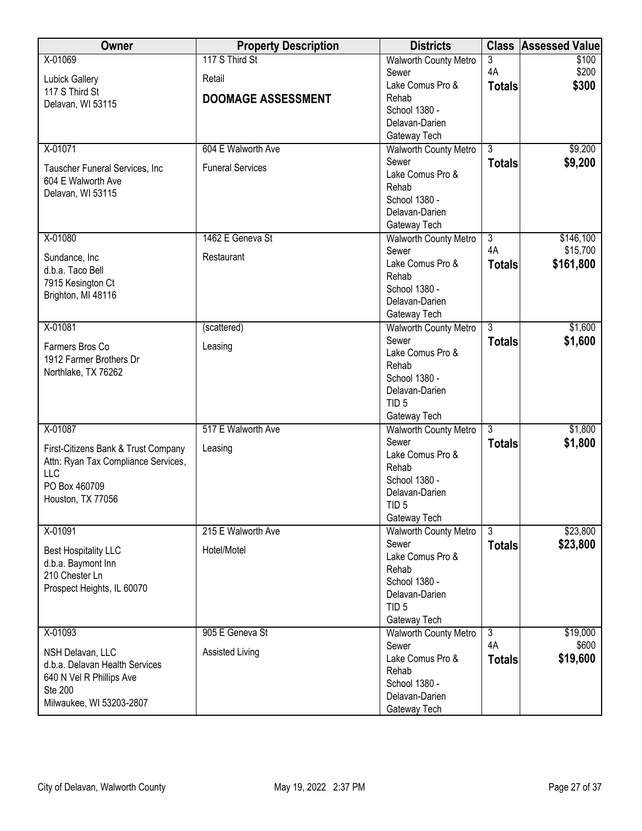| <b>Owner</b>                        | <b>Property Description</b> | <b>Districts</b>                   | <b>Class</b>   | <b>Assessed Value</b> |
|-------------------------------------|-----------------------------|------------------------------------|----------------|-----------------------|
| X-01069                             | 117 S Third St              | <b>Walworth County Metro</b>       | 3              | \$100                 |
| <b>Lubick Gallery</b>               | Retail                      | Sewer                              | 4A             | \$200                 |
| 117 S Third St                      |                             | Lake Comus Pro &                   | <b>Totals</b>  | \$300                 |
| Delavan, WI 53115                   | <b>DOOMAGE ASSESSMENT</b>   | Rehab                              |                |                       |
|                                     |                             | School 1380 -                      |                |                       |
|                                     |                             | Delavan-Darien                     |                |                       |
|                                     |                             | Gateway Tech                       |                |                       |
| X-01071                             | 604 E Walworth Ave          | <b>Walworth County Metro</b>       | $\overline{3}$ | \$9,200               |
| Tauscher Funeral Services, Inc      | <b>Funeral Services</b>     | Sewer                              | <b>Totals</b>  | \$9,200               |
| 604 E Walworth Ave                  |                             | Lake Comus Pro &                   |                |                       |
| Delavan, WI 53115                   |                             | Rehab                              |                |                       |
|                                     |                             | School 1380 -                      |                |                       |
|                                     |                             | Delavan-Darien                     |                |                       |
|                                     |                             | Gateway Tech                       |                |                       |
| X-01080                             | 1462 E Geneva St            | Walworth County Metro              | $\overline{3}$ | \$146,100             |
| Sundance, Inc                       | Restaurant                  | Sewer                              | 4A             | \$15,700              |
| d.b.a. Taco Bell                    |                             | Lake Comus Pro &                   | <b>Totals</b>  | \$161,800             |
| 7915 Kesington Ct                   |                             | Rehab                              |                |                       |
| Brighton, MI 48116                  |                             | School 1380 -                      |                |                       |
|                                     |                             | Delavan-Darien                     |                |                       |
|                                     |                             | Gateway Tech                       |                |                       |
| X-01081                             | (scattered)                 | <b>Walworth County Metro</b>       | $\overline{3}$ | \$1,600               |
| Farmers Bros Co                     | Leasing                     | Sewer                              | <b>Totals</b>  | \$1,600               |
| 1912 Farmer Brothers Dr             |                             | Lake Comus Pro &                   |                |                       |
| Northlake, TX 76262                 |                             | Rehab                              |                |                       |
|                                     |                             | School 1380 -                      |                |                       |
|                                     |                             | Delavan-Darien<br>TID <sub>5</sub> |                |                       |
|                                     |                             | Gateway Tech                       |                |                       |
| X-01087                             | 517 E Walworth Ave          | <b>Walworth County Metro</b>       | $\overline{3}$ | \$1,800               |
|                                     |                             | Sewer                              |                | \$1,800               |
| First-Citizens Bank & Trust Company | Leasing                     | Lake Comus Pro &                   | <b>Totals</b>  |                       |
| Attn: Ryan Tax Compliance Services, |                             | Rehab                              |                |                       |
| <b>LLC</b>                          |                             | School 1380 -                      |                |                       |
| PO Box 460709                       |                             | Delavan-Darien                     |                |                       |
| Houston, TX 77056                   |                             | TID <sub>5</sub>                   |                |                       |
|                                     |                             | Gateway Tech                       |                |                       |
| X-01091                             | 215 E Walworth Ave          | <b>Walworth County Metro</b>       | $\overline{3}$ | \$23,800              |
|                                     |                             | Sewer                              | <b>Totals</b>  | \$23,800              |
| <b>Best Hospitality LLC</b>         | Hotel/Motel                 | Lake Comus Pro &                   |                |                       |
| d.b.a. Baymont Inn                  |                             | Rehab                              |                |                       |
| 210 Chester Ln                      |                             | School 1380 -                      |                |                       |
| Prospect Heights, IL 60070          |                             | Delavan-Darien                     |                |                       |
|                                     |                             | TID <sub>5</sub>                   |                |                       |
|                                     |                             | Gateway Tech                       |                |                       |
| X-01093                             | 905 E Geneva St             | <b>Walworth County Metro</b>       | $\overline{3}$ | \$19,000              |
| NSH Delavan, LLC                    | Assisted Living             | Sewer                              | 4A             | \$600                 |
| d.b.a. Delavan Health Services      |                             | Lake Comus Pro &                   | <b>Totals</b>  | \$19,600              |
| 640 N Vel R Phillips Ave            |                             | Rehab                              |                |                       |
| Ste 200                             |                             | School 1380 -                      |                |                       |
| Milwaukee, WI 53203-2807            |                             | Delavan-Darien                     |                |                       |
|                                     |                             | Gateway Tech                       |                |                       |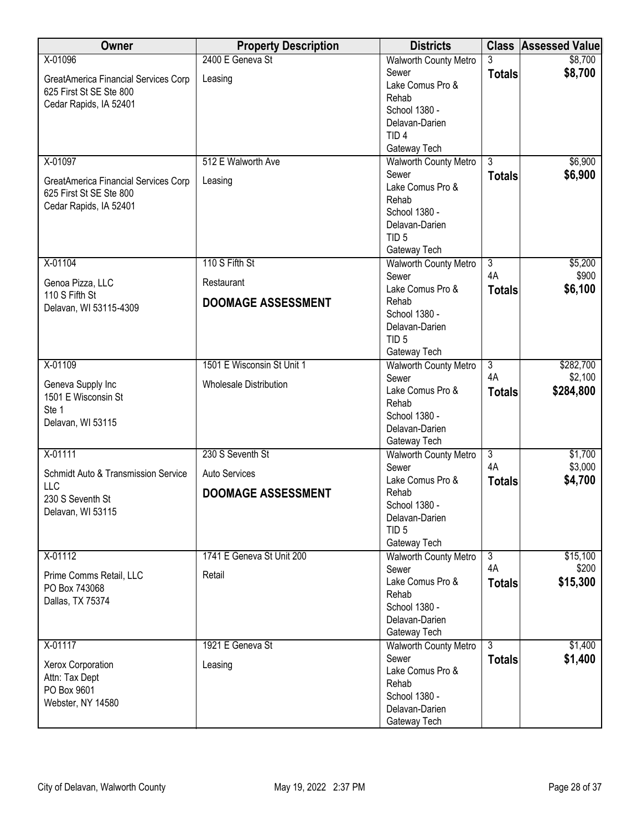| Owner                                | <b>Property Description</b>   | <b>Districts</b>                      |                | <b>Class Assessed Value</b> |
|--------------------------------------|-------------------------------|---------------------------------------|----------------|-----------------------------|
| X-01096                              | 2400 E Geneva St              | <b>Walworth County Metro</b>          | 3              | \$8,700                     |
| GreatAmerica Financial Services Corp | Leasing                       | Sewer                                 | <b>Totals</b>  | \$8,700                     |
| 625 First St SE Ste 800              |                               | Lake Comus Pro &                      |                |                             |
| Cedar Rapids, IA 52401               |                               | Rehab                                 |                |                             |
|                                      |                               | School 1380 -                         |                |                             |
|                                      |                               | Delavan-Darien                        |                |                             |
|                                      |                               | TID <sub>4</sub>                      |                |                             |
|                                      |                               | Gateway Tech                          | $\overline{3}$ |                             |
| X-01097                              | 512 E Walworth Ave            | <b>Walworth County Metro</b><br>Sewer |                | \$6,900                     |
| GreatAmerica Financial Services Corp | Leasing                       | Lake Comus Pro &                      | <b>Totals</b>  | \$6,900                     |
| 625 First St SE Ste 800              |                               | Rehab                                 |                |                             |
| Cedar Rapids, IA 52401               |                               | School 1380 -                         |                |                             |
|                                      |                               | Delavan-Darien                        |                |                             |
|                                      |                               | TID <sub>5</sub>                      |                |                             |
|                                      |                               | Gateway Tech                          |                |                             |
| X-01104                              | 110 S Fifth St                | <b>Walworth County Metro</b>          | $\overline{3}$ | \$5,200                     |
|                                      |                               | Sewer                                 | 4A             | \$900                       |
| Genoa Pizza, LLC<br>110 S Fifth St   | Restaurant                    | Lake Comus Pro &                      | <b>Totals</b>  | \$6,100                     |
| Delavan, WI 53115-4309               | <b>DOOMAGE ASSESSMENT</b>     | Rehab                                 |                |                             |
|                                      |                               | School 1380 -                         |                |                             |
|                                      |                               | Delavan-Darien                        |                |                             |
|                                      |                               | TID <sub>5</sub>                      |                |                             |
|                                      |                               | Gateway Tech                          |                |                             |
| X-01109                              | 1501 E Wisconsin St Unit 1    | <b>Walworth County Metro</b>          | $\overline{3}$ | \$282,700                   |
| Geneva Supply Inc                    | <b>Wholesale Distribution</b> | Sewer                                 | 4A             | \$2,100                     |
| 1501 E Wisconsin St                  |                               | Lake Comus Pro &                      | <b>Totals</b>  | \$284,800                   |
| Ste 1                                |                               | Rehab<br>School 1380 -                |                |                             |
| Delavan, WI 53115                    |                               | Delavan-Darien                        |                |                             |
|                                      |                               | Gateway Tech                          |                |                             |
| X-01111                              | 230 S Seventh St              | Walworth County Metro                 | $\overline{3}$ | \$1,700                     |
|                                      |                               | Sewer                                 | 4A             | \$3,000                     |
| Schmidt Auto & Transmission Service  | <b>Auto Services</b>          | Lake Comus Pro &                      | <b>Totals</b>  | \$4,700                     |
| <b>LLC</b>                           | <b>DOOMAGE ASSESSMENT</b>     | Rehab                                 |                |                             |
| 230 S Seventh St                     |                               | School 1380 -                         |                |                             |
| Delavan, WI 53115                    |                               | Delavan-Darien                        |                |                             |
|                                      |                               | TID <sub>5</sub>                      |                |                             |
|                                      |                               | Gateway Tech                          |                |                             |
| X-01112                              | 1741 E Geneva St Unit 200     | <b>Walworth County Metro</b>          | $\overline{3}$ | \$15,100                    |
| Prime Comms Retail, LLC              | Retail                        | Sewer                                 | 4A             | \$200                       |
| PO Box 743068                        |                               | Lake Comus Pro &                      | <b>Totals</b>  | \$15,300                    |
| Dallas, TX 75374                     |                               | Rehab<br>School 1380 -                |                |                             |
|                                      |                               | Delavan-Darien                        |                |                             |
|                                      |                               | Gateway Tech                          |                |                             |
| X-01117                              | 1921 E Geneva St              | <b>Walworth County Metro</b>          | $\overline{3}$ | \$1,400                     |
|                                      |                               | Sewer                                 | <b>Totals</b>  | \$1,400                     |
| Xerox Corporation                    | Leasing                       | Lake Comus Pro &                      |                |                             |
| Attn: Tax Dept                       |                               | Rehab                                 |                |                             |
| PO Box 9601                          |                               | School 1380 -                         |                |                             |
| Webster, NY 14580                    |                               | Delavan-Darien                        |                |                             |
|                                      |                               | Gateway Tech                          |                |                             |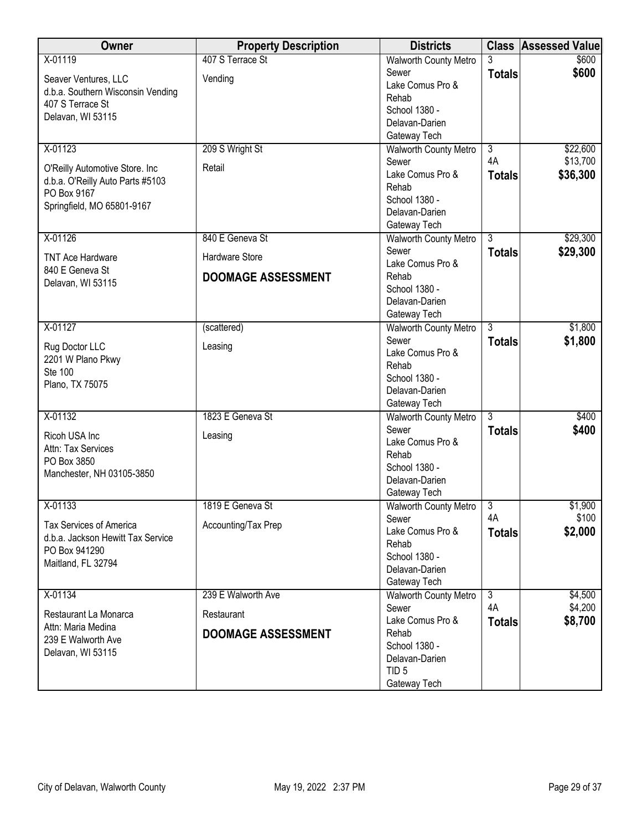| Owner                             | <b>Property Description</b> | <b>Districts</b>             |                      | <b>Class Assessed Value</b> |
|-----------------------------------|-----------------------------|------------------------------|----------------------|-----------------------------|
| X-01119                           | 407 S Terrace St            | Walworth County Metro        |                      | \$600                       |
| Seaver Ventures, LLC              | Vending                     | Sewer                        | <b>Totals</b>        | \$600                       |
| d.b.a. Southern Wisconsin Vending |                             | Lake Comus Pro &             |                      |                             |
| 407 S Terrace St                  |                             | Rehab                        |                      |                             |
| Delavan, WI 53115                 |                             | School 1380 -                |                      |                             |
|                                   |                             | Delavan-Darien               |                      |                             |
|                                   |                             | Gateway Tech                 |                      |                             |
| X-01123                           | 209 S Wright St             | <b>Walworth County Metro</b> | $\overline{3}$       | \$22,600                    |
| O'Reilly Automotive Store. Inc    | Retail                      | Sewer                        | 4A                   | \$13,700                    |
| d.b.a. O'Reilly Auto Parts #5103  |                             | Lake Comus Pro &             | <b>Totals</b>        | \$36,300                    |
| PO Box 9167                       |                             | Rehab                        |                      |                             |
| Springfield, MO 65801-9167        |                             | School 1380 -                |                      |                             |
|                                   |                             | Delavan-Darien               |                      |                             |
|                                   |                             | Gateway Tech                 |                      |                             |
| X-01126                           | 840 E Geneva St             | <b>Walworth County Metro</b> | $\overline{3}$       | \$29,300                    |
| <b>TNT Ace Hardware</b>           | <b>Hardware Store</b>       | Sewer                        | <b>Totals</b>        | \$29,300                    |
| 840 E Geneva St                   |                             | Lake Comus Pro &             |                      |                             |
| Delavan, WI 53115                 | <b>DOOMAGE ASSESSMENT</b>   | Rehab                        |                      |                             |
|                                   |                             | School 1380 -                |                      |                             |
|                                   |                             | Delavan-Darien               |                      |                             |
|                                   |                             | Gateway Tech                 |                      |                             |
| X-01127                           | (scattered)                 | <b>Walworth County Metro</b> | $\overline{3}$       | \$1,800                     |
| Rug Doctor LLC                    | Leasing                     | Sewer                        | <b>Totals</b>        | \$1,800                     |
| 2201 W Plano Pkwy                 |                             | Lake Comus Pro &             |                      |                             |
| Ste 100                           |                             | Rehab                        |                      |                             |
| Plano, TX 75075                   |                             | School 1380 -                |                      |                             |
|                                   |                             | Delavan-Darien               |                      |                             |
|                                   |                             | Gateway Tech                 |                      |                             |
| X-01132                           | 1823 E Geneva St            | <b>Walworth County Metro</b> | $\overline{3}$       | \$400                       |
| Ricoh USA Inc                     | Leasing                     | Sewer                        | <b>Totals</b>        | \$400                       |
| Attn: Tax Services                |                             | Lake Comus Pro &             |                      |                             |
| PO Box 3850                       |                             | Rehab                        |                      |                             |
| Manchester, NH 03105-3850         |                             | School 1380 -                |                      |                             |
|                                   |                             | Delavan-Darien               |                      |                             |
|                                   |                             | Gateway Tech                 |                      |                             |
| X-01133                           | 1819 E Geneva St            | <b>Walworth County Metro</b> | $\overline{3}$<br>4A | \$1,900<br>\$100            |
| <b>Tax Services of America</b>    | Accounting/Tax Prep         | Sewer                        |                      |                             |
| d.b.a. Jackson Hewitt Tax Service |                             | Lake Comus Pro &<br>Rehab    | <b>Totals</b>        | \$2,000                     |
| PO Box 941290                     |                             | School 1380 -                |                      |                             |
| Maitland, FL 32794                |                             | Delavan-Darien               |                      |                             |
|                                   |                             | Gateway Tech                 |                      |                             |
| X-01134                           | 239 E Walworth Ave          | <b>Walworth County Metro</b> | $\overline{3}$       | \$4,500                     |
|                                   |                             | Sewer                        | 4A                   | \$4,200                     |
| Restaurant La Monarca             | Restaurant                  | Lake Comus Pro &             | <b>Totals</b>        | \$8,700                     |
| Attn: Maria Medina                | <b>DOOMAGE ASSESSMENT</b>   | Rehab                        |                      |                             |
| 239 E Walworth Ave                |                             | School 1380 -                |                      |                             |
| Delavan, WI 53115                 |                             | Delavan-Darien               |                      |                             |
|                                   |                             | TID <sub>5</sub>             |                      |                             |
|                                   |                             | Gateway Tech                 |                      |                             |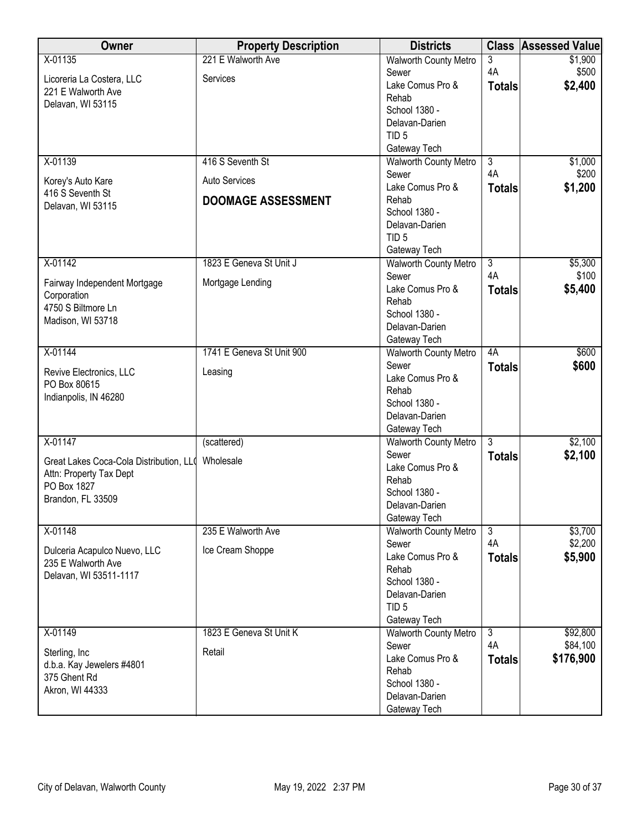| Owner                                   | <b>Property Description</b> | <b>Districts</b>                             | <b>Class</b>   | <b>Assessed Value</b> |
|-----------------------------------------|-----------------------------|----------------------------------------------|----------------|-----------------------|
| X-01135                                 | 221 E Walworth Ave          | <b>Walworth County Metro</b>                 | 3              | \$1,900               |
| Licoreria La Costera, LLC               | Services                    | Sewer                                        | 4A             | \$500                 |
| 221 E Walworth Ave                      |                             | Lake Comus Pro &                             | <b>Totals</b>  | \$2,400               |
| Delavan, WI 53115                       |                             | Rehab                                        |                |                       |
|                                         |                             | School 1380 -                                |                |                       |
|                                         |                             | Delavan-Darien                               |                |                       |
|                                         |                             | TID <sub>5</sub>                             |                |                       |
|                                         |                             | Gateway Tech                                 |                |                       |
| X-01139                                 | 416 S Seventh St            | <b>Walworth County Metro</b>                 | $\overline{3}$ | \$1,000               |
| Korey's Auto Kare                       | Auto Services               | Sewer                                        | 4A             | \$200                 |
| 416 S Seventh St                        |                             | Lake Comus Pro &                             | <b>Totals</b>  | \$1,200               |
| Delavan, WI 53115                       | <b>DOOMAGE ASSESSMENT</b>   | Rehab                                        |                |                       |
|                                         |                             | School 1380 -                                |                |                       |
|                                         |                             | Delavan-Darien<br>TID <sub>5</sub>           |                |                       |
|                                         |                             |                                              |                |                       |
| $X-01142$                               | 1823 E Geneva St Unit J     | Gateway Tech<br><b>Walworth County Metro</b> | $\overline{3}$ | \$5,300               |
|                                         |                             | Sewer                                        | 4A             | \$100                 |
| Fairway Independent Mortgage            | Mortgage Lending            | Lake Comus Pro &                             | <b>Totals</b>  | \$5,400               |
| Corporation                             |                             | Rehab                                        |                |                       |
| 4750 S Biltmore Ln                      |                             | School 1380 -                                |                |                       |
| Madison, WI 53718                       |                             | Delavan-Darien                               |                |                       |
|                                         |                             | Gateway Tech                                 |                |                       |
| X-01144                                 | 1741 E Geneva St Unit 900   | <b>Walworth County Metro</b>                 | 4A             | \$600                 |
|                                         |                             | Sewer                                        | <b>Totals</b>  | \$600                 |
| Revive Electronics, LLC                 | Leasing                     | Lake Comus Pro &                             |                |                       |
| PO Box 80615                            |                             | Rehab                                        |                |                       |
| Indianpolis, IN 46280                   |                             | School 1380 -                                |                |                       |
|                                         |                             | Delavan-Darien                               |                |                       |
|                                         |                             | Gateway Tech                                 |                |                       |
| X-01147                                 | (scattered)                 | Walworth County Metro                        | $\overline{3}$ | \$2,100               |
| Great Lakes Coca-Cola Distribution, LL( | Wholesale                   | Sewer                                        | <b>Totals</b>  | \$2,100               |
| Attn: Property Tax Dept                 |                             | Lake Comus Pro &                             |                |                       |
| PO Box 1827                             |                             | Rehab                                        |                |                       |
| Brandon, FL 33509                       |                             | School 1380 -                                |                |                       |
|                                         |                             | Delavan-Darien                               |                |                       |
|                                         |                             | Gateway Tech                                 |                |                       |
| X-01148                                 | 235 E Walworth Ave          | <b>Walworth County Metro</b>                 | $\overline{3}$ | \$3,700               |
| Dulceria Acapulco Nuevo, LLC            | Ice Cream Shoppe            | Sewer                                        | 4A             | \$2,200               |
| 235 E Walworth Ave                      |                             | Lake Comus Pro &                             | <b>Totals</b>  | \$5,900               |
| Delavan, WI 53511-1117                  |                             | Rehab                                        |                |                       |
|                                         |                             | School 1380 -<br>Delavan-Darien              |                |                       |
|                                         |                             | TID <sub>5</sub>                             |                |                       |
|                                         |                             | Gateway Tech                                 |                |                       |
| X-01149                                 | 1823 E Geneva St Unit K     | <b>Walworth County Metro</b>                 | $\overline{3}$ | \$92,800              |
|                                         |                             | Sewer                                        | 4A             | \$84,100              |
| Sterling, Inc.                          | Retail                      | Lake Comus Pro &                             | <b>Totals</b>  | \$176,900             |
| d.b.a. Kay Jewelers #4801               |                             | Rehab                                        |                |                       |
| 375 Ghent Rd                            |                             | School 1380 -                                |                |                       |
| Akron, WI 44333                         |                             | Delavan-Darien                               |                |                       |
|                                         |                             | Gateway Tech                                 |                |                       |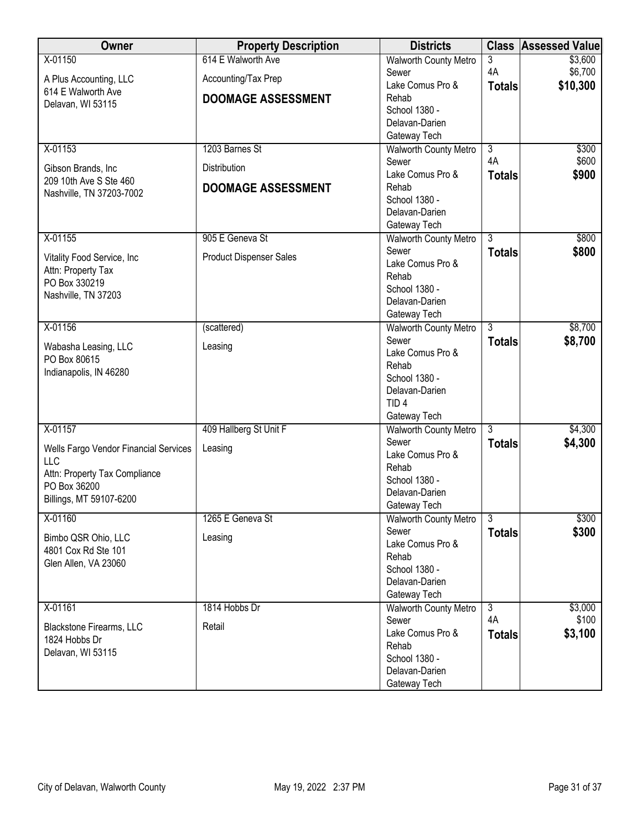| Owner                                   | <b>Property Description</b>    | <b>Districts</b>                | <b>Class</b>         | <b>Assessed Value</b> |
|-----------------------------------------|--------------------------------|---------------------------------|----------------------|-----------------------|
| X-01150                                 | 614 E Walworth Ave             | <b>Walworth County Metro</b>    | 3                    | \$3,600               |
| A Plus Accounting, LLC                  | Accounting/Tax Prep            | Sewer                           | 4A                   | \$6,700               |
| 614 E Walworth Ave                      |                                | Lake Comus Pro &                | <b>Totals</b>        | \$10,300              |
| Delavan, WI 53115                       | <b>DOOMAGE ASSESSMENT</b>      | Rehab                           |                      |                       |
|                                         |                                | School 1380 -                   |                      |                       |
|                                         |                                | Delavan-Darien                  |                      |                       |
|                                         |                                | Gateway Tech                    |                      |                       |
| X-01153                                 | 1203 Barnes St                 | <b>Walworth County Metro</b>    | $\overline{3}$<br>4A | \$300<br>\$600        |
| Gibson Brands, Inc.                     | Distribution                   | Sewer<br>Lake Comus Pro &       |                      | \$900                 |
| 209 10th Ave S Ste 460                  | <b>DOOMAGE ASSESSMENT</b>      | Rehab                           | <b>Totals</b>        |                       |
| Nashville, TN 37203-7002                |                                | School 1380 -                   |                      |                       |
|                                         |                                | Delavan-Darien                  |                      |                       |
|                                         |                                | Gateway Tech                    |                      |                       |
| X-01155                                 | 905 E Geneva St                | <b>Walworth County Metro</b>    | $\overline{3}$       | \$800                 |
|                                         |                                | Sewer                           | <b>Totals</b>        | \$800                 |
| Vitality Food Service, Inc              | <b>Product Dispenser Sales</b> | Lake Comus Pro &                |                      |                       |
| Attn: Property Tax<br>PO Box 330219     |                                | Rehab                           |                      |                       |
| Nashville, TN 37203                     |                                | School 1380 -                   |                      |                       |
|                                         |                                | Delavan-Darien                  |                      |                       |
|                                         |                                | Gateway Tech                    |                      |                       |
| X-01156                                 | (scattered)                    | <b>Walworth County Metro</b>    | $\overline{3}$       | \$8,700               |
| Wabasha Leasing, LLC                    | Leasing                        | Sewer                           | <b>Totals</b>        | \$8,700               |
| PO Box 80615                            |                                | Lake Comus Pro &                |                      |                       |
| Indianapolis, IN 46280                  |                                | Rehab                           |                      |                       |
|                                         |                                | School 1380 -<br>Delavan-Darien |                      |                       |
|                                         |                                | TID <sub>4</sub>                |                      |                       |
|                                         |                                | Gateway Tech                    |                      |                       |
| X-01157                                 | 409 Hallberg St Unit F         | <b>Walworth County Metro</b>    | 3                    | \$4,300               |
|                                         |                                | Sewer                           | <b>Totals</b>        | \$4,300               |
| Wells Fargo Vendor Financial Services   | Leasing                        | Lake Comus Pro &                |                      |                       |
| <b>LLC</b>                              |                                | Rehab                           |                      |                       |
| Attn: Property Tax Compliance           |                                | School 1380 -                   |                      |                       |
| PO Box 36200<br>Billings, MT 59107-6200 |                                | Delavan-Darien                  |                      |                       |
|                                         |                                | Gateway Tech                    |                      |                       |
| X-01160                                 | 1265 E Geneva St               | <b>Walworth County Metro</b>    | $\overline{3}$       | \$300                 |
| Bimbo QSR Ohio, LLC                     | Leasing                        | Sewer                           | <b>Totals</b>        | \$300                 |
| 4801 Cox Rd Ste 101                     |                                | Lake Comus Pro &                |                      |                       |
| Glen Allen, VA 23060                    |                                | Rehab                           |                      |                       |
|                                         |                                | School 1380 -                   |                      |                       |
|                                         |                                | Delavan-Darien<br>Gateway Tech  |                      |                       |
| X-01161                                 | 1814 Hobbs Dr                  | Walworth County Metro           | $\overline{3}$       | \$3,000               |
|                                         |                                | Sewer                           | 4A                   | \$100                 |
| Blackstone Firearms, LLC                | Retail                         | Lake Comus Pro &                | <b>Totals</b>        | \$3,100               |
| 1824 Hobbs Dr                           |                                | Rehab                           |                      |                       |
| Delavan, WI 53115                       |                                | School 1380 -                   |                      |                       |
|                                         |                                | Delavan-Darien                  |                      |                       |
|                                         |                                | Gateway Tech                    |                      |                       |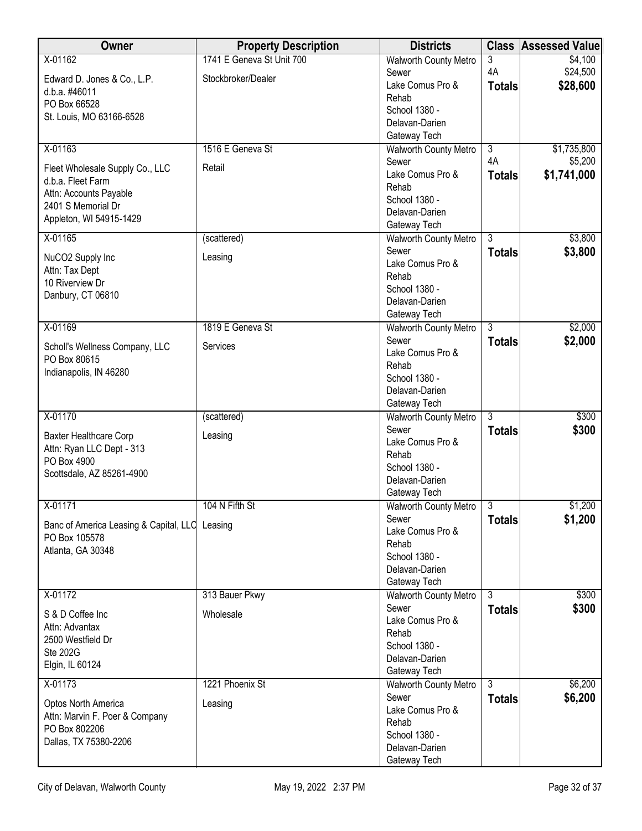| Owner                                          | <b>Property Description</b> | <b>Districts</b>                      | <b>Class</b>   | <b>Assessed Value</b> |
|------------------------------------------------|-----------------------------|---------------------------------------|----------------|-----------------------|
| X-01162                                        | 1741 E Geneva St Unit 700   | <b>Walworth County Metro</b>          | 3              | \$4,100               |
| Edward D. Jones & Co., L.P.                    | Stockbroker/Dealer          | Sewer                                 | 4A             | \$24,500              |
| d.b.a. #46011                                  |                             | Lake Comus Pro &                      | <b>Totals</b>  | \$28,600              |
| PO Box 66528                                   |                             | Rehab<br>School 1380 -                |                |                       |
| St. Louis, MO 63166-6528                       |                             | Delavan-Darien                        |                |                       |
|                                                |                             | Gateway Tech                          |                |                       |
| X-01163                                        | 1516 E Geneva St            | <b>Walworth County Metro</b>          | $\overline{3}$ | \$1,735,800           |
|                                                |                             | Sewer                                 | 4A             | \$5,200               |
| Fleet Wholesale Supply Co., LLC                | Retail                      | Lake Comus Pro &                      | <b>Totals</b>  | \$1,741,000           |
| d.b.a. Fleet Farm                              |                             | Rehab                                 |                |                       |
| Attn: Accounts Payable<br>2401 S Memorial Dr   |                             | School 1380 -                         |                |                       |
| Appleton, WI 54915-1429                        |                             | Delavan-Darien                        |                |                       |
|                                                |                             | Gateway Tech                          |                |                       |
| X-01165                                        | (scattered)                 | <b>Walworth County Metro</b>          | $\overline{3}$ | \$3,800               |
| NuCO2 Supply Inc                               | Leasing                     | Sewer                                 | <b>Totals</b>  | \$3,800               |
| Attn: Tax Dept                                 |                             | Lake Comus Pro &<br>Rehab             |                |                       |
| 10 Riverview Dr                                |                             | School 1380 -                         |                |                       |
| Danbury, CT 06810                              |                             | Delavan-Darien                        |                |                       |
|                                                |                             | Gateway Tech                          |                |                       |
| X-01169                                        | 1819 E Geneva St            | <b>Walworth County Metro</b>          | $\overline{3}$ | \$2,000               |
|                                                |                             | Sewer                                 | <b>Totals</b>  | \$2,000               |
| Scholl's Wellness Company, LLC<br>PO Box 80615 | Services                    | Lake Comus Pro &                      |                |                       |
| Indianapolis, IN 46280                         |                             | Rehab                                 |                |                       |
|                                                |                             | School 1380 -                         |                |                       |
|                                                |                             | Delavan-Darien                        |                |                       |
|                                                |                             | Gateway Tech                          |                |                       |
| X-01170                                        | (scattered)                 | Walworth County Metro<br>Sewer        | 3              | \$300<br>\$300        |
| <b>Baxter Healthcare Corp</b>                  | Leasing                     | Lake Comus Pro &                      | <b>Totals</b>  |                       |
| Attn: Ryan LLC Dept - 313                      |                             | Rehab                                 |                |                       |
| PO Box 4900                                    |                             | School 1380 -                         |                |                       |
| Scottsdale, AZ 85261-4900                      |                             | Delavan-Darien                        |                |                       |
|                                                |                             | Gateway Tech                          |                |                       |
| X-01171                                        | 104 N Fifth St              | <b>Walworth County Metro</b>          | 3              | \$1,200               |
| Banc of America Leasing & Capital, LLC Leasing |                             | Sewer                                 | <b>Totals</b>  | \$1,200               |
| PO Box 105578                                  |                             | Lake Comus Pro &                      |                |                       |
| Atlanta, GA 30348                              |                             | Rehab<br>School 1380 -                |                |                       |
|                                                |                             | Delavan-Darien                        |                |                       |
|                                                |                             | Gateway Tech                          |                |                       |
| X-01172                                        | 313 Bauer Pkwy              | Walworth County Metro                 | 3              | \$300                 |
|                                                |                             | Sewer                                 | <b>Totals</b>  | \$300                 |
| S & D Coffee Inc<br>Attn: Advantax             | Wholesale                   | Lake Comus Pro &                      |                |                       |
| 2500 Westfield Dr                              |                             | Rehab                                 |                |                       |
| <b>Ste 202G</b>                                |                             | School 1380 -                         |                |                       |
| Elgin, IL 60124                                |                             | Delavan-Darien                        |                |                       |
| $X-01173$                                      | 1221 Phoenix St             | Gateway Tech                          | $\overline{3}$ |                       |
|                                                |                             | <b>Walworth County Metro</b><br>Sewer |                | \$6,200               |
| Optos North America                            | Leasing                     | Lake Comus Pro &                      | <b>Totals</b>  | \$6,200               |
| Attn: Marvin F. Poer & Company                 |                             | Rehab                                 |                |                       |
| PO Box 802206                                  |                             | School 1380 -                         |                |                       |
| Dallas, TX 75380-2206                          |                             | Delavan-Darien                        |                |                       |
|                                                |                             | Gateway Tech                          |                |                       |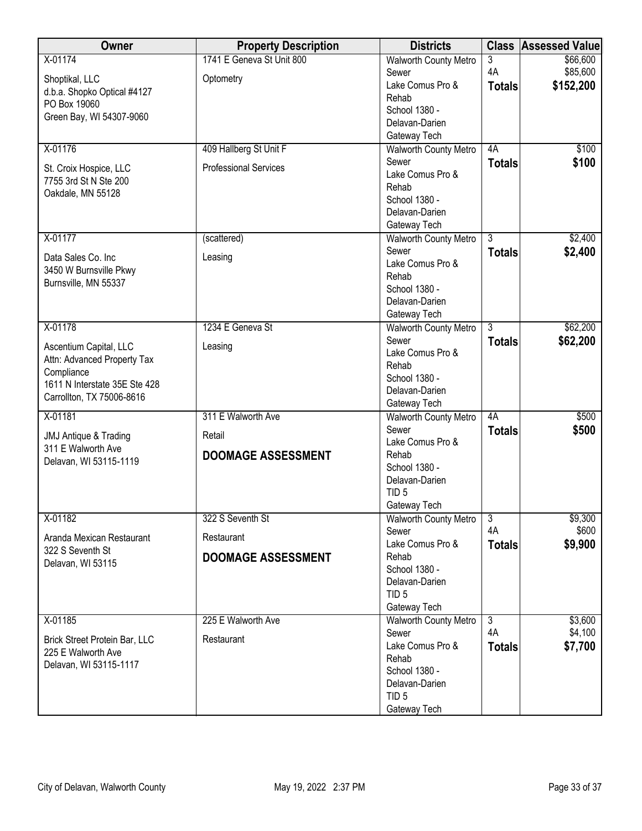| Owner                            | <b>Property Description</b>  | <b>Districts</b>                      |                | <b>Class Assessed Value</b> |
|----------------------------------|------------------------------|---------------------------------------|----------------|-----------------------------|
| X-01174                          | 1741 E Geneva St Unit 800    | Walworth County Metro                 | 3              | \$66,600                    |
| Shoptikal, LLC                   | Optometry                    | Sewer                                 | 4A             | \$85,600                    |
| d.b.a. Shopko Optical #4127      |                              | Lake Comus Pro &                      | <b>Totals</b>  | \$152,200                   |
| PO Box 19060                     |                              | Rehab                                 |                |                             |
| Green Bay, WI 54307-9060         |                              | School 1380 -                         |                |                             |
|                                  |                              | Delavan-Darien                        |                |                             |
|                                  |                              | Gateway Tech                          |                |                             |
| X-01176                          | 409 Hallberg St Unit F       | <b>Walworth County Metro</b><br>Sewer | 4A             | \$100                       |
| St. Croix Hospice, LLC           | <b>Professional Services</b> | Lake Comus Pro &                      | <b>Totals</b>  | \$100                       |
| 7755 3rd St N Ste 200            |                              | Rehab                                 |                |                             |
| Oakdale, MN 55128                |                              | School 1380 -                         |                |                             |
|                                  |                              | Delavan-Darien                        |                |                             |
|                                  |                              | Gateway Tech                          |                |                             |
| X-01177                          | (scattered)                  | Walworth County Metro                 | $\overline{3}$ | \$2,400                     |
|                                  |                              | Sewer                                 | <b>Totals</b>  | \$2,400                     |
| Data Sales Co. Inc.              | Leasing                      | Lake Comus Pro &                      |                |                             |
| 3450 W Burnsville Pkwy           |                              | Rehab                                 |                |                             |
| Burnsville, MN 55337             |                              | School 1380 -                         |                |                             |
|                                  |                              | Delavan-Darien                        |                |                             |
|                                  |                              | Gateway Tech                          |                |                             |
| X-01178                          | 1234 E Geneva St             | <b>Walworth County Metro</b>          | $\overline{3}$ | \$62,200                    |
| Ascentium Capital, LLC           | Leasing                      | Sewer                                 | <b>Totals</b>  | \$62,200                    |
| Attn: Advanced Property Tax      |                              | Lake Comus Pro &                      |                |                             |
| Compliance                       |                              | Rehab                                 |                |                             |
| 1611 N Interstate 35E Ste 428    |                              | School 1380 -<br>Delavan-Darien       |                |                             |
| Carrollton, TX 75006-8616        |                              | Gateway Tech                          |                |                             |
| X-01181                          | 311 E Walworth Ave           | <b>Walworth County Metro</b>          | 4A             | \$500                       |
|                                  |                              | Sewer                                 | <b>Totals</b>  | \$500                       |
| <b>JMJ Antique &amp; Trading</b> | Retail                       | Lake Comus Pro &                      |                |                             |
| 311 E Walworth Ave               | <b>DOOMAGE ASSESSMENT</b>    | Rehab                                 |                |                             |
| Delavan, WI 53115-1119           |                              | School 1380 -                         |                |                             |
|                                  |                              | Delavan-Darien                        |                |                             |
|                                  |                              | TID <sub>5</sub>                      |                |                             |
|                                  |                              | Gateway Tech                          |                |                             |
| X-01182                          | 322 S Seventh St             | <b>Walworth County Metro</b>          | $\overline{3}$ | \$9,300                     |
| Aranda Mexican Restaurant        | Restaurant                   | Sewer                                 | 4A             | \$600                       |
| 322 S Seventh St                 |                              | Lake Comus Pro &                      | <b>Totals</b>  | \$9,900                     |
| Delavan, WI 53115                | <b>DOOMAGE ASSESSMENT</b>    | Rehab                                 |                |                             |
|                                  |                              | School 1380 -                         |                |                             |
|                                  |                              | Delavan-Darien                        |                |                             |
|                                  |                              | TID <sub>5</sub><br>Gateway Tech      |                |                             |
| X-01185                          | 225 E Walworth Ave           | <b>Walworth County Metro</b>          | $\overline{3}$ | \$3,600                     |
|                                  |                              | Sewer                                 | 4A             | \$4,100                     |
| Brick Street Protein Bar, LLC    | Restaurant                   | Lake Comus Pro &                      | <b>Totals</b>  | \$7,700                     |
| 225 E Walworth Ave               |                              | Rehab                                 |                |                             |
| Delavan, WI 53115-1117           |                              | School 1380 -                         |                |                             |
|                                  |                              | Delavan-Darien                        |                |                             |
|                                  |                              | TID <sub>5</sub>                      |                |                             |
|                                  |                              | Gateway Tech                          |                |                             |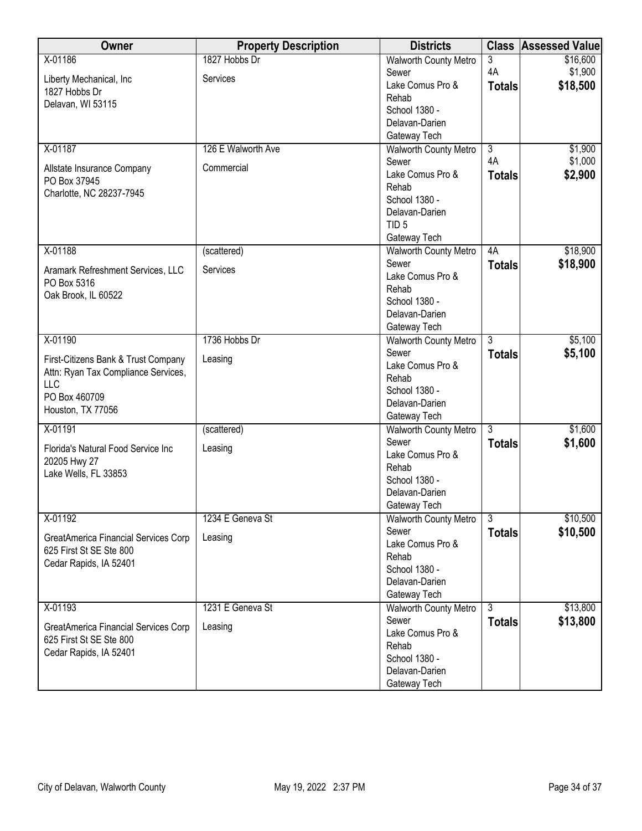| Owner                                | <b>Property Description</b> | <b>Districts</b>             | <b>Class</b>   | <b>Assessed Value</b> |
|--------------------------------------|-----------------------------|------------------------------|----------------|-----------------------|
| X-01186                              | 1827 Hobbs Dr               | <b>Walworth County Metro</b> | 3              | \$16,600              |
| Liberty Mechanical, Inc              | Services                    | Sewer                        | 4A             | \$1,900               |
| 1827 Hobbs Dr                        |                             | Lake Comus Pro &             | <b>Totals</b>  | \$18,500              |
| Delavan, WI 53115                    |                             | Rehab                        |                |                       |
|                                      |                             | School 1380 -                |                |                       |
|                                      |                             | Delavan-Darien               |                |                       |
|                                      |                             | Gateway Tech                 |                |                       |
| X-01187                              | 126 E Walworth Ave          | <b>Walworth County Metro</b> | $\overline{3}$ | \$1,900               |
| Allstate Insurance Company           | Commercial                  | Sewer                        | 4A             | \$1,000               |
| PO Box 37945                         |                             | Lake Comus Pro &             | <b>Totals</b>  | \$2,900               |
| Charlotte, NC 28237-7945             |                             | Rehab                        |                |                       |
|                                      |                             | School 1380 -                |                |                       |
|                                      |                             | Delavan-Darien               |                |                       |
|                                      |                             | TID <sub>5</sub>             |                |                       |
|                                      |                             | Gateway Tech                 |                |                       |
| X-01188                              | (scattered)                 | Walworth County Metro        | 4A             | \$18,900              |
| Aramark Refreshment Services, LLC    | Services                    | Sewer                        | <b>Totals</b>  | \$18,900              |
| PO Box 5316                          |                             | Lake Comus Pro &             |                |                       |
| Oak Brook, IL 60522                  |                             | Rehab                        |                |                       |
|                                      |                             | School 1380 -                |                |                       |
|                                      |                             | Delavan-Darien               |                |                       |
|                                      |                             | Gateway Tech                 |                |                       |
| X-01190                              | 1736 Hobbs Dr               | <b>Walworth County Metro</b> | $\overline{3}$ | \$5,100               |
| First-Citizens Bank & Trust Company  | Leasing                     | Sewer                        | <b>Totals</b>  | \$5,100               |
| Attn: Ryan Tax Compliance Services,  |                             | Lake Comus Pro &             |                |                       |
| LLC                                  |                             | Rehab                        |                |                       |
| PO Box 460709                        |                             | School 1380 -                |                |                       |
| Houston, TX 77056                    |                             | Delavan-Darien               |                |                       |
|                                      |                             | Gateway Tech                 |                |                       |
| X-01191                              | (scattered)                 | <b>Walworth County Metro</b> | $\overline{3}$ | \$1,600               |
| Florida's Natural Food Service Inc   | Leasing                     | Sewer                        | <b>Totals</b>  | \$1,600               |
| 20205 Hwy 27                         |                             | Lake Comus Pro &             |                |                       |
| Lake Wells, FL 33853                 |                             | Rehab                        |                |                       |
|                                      |                             | School 1380 -                |                |                       |
|                                      |                             | Delavan-Darien               |                |                       |
|                                      | 1234 E Geneva St            | Gateway Tech                 | $\overline{3}$ | \$10,500              |
| X-01192                              |                             | <b>Walworth County Metro</b> |                |                       |
| GreatAmerica Financial Services Corp | Leasing                     | Sewer<br>Lake Comus Pro &    | <b>Totals</b>  | \$10,500              |
| 625 First St SE Ste 800              |                             | Rehab                        |                |                       |
| Cedar Rapids, IA 52401               |                             | School 1380 -                |                |                       |
|                                      |                             | Delavan-Darien               |                |                       |
|                                      |                             | Gateway Tech                 |                |                       |
| X-01193                              | 1231 E Geneva St            | <b>Walworth County Metro</b> | 3              | \$13,800              |
|                                      |                             | Sewer                        | <b>Totals</b>  | \$13,800              |
| GreatAmerica Financial Services Corp | Leasing                     | Lake Comus Pro &             |                |                       |
| 625 First St SE Ste 800              |                             | Rehab                        |                |                       |
| Cedar Rapids, IA 52401               |                             | School 1380 -                |                |                       |
|                                      |                             | Delavan-Darien               |                |                       |
|                                      |                             | Gateway Tech                 |                |                       |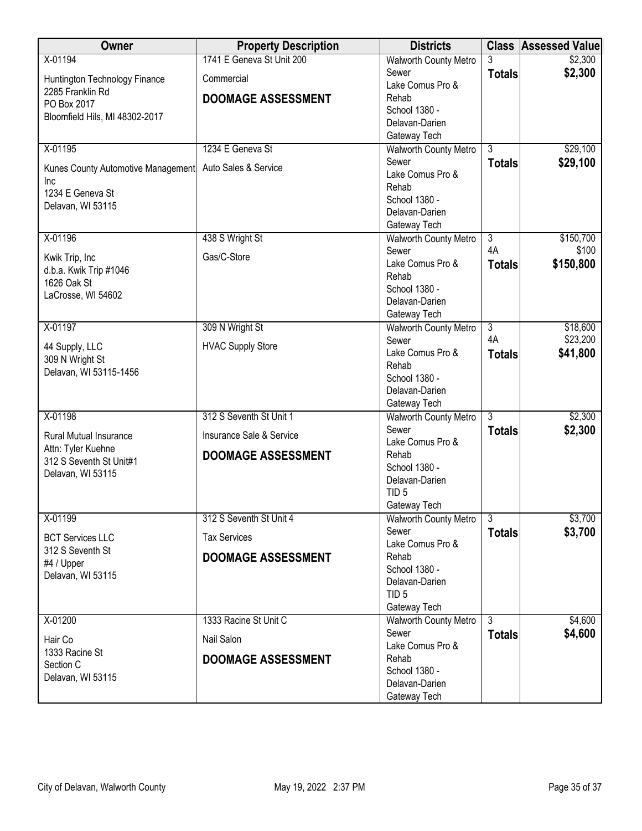| Owner                                     | <b>Property Description</b> | <b>Districts</b>                |                | <b>Class Assessed Value</b> |
|-------------------------------------------|-----------------------------|---------------------------------|----------------|-----------------------------|
| X-01194                                   | 1741 E Geneva St Unit 200   | <b>Walworth County Metro</b>    |                | \$2,300                     |
| Huntington Technology Finance             | Commercial                  | Sewer                           | <b>Totals</b>  | \$2,300                     |
| 2285 Franklin Rd                          |                             | Lake Comus Pro &                |                |                             |
| PO Box 2017                               | <b>DOOMAGE ASSESSMENT</b>   | Rehab                           |                |                             |
| Bloomfield Hils, MI 48302-2017            |                             | School 1380 -<br>Delavan-Darien |                |                             |
|                                           |                             | Gateway Tech                    |                |                             |
| X-01195                                   | 1234 E Geneva St            | <b>Walworth County Metro</b>    | 3              | \$29,100                    |
|                                           |                             | Sewer                           | <b>Totals</b>  | \$29,100                    |
| Kunes County Automotive Management        | Auto Sales & Service        | Lake Comus Pro &                |                |                             |
| Inc                                       |                             | Rehab                           |                |                             |
| 1234 E Geneva St<br>Delavan, WI 53115     |                             | School 1380 -                   |                |                             |
|                                           |                             | Delavan-Darien                  |                |                             |
|                                           |                             | Gateway Tech                    |                |                             |
| X-01196                                   | 438 S Wright St             | <b>Walworth County Metro</b>    | $\overline{3}$ | \$150,700                   |
| Kwik Trip, Inc                            | Gas/C-Store                 | Sewer                           | 4A             | \$100                       |
| d.b.a. Kwik Trip #1046                    |                             | Lake Comus Pro &                | <b>Totals</b>  | \$150,800                   |
| 1626 Oak St                               |                             | Rehab<br>School 1380 -          |                |                             |
| LaCrosse, WI 54602                        |                             | Delavan-Darien                  |                |                             |
|                                           |                             | Gateway Tech                    |                |                             |
| X-01197                                   | 309 N Wright St             | <b>Walworth County Metro</b>    | $\overline{3}$ | \$18,600                    |
|                                           |                             | Sewer                           | 4A             | \$23,200                    |
| 44 Supply, LLC                            | <b>HVAC Supply Store</b>    | Lake Comus Pro &                | <b>Totals</b>  | \$41,800                    |
| 309 N Wright St<br>Delavan, WI 53115-1456 |                             | Rehab                           |                |                             |
|                                           |                             | School 1380 -                   |                |                             |
|                                           |                             | Delavan-Darien                  |                |                             |
|                                           |                             | Gateway Tech                    |                |                             |
| X-01198                                   | 312 S Seventh St Unit 1     | Walworth County Metro<br>Sewer  | $\overline{3}$ | \$2,300                     |
| <b>Rural Mutual Insurance</b>             | Insurance Sale & Service    | Lake Comus Pro &                | <b>Totals</b>  | \$2,300                     |
| Attn: Tyler Kuehne                        | <b>DOOMAGE ASSESSMENT</b>   | Rehab                           |                |                             |
| 312 S Seventh St Unit#1                   |                             | School 1380 -                   |                |                             |
| Delavan, WI 53115                         |                             | Delavan-Darien                  |                |                             |
|                                           |                             | TID <sub>5</sub>                |                |                             |
|                                           |                             | Gateway Tech                    |                |                             |
| X-01199                                   | 312 S Seventh St Unit 4     | <b>Walworth County Metro</b>    | $\overline{3}$ | \$3,700                     |
| <b>BCT Services LLC</b>                   | <b>Tax Services</b>         | Sewer                           | <b>Totals</b>  | \$3,700                     |
| 312 S Seventh St                          |                             | Lake Comus Pro &                |                |                             |
| #4 / Upper                                | <b>DOOMAGE ASSESSMENT</b>   | Rehab                           |                |                             |
| Delavan, WI 53115                         |                             | School 1380 -<br>Delavan-Darien |                |                             |
|                                           |                             | TID <sub>5</sub>                |                |                             |
|                                           |                             | Gateway Tech                    |                |                             |
| X-01200                                   | 1333 Racine St Unit C       | <b>Walworth County Metro</b>    | 3              | \$4,600                     |
|                                           | Nail Salon                  | Sewer                           | <b>Totals</b>  | \$4,600                     |
| Hair Co<br>1333 Racine St                 |                             | Lake Comus Pro &                |                |                             |
| Section C                                 | <b>DOOMAGE ASSESSMENT</b>   | Rehab                           |                |                             |
| Delavan, WI 53115                         |                             | School 1380 -                   |                |                             |
|                                           |                             | Delavan-Darien                  |                |                             |
|                                           |                             | Gateway Tech                    |                |                             |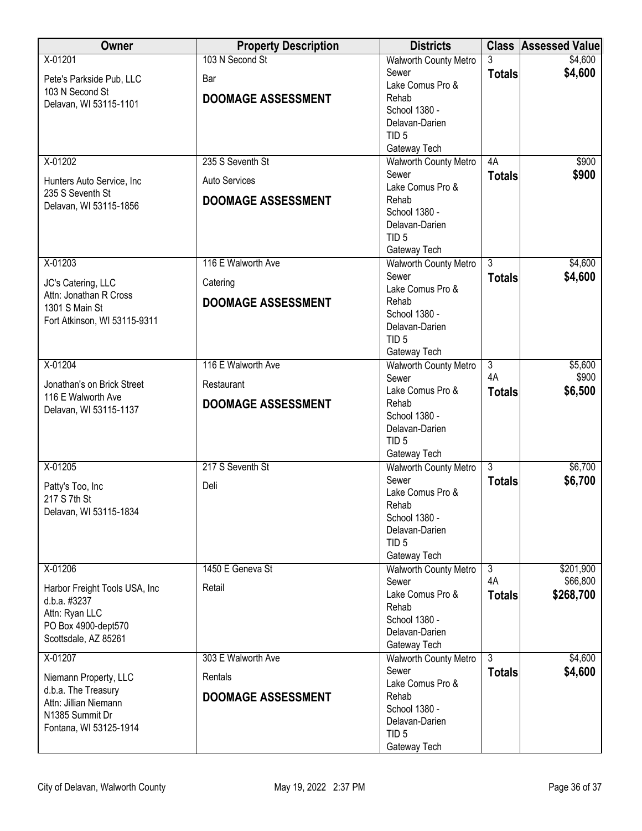| Owner                                        | <b>Property Description</b> | <b>Districts</b>                             |                           | <b>Class Assessed Value</b> |
|----------------------------------------------|-----------------------------|----------------------------------------------|---------------------------|-----------------------------|
| X-01201                                      | 103 N Second St             | <b>Walworth County Metro</b>                 |                           | \$4,600                     |
| Pete's Parkside Pub, LLC                     | Bar                         | Sewer                                        | <b>Totals</b>             | \$4,600                     |
| 103 N Second St                              |                             | Lake Comus Pro &                             |                           |                             |
| Delavan, WI 53115-1101                       | <b>DOOMAGE ASSESSMENT</b>   | Rehab<br>School 1380 -                       |                           |                             |
|                                              |                             | Delavan-Darien                               |                           |                             |
|                                              |                             | TID <sub>5</sub>                             |                           |                             |
|                                              |                             | Gateway Tech                                 |                           |                             |
| X-01202                                      | 235 S Seventh St            | <b>Walworth County Metro</b>                 | 4A                        | \$900                       |
| Hunters Auto Service, Inc                    | <b>Auto Services</b>        | Sewer                                        | <b>Totals</b>             | \$900                       |
| 235 S Seventh St                             |                             | Lake Comus Pro &                             |                           |                             |
| Delavan, WI 53115-1856                       | <b>DOOMAGE ASSESSMENT</b>   | Rehab                                        |                           |                             |
|                                              |                             | School 1380 -<br>Delavan-Darien              |                           |                             |
|                                              |                             | TID <sub>5</sub>                             |                           |                             |
|                                              |                             | Gateway Tech                                 |                           |                             |
| X-01203                                      | 116 E Walworth Ave          | <b>Walworth County Metro</b>                 | $\overline{3}$            | \$4,600                     |
| JC's Catering, LLC                           | Catering                    | Sewer                                        | <b>Totals</b>             | \$4,600                     |
| Attn: Jonathan R Cross                       |                             | Lake Comus Pro &                             |                           |                             |
| 1301 S Main St                               | <b>DOOMAGE ASSESSMENT</b>   | Rehab                                        |                           |                             |
| Fort Atkinson, WI 53115-9311                 |                             | School 1380 -                                |                           |                             |
|                                              |                             | Delavan-Darien<br>TID <sub>5</sub>           |                           |                             |
|                                              |                             | Gateway Tech                                 |                           |                             |
| X-01204                                      | 116 E Walworth Ave          | <b>Walworth County Metro</b>                 | $\overline{\overline{3}}$ | \$5,600                     |
|                                              |                             | Sewer                                        | 4A                        | \$900                       |
| Jonathan's on Brick Street                   | Restaurant                  | Lake Comus Pro &                             | <b>Totals</b>             | \$6,500                     |
| 116 E Walworth Ave<br>Delavan, WI 53115-1137 | <b>DOOMAGE ASSESSMENT</b>   | Rehab                                        |                           |                             |
|                                              |                             | School 1380 -                                |                           |                             |
|                                              |                             | Delavan-Darien                               |                           |                             |
|                                              |                             | TID <sub>5</sub>                             |                           |                             |
| X-01205                                      | 217 S Seventh St            | Gateway Tech<br><b>Walworth County Metro</b> | $\overline{3}$            | \$6,700                     |
|                                              |                             | Sewer                                        | <b>Totals</b>             | \$6,700                     |
| Patty's Too, Inc                             | Deli                        | Lake Comus Pro &                             |                           |                             |
| 217 S 7th St                                 |                             | Rehab                                        |                           |                             |
| Delavan, WI 53115-1834                       |                             | School 1380 -                                |                           |                             |
|                                              |                             | Delavan-Darien                               |                           |                             |
|                                              |                             | TID <sub>5</sub>                             |                           |                             |
|                                              |                             | Gateway Tech                                 |                           |                             |
| X-01206                                      | 1450 E Geneva St            | <b>Walworth County Metro</b><br>Sewer        | $\overline{3}$<br>4A      | \$201,900<br>\$66,800       |
| Harbor Freight Tools USA, Inc.               | Retail                      | Lake Comus Pro &                             | <b>Totals</b>             | \$268,700                   |
| d.b.a. #3237                                 |                             | Rehab                                        |                           |                             |
| Attn: Ryan LLC                               |                             | School 1380 -                                |                           |                             |
| PO Box 4900-dept570<br>Scottsdale, AZ 85261  |                             | Delavan-Darien                               |                           |                             |
|                                              |                             | Gateway Tech                                 |                           |                             |
| X-01207                                      | 303 E Walworth Ave          | <b>Walworth County Metro</b>                 | 3                         | \$4,600                     |
| Niemann Property, LLC                        | Rentals                     | Sewer                                        | <b>Totals</b>             | \$4,600                     |
| d.b.a. The Treasury                          |                             | Lake Comus Pro &<br>Rehab                    |                           |                             |
| Attn: Jillian Niemann                        | <b>DOOMAGE ASSESSMENT</b>   | School 1380 -                                |                           |                             |
| N1385 Summit Dr                              |                             | Delavan-Darien                               |                           |                             |
| Fontana, WI 53125-1914                       |                             | TID <sub>5</sub>                             |                           |                             |
|                                              |                             | Gateway Tech                                 |                           |                             |